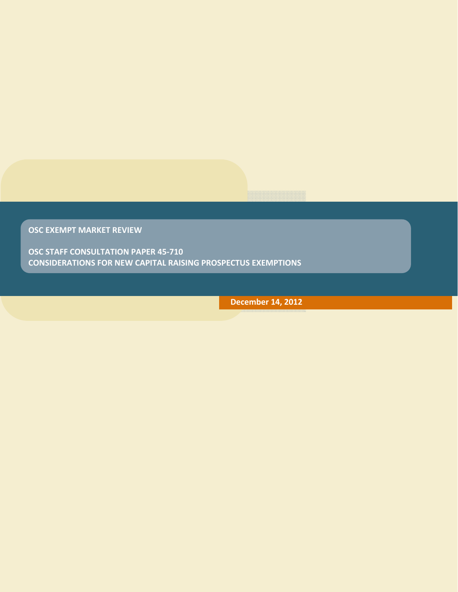**OSC EXEMPT MARKET REVIEW**

**OSC STAFF CONSULTATION PAPER 45‐710 CONSIDERATIONS FOR NEW CAPITAL RAISING PROSPECTUS EXEMPTIONS**

**December 14, 2012**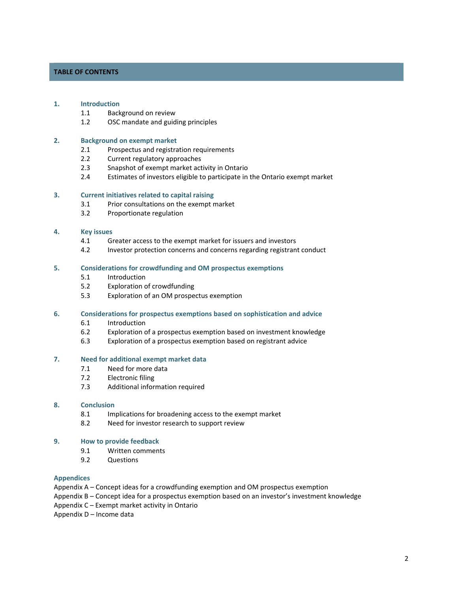# **TABLE OF CONTENTS**

## **1. Introduction**

- 1.1 Background on review
- 1.2 OSC mandate and guiding principles

#### **2. Background on exempt market**

- 2.1 Prospectus and registration requirements
- 2.2 Current regulatory approaches
- 2.3 Snapshot of exempt market activity in Ontario
- 2.4 Estimates of investors eligible to participate in the Ontario exempt market

# **3. Current initiatives related to capital raising**

- 3.1 Prior consultations on the exempt market
- 3.2 Proportionate regulation

## **4. Key issues**

- 4.1 Greater access to the exempt market for issuers and investors
- 4.2 Investor protection concerns and concerns regarding registrant conduct

#### **5. Considerations for crowdfunding and OM prospectus exemptions**

- 5.1 Introduction
- 5.2 Exploration of crowdfunding
- 5.3 Exploration of an OM prospectus exemption

### **6. Considerations for prospectus exemptions based on sophistication and advice**

- 6.1 Introduction
- 6.2 Exploration of a prospectus exemption based on investment knowledge
- 6.3 Exploration of a prospectus exemption based on registrant advice

### **7. Need for additional exempt market data**

- 7.1 Need for more data
- 7.2 Electronic filing
- 7.3 Additional information required

#### **8. Conclusion**

- 8.1 Implications for broadening access to the exempt market
- 8.2 Need for investor research to support review

#### **9. How to provide feedback**

- 9.1 Written comments
- 9.2 Questions

# **Appendices**

Appendix A – Concept ideas for a crowdfunding exemption and OM prospectus exemption

Appendix B – Concept idea for a prospectus exemption based on an investor's investment knowledge

Appendix C – Exempt market activity in Ontario

Appendix D – Income data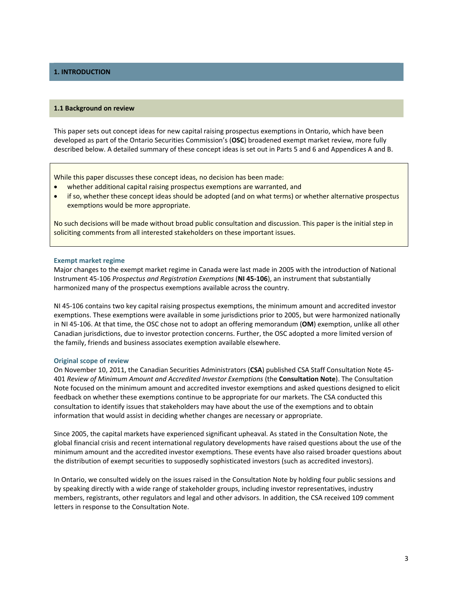# **1. INTRODUCTION**

#### **1.1 Background on review**

This paper sets out concept ideas for new capital raising prospectus exemptions in Ontario, which have been developed as part of the Ontario Securities Commission's (**OSC**) broadened exempt market review, more fully described below. A detailed summary of these concept ideas is set out in Parts 5 and 6 and Appendices A and B.

While this paper discusses these concept ideas, no decision has been made:

- whether additional capital raising prospectus exemptions are warranted, and
- if so, whether these concept ideas should be adopted (and on what terms) or whether alternative prospectus exemptions would be more appropriate.

No such decisions will be made without broad public consultation and discussion. This paper is the initial step in soliciting comments from all interested stakeholders on these important issues.

#### **Exempt market regime**

Major changes to the exempt market regime in Canada were last made in 2005 with the introduction of National Instrument 45‐106 *Prospectus and Registration Exemptions* (**NI 45‐106**), an instrument that substantially harmonized many of the prospectus exemptions available across the country.

NI 45‐106 contains two key capital raising prospectus exemptions, the minimum amount and accredited investor exemptions. These exemptions were available in some jurisdictions prior to 2005, but were harmonized nationally in NI 45‐106. At that time, the OSC chose not to adopt an offering memorandum (**OM**) exemption, unlike all other Canadian jurisdictions, due to investor protection concerns. Further, the OSC adopted a more limited version of the family, friends and business associates exemption available elsewhere.

#### **Original scope of review**

On November 10, 2011, the Canadian Securities Administrators (**CSA**) published CSA Staff Consultation Note 45‐ 401 *Review of Minimum Amount and Accredited Investor Exemptions* (the **Consultation Note**). The Consultation Note focused on the minimum amount and accredited investor exemptions and asked questions designed to elicit feedback on whether these exemptions continue to be appropriate for our markets. The CSA conducted this consultation to identify issues that stakeholders may have about the use of the exemptions and to obtain information that would assist in deciding whether changes are necessary or appropriate.

Since 2005, the capital markets have experienced significant upheaval. As stated in the Consultation Note, the global financial crisis and recent international regulatory developments have raised questions about the use of the minimum amount and the accredited investor exemptions. These events have also raised broader questions about the distribution of exempt securities to supposedly sophisticated investors (such as accredited investors).

In Ontario, we consulted widely on the issues raised in the Consultation Note by holding four public sessions and by speaking directly with a wide range of stakeholder groups, including investor representatives, industry members, registrants, other regulators and legal and other advisors. In addition, the CSA received 109 comment letters in response to the Consultation Note.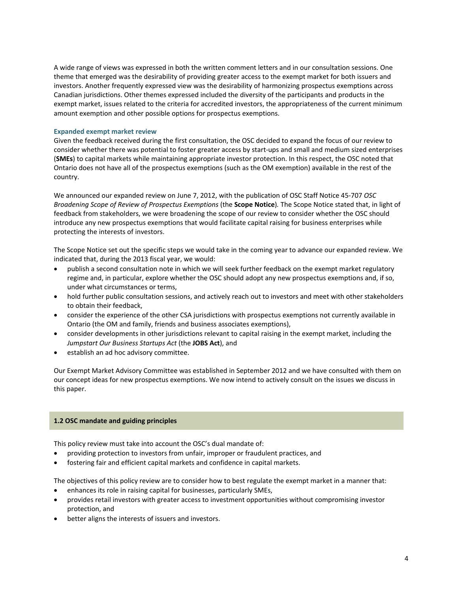A wide range of views was expressed in both the written comment letters and in our consultation sessions. One theme that emerged was the desirability of providing greater access to the exempt market for both issuers and investors. Another frequently expressed view was the desirability of harmonizing prospectus exemptions across Canadian jurisdictions. Other themes expressed included the diversity of the participants and products in the exempt market, issues related to the criteria for accredited investors, the appropriateness of the current minimum amount exemption and other possible options for prospectus exemptions.

# **Expanded exempt market review**

Given the feedback received during the first consultation, the OSC decided to expand the focus of our review to consider whether there was potential to foster greater access by start‐ups and small and medium sized enterprises (**SMEs**) to capital markets while maintaining appropriate investor protection. In this respect, the OSC noted that Ontario does not have all of the prospectus exemptions (such as the OM exemption) available in the rest of the country.

We announced our expanded review on June 7, 2012, with the publication of OSC Staff Notice 45‐707 *OSC Broadening Scope of Review of Prospectus Exemptions* (the **Scope Notice**)*.* The Scope Notice stated that, in light of feedback from stakeholders, we were broadening the scope of our review to consider whether the OSC should introduce any new prospectus exemptions that would facilitate capital raising for business enterprises while protecting the interests of investors.

The Scope Notice set out the specific steps we would take in the coming year to advance our expanded review. We indicated that, during the 2013 fiscal year, we would:

- publish a second consultation note in which we will seek further feedback on the exempt market regulatory regime and, in particular, explore whether the OSC should adopt any new prospectus exemptions and, if so, under what circumstances or terms,
- hold further public consultation sessions, and actively reach out to investors and meet with other stakeholders to obtain their feedback,
- consider the experience of the other CSA jurisdictions with prospectus exemptions not currently available in Ontario (the OM and family, friends and business associates exemptions),
- consider developments in other jurisdictions relevant to capital raising in the exempt market, including the *Jumpstart Our Business Startups Act* (the **JOBS Act**), and
- establish an ad hoc advisory committee.

Our Exempt Market Advisory Committee was established in September 2012 and we have consulted with them on our concept ideas for new prospectus exemptions. We now intend to actively consult on the issues we discuss in this paper.

# **1.2 OSC mandate and guiding principles**

This policy review must take into account the OSC's dual mandate of:

- providing protection to investors from unfair, improper or fraudulent practices, and
- fostering fair and efficient capital markets and confidence in capital markets.

The objectives of this policy review are to consider how to best regulate the exempt market in a manner that:

- enhances its role in raising capital for businesses, particularly SMEs,
- provides retail investors with greater access to investment opportunities without compromising investor protection, and
- better aligns the interests of issuers and investors.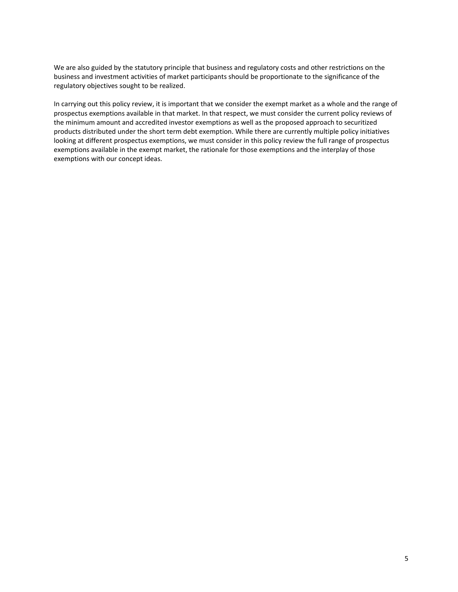We are also guided by the statutory principle that business and regulatory costs and other restrictions on the business and investment activities of market participants should be proportionate to the significance of the regulatory objectives sought to be realized.

In carrying out this policy review, it is important that we consider the exempt market as a whole and the range of prospectus exemptions available in that market. In that respect, we must consider the current policy reviews of the minimum amount and accredited investor exemptions as well as the proposed approach to securitized products distributed under the short term debt exemption. While there are currently multiple policy initiatives looking at different prospectus exemptions, we must consider in this policy review the full range of prospectus exemptions available in the exempt market, the rationale for those exemptions and the interplay of those exemptions with our concept ideas.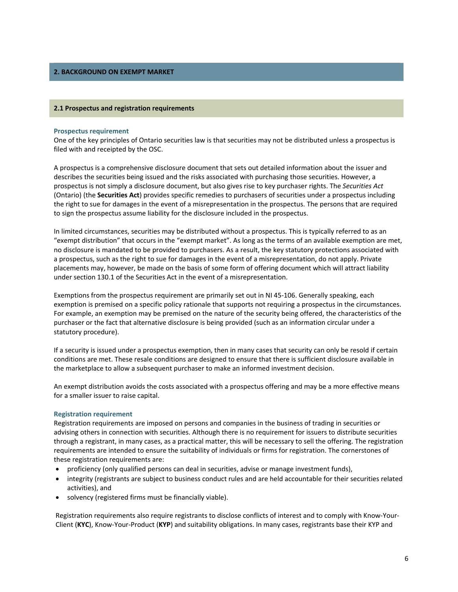# **2. BACKGROUND ON EXEMPT MARKET**

#### **2.1 Prospectus and registration requirements**

### **Prospectus requirement**

One of the key principles of Ontario securities law is that securities may not be distributed unless a prospectus is filed with and receipted by the OSC.

A prospectus is a comprehensive disclosure document that sets out detailed information about the issuer and describes the securities being issued and the risks associated with purchasing those securities. However, a prospectus is not simply a disclosure document, but also gives rise to key purchaser rights. The *Securities Act* (Ontario) (the **Securities Act**) provides specific remedies to purchasers of securities under a prospectus including the right to sue for damages in the event of a misrepresentation in the prospectus. The persons that are required to sign the prospectus assume liability for the disclosure included in the prospectus.

In limited circumstances, securities may be distributed without a prospectus. This is typically referred to as an "exempt distribution" that occurs in the "exempt market". As long as the terms of an available exemption are met, no disclosure is mandated to be provided to purchasers. As a result, the key statutory protections associated with a prospectus, such as the right to sue for damages in the event of a misrepresentation, do not apply. Private placements may, however, be made on the basis of some form of offering document which will attract liability under section 130.1 of the Securities Act in the event of a misrepresentation.

Exemptions from the prospectus requirement are primarily set out in NI 45‐106. Generally speaking, each exemption is premised on a specific policy rationale that supports not requiring a prospectus in the circumstances. For example, an exemption may be premised on the nature of the security being offered, the characteristics of the purchaser or the fact that alternative disclosure is being provided (such as an information circular under a statutory procedure).

If a security is issued under a prospectus exemption, then in many cases that security can only be resold if certain conditions are met. These resale conditions are designed to ensure that there is sufficient disclosure available in the marketplace to allow a subsequent purchaser to make an informed investment decision.

An exempt distribution avoids the costs associated with a prospectus offering and may be a more effective means for a smaller issuer to raise capital.

#### **Registration requirement**

Registration requirements are imposed on persons and companies in the business of trading in securities or advising others in connection with securities. Although there is no requirement for issuers to distribute securities through a registrant, in many cases, as a practical matter, this will be necessary to sell the offering. The registration requirements are intended to ensure the suitability of individuals or firms for registration. The cornerstones of these registration requirements are:

- proficiency (only qualified persons can deal in securities, advise or manage investment funds),
- integrity (registrants are subject to business conduct rules and are held accountable for their securities related activities), and
- solvency (registered firms must be financially viable).

Registration requirements also require registrants to disclose conflicts of interest and to comply with Know‐Your‐ Client (**KYC**), Know‐Your‐Product (**KYP**) and suitability obligations. In many cases, registrants base their KYP and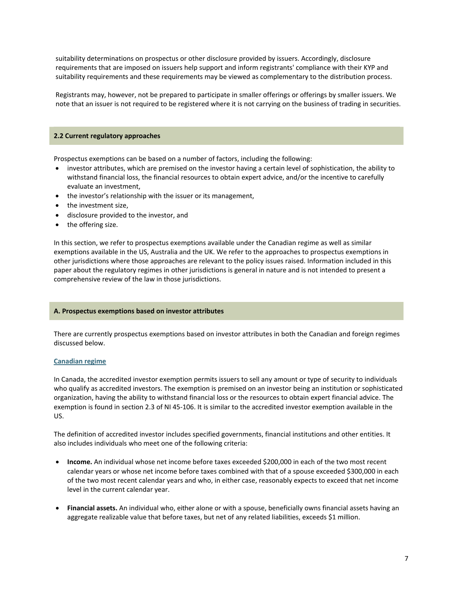suitability determinations on prospectus or other disclosure provided by issuers. Accordingly, disclosure requirements that are imposed on issuers help support and inform registrants' compliance with their KYP and suitability requirements and these requirements may be viewed as complementary to the distribution process.

Registrants may, however, not be prepared to participate in smaller offerings or offerings by smaller issuers. We note that an issuer is not required to be registered where it is not carrying on the business of trading in securities.

## **2.2 Current regulatory approaches**

Prospectus exemptions can be based on a number of factors, including the following:

- investor attributes, which are premised on the investor having a certain level of sophistication, the ability to withstand financial loss, the financial resources to obtain expert advice, and/or the incentive to carefully evaluate an investment,
- the investor's relationship with the issuer or its management,
- the investment size,
- disclosure provided to the investor, and
- the offering size.

In this section, we refer to prospectus exemptions available under the Canadian regime as well as similar exemptions available in the US, Australia and the UK. We refer to the approaches to prospectus exemptions in other jurisdictions where those approaches are relevant to the policy issues raised. Information included in this paper about the regulatory regimes in other jurisdictions is general in nature and is not intended to present a comprehensive review of the law in those jurisdictions.

## **A. Prospectus exemptions based on investor attributes**

There are currently prospectus exemptions based on investor attributes in both the Canadian and foreign regimes discussed below.

## **Canadian regime**

In Canada, the accredited investor exemption permits issuers to sell any amount or type of security to individuals who qualify as accredited investors. The exemption is premised on an investor being an institution or sophisticated organization, having the ability to withstand financial loss or the resources to obtain expert financial advice. The exemption is found in section 2.3 of NI 45‐106. It is similar to the accredited investor exemption available in the US.

The definition of accredited investor includes specified governments, financial institutions and other entities. It also includes individuals who meet one of the following criteria:

- **Income.** An individual whose net income before taxes exceeded \$200,000 in each of the two most recent calendar years or whose net income before taxes combined with that of a spouse exceeded \$300,000 in each of the two most recent calendar years and who, in either case, reasonably expects to exceed that net income level in the current calendar year.
- **Financial assets.** An individual who, either alone or with a spouse, beneficially owns financial assets having an aggregate realizable value that before taxes, but net of any related liabilities, exceeds \$1 million.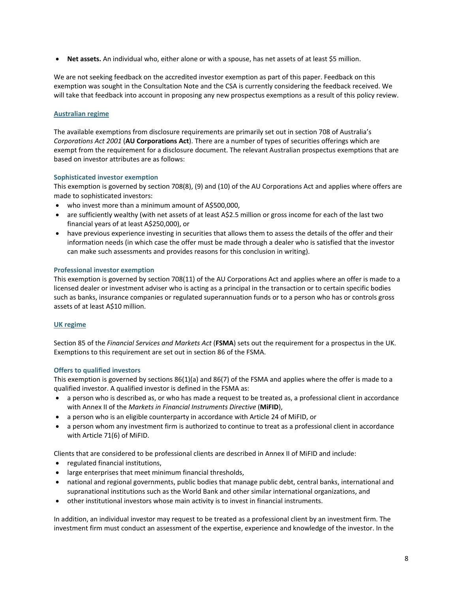**Net assets.** An individual who, either alone or with a spouse, has net assets of at least \$5 million.

We are not seeking feedback on the accredited investor exemption as part of this paper. Feedback on this exemption was sought in the Consultation Note and the CSA is currently considering the feedback received. We will take that feedback into account in proposing any new prospectus exemptions as a result of this policy review.

# **Australian regime**

The available exemptions from disclosure requirements are primarily set out in section 708 of Australia's *Corporations Act 2001* (**AU Corporations Act**). There are a number of types of securities offerings which are exempt from the requirement for a disclosure document. The relevant Australian prospectus exemptions that are based on investor attributes are as follows:

## **Sophisticated investor exemption**

This exemption is governed by section 708(8), (9) and (10) of the AU Corporations Act and applies where offers are made to sophisticated investors:

- who invest more than a minimum amount of A\$500,000,
- are sufficiently wealthy (with net assets of at least A\$2.5 million or gross income for each of the last two financial years of at least A\$250,000), or
- have previous experience investing in securities that allows them to assess the details of the offer and their information needs (in which case the offer must be made through a dealer who is satisfied that the investor can make such assessments and provides reasons for this conclusion in writing).

## **Professional investor exemption**

This exemption is governed by section 708(11) of the AU Corporations Act and applies where an offer is made to a licensed dealer or investment adviser who is acting as a principal in the transaction or to certain specific bodies such as banks, insurance companies or regulated superannuation funds or to a person who has or controls gross assets of at least A\$10 million.

# **UK regime**

Section 85 of the *Financial Services and Markets Act* (**FSMA**) sets out the requirement for a prospectus in the UK. Exemptions to this requirement are set out in section 86 of the FSMA.

# **Offers to qualified investors**

This exemption is governed by sections 86(1)(a) and 86(7) of the FSMA and applies where the offer is made to a qualified investor. A qualified investor is defined in the FSMA as:

- a person who is described as, or who has made a request to be treated as, a professional client in accordance with Annex II of the *Markets in Financial Instruments Directive* (**MiFID**),
- a person who is an eligible counterparty in accordance with Article 24 of MiFID, or
- a person whom any investment firm is authorized to continue to treat as a professional client in accordance with Article 71(6) of MiFID.

Clients that are considered to be professional clients are described in Annex II of MiFID and include:

- regulated financial institutions,
- large enterprises that meet minimum financial thresholds,
- national and regional governments, public bodies that manage public debt, central banks, international and supranational institutions such as the World Bank and other similar international organizations, and
- other institutional investors whose main activity is to invest in financial instruments.

In addition, an individual investor may request to be treated as a professional client by an investment firm. The investment firm must conduct an assessment of the expertise, experience and knowledge of the investor. In the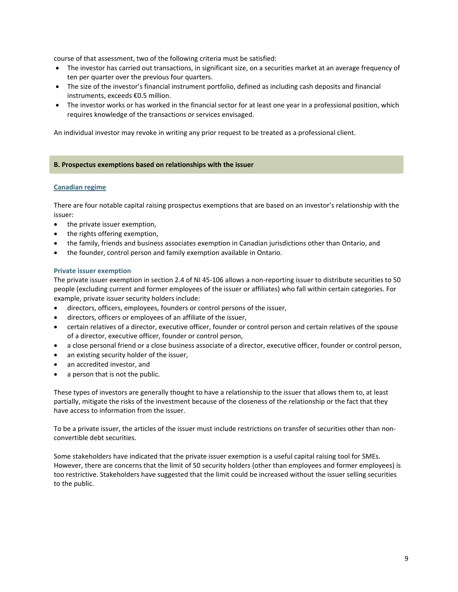course of that assessment, two of the following criteria must be satisfied:

- The investor has carried out transactions, in significant size, on a securities market at an average frequency of ten per quarter over the previous four quarters.
- The size of the investor's financial instrument portfolio, defined as including cash deposits and financial instruments, exceeds €0.5 million.
- The investor works or has worked in the financial sector for at least one year in a professional position, which requires knowledge of the transactions or services envisaged.

An individual investor may revoke in writing any prior request to be treated as a professional client.

# **B. Prospectus exemptions based on relationships with the issuer**

## **Canadian regime**

There are four notable capital raising prospectus exemptions that are based on an investor's relationship with the issuer:

- the private issuer exemption,
- the rights offering exemption,
- the family, friends and business associates exemption in Canadian jurisdictions other than Ontario, and
- the founder, control person and family exemption available in Ontario.

## **Private issuer exemption**

The private issuer exemption in section 2.4 of NI 45-106 allows a non-reporting issuer to distribute securities to 50 people (excluding current and former employees of the issuer or affiliates) who fall within certain categories. For example, private issuer security holders include:

- directors, officers, employees, founders or control persons of the issuer,
- directors, officers or employees of an affiliate of the issuer,
- certain relatives of a director, executive officer, founder or control person and certain relatives of the spouse of a director, executive officer, founder or control person,
- a close personal friend or a close business associate of a director, executive officer, founder or control person,
- an existing security holder of the issuer,
- an accredited investor, and
- a person that is not the public.

These types of investors are generally thought to have a relationship to the issuer that allows them to, at least partially, mitigate the risks of the investment because of the closeness of the relationship or the fact that they have access to information from the issuer.

To be a private issuer, the articles of the issuer must include restrictions on transfer of securities other than non‐ convertible debt securities.

Some stakeholders have indicated that the private issuer exemption is a useful capital raising tool for SMEs. However, there are concerns that the limit of 50 security holders (other than employees and former employees) is too restrictive. Stakeholders have suggested that the limit could be increased without the issuer selling securities to the public.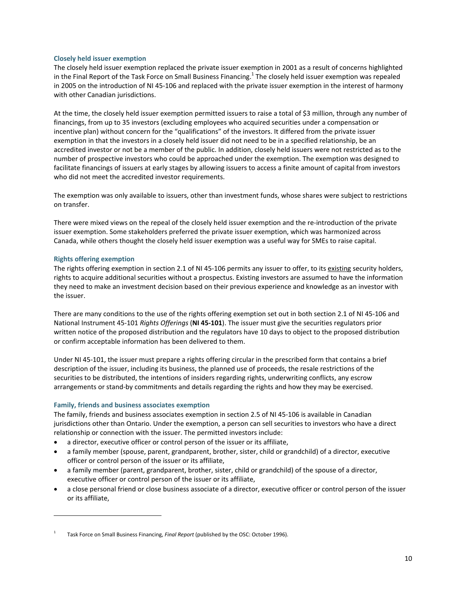## **Closely held issuer exemption**

The closely held issuer exemption replaced the private issuer exemption in 2001 as a result of concerns highlighted in the Final Report of the Task Force on Small Business Financing.<sup>1</sup> The closely held issuer exemption was repealed in 2005 on the introduction of NI 45‐106 and replaced with the private issuer exemption in the interest of harmony with other Canadian jurisdictions.

At the time, the closely held issuer exemption permitted issuers to raise a total of \$3 million, through any number of financings, from up to 35 investors (excluding employees who acquired securities under a compensation or incentive plan) without concern for the "qualifications" of the investors. It differed from the private issuer exemption in that the investors in a closely held issuer did not need to be in a specified relationship, be an accredited investor or not be a member of the public. In addition, closely held issuers were not restricted as to the number of prospective investors who could be approached under the exemption. The exemption was designed to facilitate financings of issuers at early stages by allowing issuers to access a finite amount of capital from investors who did not meet the accredited investor requirements.

The exemption was only available to issuers, other than investment funds, whose shares were subject to restrictions on transfer.

There were mixed views on the repeal of the closely held issuer exemption and the re-introduction of the private issuer exemption. Some stakeholders preferred the private issuer exemption, which was harmonized across Canada, while others thought the closely held issuer exemption was a useful way for SMEs to raise capital.

# **Rights offering exemption**

The rights offering exemption in section 2.1 of NI 45-106 permits any issuer to offer, to its existing security holders, rights to acquire additional securities without a prospectus. Existing investors are assumed to have the information they need to make an investment decision based on their previous experience and knowledge as an investor with the issuer.

There are many conditions to the use of the rights offering exemption set out in both section 2.1 of NI 45‐106 and National Instrument 45‐101 *Rights Offerings* (**NI 45‐101**). The issuer must give the securities regulators prior written notice of the proposed distribution and the regulators have 10 days to object to the proposed distribution or confirm acceptable information has been delivered to them.

Under NI 45‐101, the issuer must prepare a rights offering circular in the prescribed form that contains a brief description of the issuer, including its business, the planned use of proceeds, the resale restrictions of the securities to be distributed, the intentions of insiders regarding rights, underwriting conflicts, any escrow arrangements or stand‐by commitments and details regarding the rights and how they may be exercised.

# **Family, friends and business associates exemption**

The family, friends and business associates exemption in section 2.5 of NI 45-106 is available in Canadian jurisdictions other than Ontario. Under the exemption, a person can sell securities to investors who have a direct relationship or connection with the issuer. The permitted investors include:

- a director, executive officer or control person of the issuer or its affiliate,
- a family member (spouse, parent, grandparent, brother, sister, child or grandchild) of a director, executive officer or control person of the issuer or its affiliate,
- a family member (parent, grandparent, brother, sister, child or grandchild) of the spouse of a director, executive officer or control person of the issuer or its affiliate,
- a close personal friend or close business associate of a director, executive officer or control person of the issuer or its affiliate,

<sup>1</sup> Task Force on Small Business Financing, *Final Report* (published by the OSC: October 1996).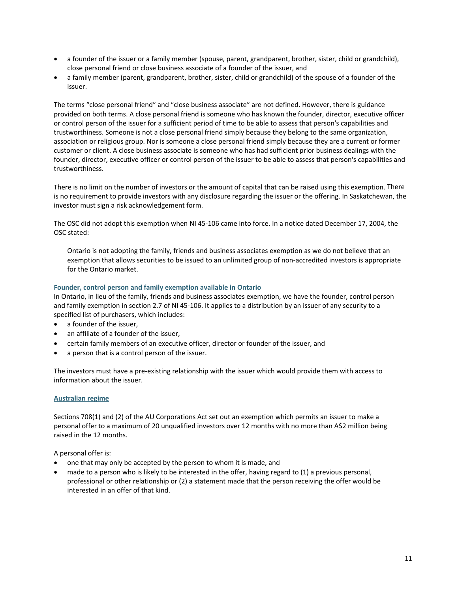- a founder of the issuer or a family member (spouse, parent, grandparent, brother, sister, child or grandchild), close personal friend or close business associate of a founder of the issuer, and
- a family member (parent, grandparent, brother, sister, child or grandchild) of the spouse of a founder of the issuer.

The terms "close personal friend" and "close business associate" are not defined. However, there is guidance provided on both terms. A close personal friend is someone who has known the founder, director, executive officer or control person of the issuer for a sufficient period of time to be able to assess that person's capabilities and trustworthiness. Someone is not a close personal friend simply because they belong to the same organization, association or religious group. Nor is someone a close personal friend simply because they are a current or former customer or client. A close business associate is someone who has had sufficient prior business dealings with the founder, director, executive officer or control person of the issuer to be able to assess that person's capabilities and trustworthiness.

There is no limit on the number of investors or the amount of capital that can be raised using this exemption. There is no requirement to provide investors with any disclosure regarding the issuer or the offering. In Saskatchewan, the investor must sign a risk acknowledgement form.

The OSC did not adopt this exemption when NI 45-106 came into force. In a notice dated December 17, 2004, the OSC stated:

Ontario is not adopting the family, friends and business associates exemption as we do not believe that an exemption that allows securities to be issued to an unlimited group of non-accredited investors is appropriate for the Ontario market.

# **Founder, control person and family exemption available in Ontario**

In Ontario, in lieu of the family, friends and business associates exemption, we have the founder, control person and family exemption in section 2.7 of NI 45-106. It applies to a distribution by an issuer of any security to a specified list of purchasers, which includes:

- a founder of the issuer,
- an affiliate of a founder of the issuer,
- certain family members of an executive officer, director or founder of the issuer, and
- a person that is a control person of the issuer.

The investors must have a pre‐existing relationship with the issuer which would provide them with access to information about the issuer.

# **Australian regime**

Sections 708(1) and (2) of the AU Corporations Act set out an exemption which permits an issuer to make a personal offer to a maximum of 20 unqualified investors over 12 months with no more than A\$2 million being raised in the 12 months.

A personal offer is:

- one that may only be accepted by the person to whom it is made, and
- made to a person who is likely to be interested in the offer, having regard to (1) a previous personal, professional or other relationship or (2) a statement made that the person receiving the offer would be interested in an offer of that kind.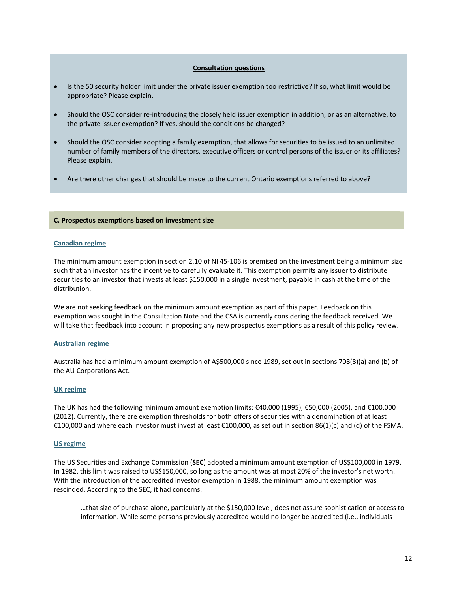## **Consultation questions**

- Is the 50 security holder limit under the private issuer exemption too restrictive? If so, what limit would be appropriate? Please explain.
- Should the OSC consider re‐introducing the closely held issuer exemption in addition, or as an alternative, to the private issuer exemption? If yes, should the conditions be changed?
- Should the OSC consider adopting a family exemption, that allows for securities to be issued to an unlimited number of family members of the directors, executive officers or control persons of the issuer or its affiliates? Please explain.
- Are there other changes that should be made to the current Ontario exemptions referred to above?

## **C. Prospectus exemptions based on investment size**

## **Canadian regime**

The minimum amount exemption in section 2.10 of NI 45-106 is premised on the investment being a minimum size such that an investor has the incentive to carefully evaluate it. This exemption permits any issuer to distribute securities to an investor that invests at least \$150,000 in a single investment, payable in cash at the time of the distribution.

We are not seeking feedback on the minimum amount exemption as part of this paper. Feedback on this exemption was sought in the Consultation Note and the CSA is currently considering the feedback received. We will take that feedback into account in proposing any new prospectus exemptions as a result of this policy review.

## **Australian regime**

Australia has had a minimum amount exemption of A\$500,000 since 1989, set out in sections 708(8)(a) and (b) of the AU Corporations Act.

## **UK regime**

The UK has had the following minimum amount exemption limits: €40,000 (1995), €50,000 (2005), and €100,000 (2012). Currently, there are exemption thresholds for both offers of securities with a denomination of at least €100,000 and where each investor must invest at least €100,000, as set out in section 86(1)(c) and (d) of the FSMA.

## **US regime**

The US Securities and Exchange Commission (**SEC**) adopted a minimum amount exemption of US\$100,000 in 1979. In 1982, this limit was raised to US\$150,000, so long as the amount was at most 20% of the investor's net worth. With the introduction of the accredited investor exemption in 1988, the minimum amount exemption was rescinded. According to the SEC, it had concerns:

…that size of purchase alone, particularly at the \$150,000 level, does not assure sophistication or access to information. While some persons previously accredited would no longer be accredited (i.e., individuals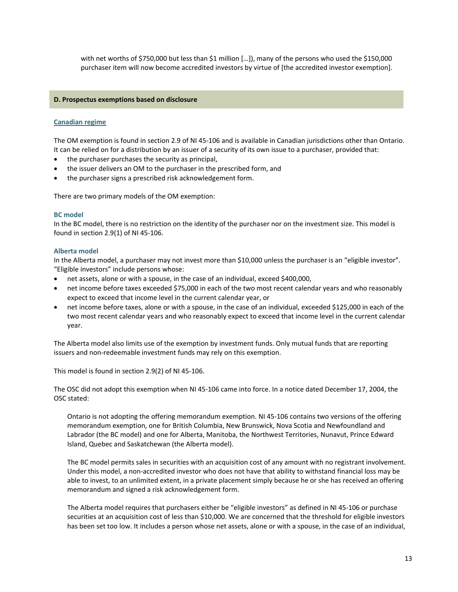with net worths of \$750,000 but less than \$1 million […]), many of the persons who used the \$150,000 purchaser item will now become accredited investors by virtue of [the accredited investor exemption].

## **D. Prospectus exemptions based on disclosure**

## **Canadian regime**

The OM exemption is found in section 2.9 of NI 45-106 and is available in Canadian jurisdictions other than Ontario. It can be relied on for a distribution by an issuer of a security of its own issue to a purchaser, provided that:

- the purchaser purchases the security as principal,
- the issuer delivers an OM to the purchaser in the prescribed form, and
- the purchaser signs a prescribed risk acknowledgement form.

There are two primary models of the OM exemption:

## **BC model**

In the BC model, there is no restriction on the identity of the purchaser nor on the investment size. This model is found in section 2.9(1) of NI 45‐106.

## **Alberta model**

In the Alberta model, a purchaser may not invest more than \$10,000 unless the purchaser is an "eligible investor". "Eligible investors" include persons whose:

- net assets, alone or with a spouse, in the case of an individual, exceed \$400,000,
- net income before taxes exceeded \$75,000 in each of the two most recent calendar years and who reasonably expect to exceed that income level in the current calendar year, or
- net income before taxes, alone or with a spouse, in the case of an individual, exceeded \$125,000 in each of the two most recent calendar years and who reasonably expect to exceed that income level in the current calendar year.

The Alberta model also limits use of the exemption by investment funds. Only mutual funds that are reporting issuers and non-redeemable investment funds may rely on this exemption.

This model is found in section 2.9(2) of NI 45‐106.

The OSC did not adopt this exemption when NI 45-106 came into force. In a notice dated December 17, 2004, the OSC stated:

Ontario is not adopting the offering memorandum exemption. NI 45‐106 contains two versions of the offering memorandum exemption, one for British Columbia, New Brunswick, Nova Scotia and Newfoundland and Labrador (the BC model) and one for Alberta, Manitoba, the Northwest Territories, Nunavut, Prince Edward Island, Quebec and Saskatchewan (the Alberta model).

The BC model permits sales in securities with an acquisition cost of any amount with no registrant involvement. Under this model, a non‐accredited investor who does not have that ability to withstand financial loss may be able to invest, to an unlimited extent, in a private placement simply because he or she has received an offering memorandum and signed a risk acknowledgement form.

The Alberta model requires that purchasers either be "eligible investors" as defined in NI 45‐106 or purchase securities at an acquisition cost of less than \$10,000. We are concerned that the threshold for eligible investors has been set too low. It includes a person whose net assets, alone or with a spouse, in the case of an individual,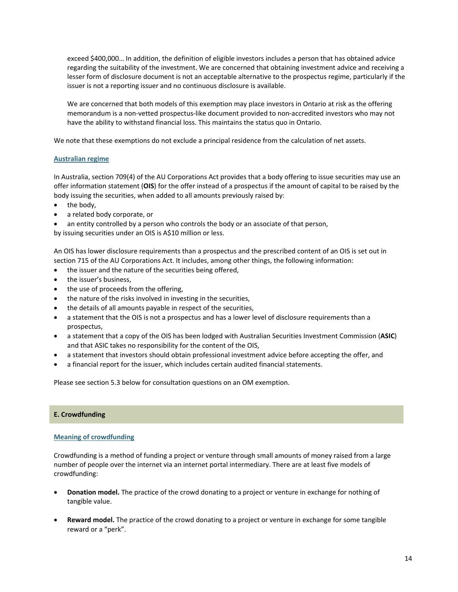exceed \$400,000… In addition, the definition of eligible investors includes a person that has obtained advice regarding the suitability of the investment. We are concerned that obtaining investment advice and receiving a lesser form of disclosure document is not an acceptable alternative to the prospectus regime, particularly if the issuer is not a reporting issuer and no continuous disclosure is available.

We are concerned that both models of this exemption may place investors in Ontario at risk as the offering memorandum is a non‐vetted prospectus‐like document provided to non‐accredited investors who may not have the ability to withstand financial loss. This maintains the status quo in Ontario.

We note that these exemptions do not exclude a principal residence from the calculation of net assets.

## **Australian regime**

In Australia, section 709(4) of the AU Corporations Act provides that a body offering to issue securities may use an offer information statement (**OIS**) for the offer instead of a prospectus if the amount of capital to be raised by the body issuing the securities, when added to all amounts previously raised by:

- the body,
- a related body corporate, or
- an entity controlled by a person who controls the body or an associate of that person,

by issuing securities under an OIS is A\$10 million or less.

An OIS has lower disclosure requirements than a prospectus and the prescribed content of an OIS is set out in section 715 of the AU Corporations Act. It includes, among other things, the following information:

- the issuer and the nature of the securities being offered,
- the issuer's business,
- the use of proceeds from the offering,
- the nature of the risks involved in investing in the securities,
- the details of all amounts payable in respect of the securities,
- a statement that the OIS is not a prospectus and has a lower level of disclosure requirements than a prospectus,
- a statement that a copy of the OIS has been lodged with Australian Securities Investment Commission (**ASIC**) and that ASIC takes no responsibility for the content of the OIS,
- a statement that investors should obtain professional investment advice before accepting the offer, and
- a financial report for the issuer, which includes certain audited financial statements.

Please see section 5.3 below for consultation questions on an OM exemption.

## **E. Crowdfunding**

## **Meaning of crowdfunding**

Crowdfunding is a method of funding a project or venture through small amounts of money raised from a large number of people over the internet via an internet portal intermediary. There are at least five models of crowdfunding:

- **Donation model.** The practice of the crowd donating to a project or venture in exchange for nothing of tangible value.
- **Reward model.** The practice of the crowd donating to a project or venture in exchange for some tangible reward or a "perk".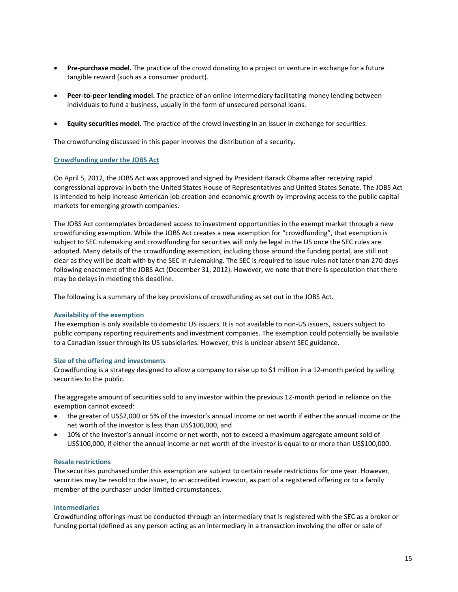- **•** Pre-purchase model. The practice of the crowd donating to a project or venture in exchange for a future tangible reward (such as a consumer product).
- **Peer‐to‐peer lending model.** The practice of an online intermediary facilitating money lending between individuals to fund a business, usually in the form of unsecured personal loans.
- **Equity securities model.** The practice of the crowd investing in an issuer in exchange for securities.

The crowdfunding discussed in this paper involves the distribution of a security.

## **Crowdfunding under the JOBS Act**

On April 5, 2012, the JOBS Act was approved and signed by President Barack Obama after receiving rapid congressional approval in both the United States House of Representatives and United States Senate. The JOBS Act is intended to help increase American job creation and economic growth by improving access to the public capital markets for emerging growth companies.

The JOBS Act contemplates broadened access to investment opportunities in the exempt market through a new crowdfunding exemption. While the JOBS Act creates a new exemption for "crowdfunding", that exemption is subject to SEC rulemaking and crowdfunding for securities will only be legal in the US once the SEC rules are adopted. Many details of the crowdfunding exemption, including those around the funding portal, are still not clear as they will be dealt with by the SEC in rulemaking. The SEC is required to issue rules not later than 270 days following enactment of the JOBS Act (December 31, 2012). However, we note that there is speculation that there may be delays in meeting this deadline.

The following is a summary of the key provisions of crowdfunding as set out in the JOBS Act.

## **Availability of the exemption**

The exemption is only available to domestic US issuers. It is not available to non‐US issuers, issuers subject to public company reporting requirements and investment companies. The exemption could potentially be available to a Canadian issuer through its US subsidiaries. However, this is unclear absent SEC guidance.

#### **Size of the offering and investments**

Crowdfunding is a strategy designed to allow a company to raise up to \$1 million in a 12‐month period by selling securities to the public.

The aggregate amount of securities sold to any investor within the previous 12‐month period in reliance on the exemption cannot exceed:

- the greater of US\$2,000 or 5% of the investor's annual income or net worth if either the annual income or the net worth of the investor is less than US\$100,000, and
- 10% of the investor's annual income or net worth, not to exceed a maximum aggregate amount sold of US\$100,000, if either the annual income or net worth of the investor is equal to or more than US\$100,000.

## **Resale restrictions**

The securities purchased under this exemption are subject to certain resale restrictions for one year. However, securities may be resold to the issuer, to an accredited investor, as part of a registered offering or to a family member of the purchaser under limited circumstances.

## **Intermediaries**

Crowdfunding offerings must be conducted through an intermediary that is registered with the SEC as a broker or funding portal (defined as any person acting as an intermediary in a transaction involving the offer or sale of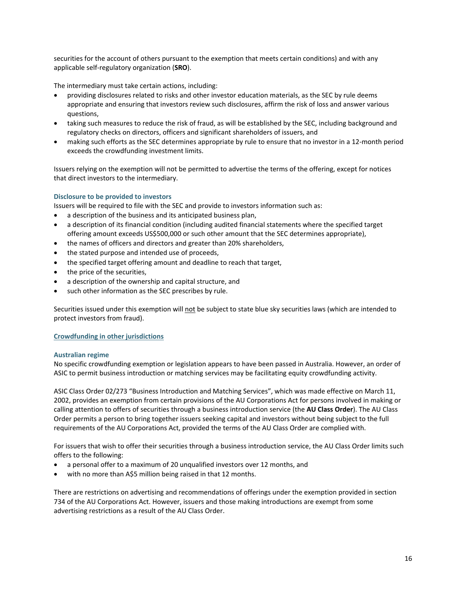securities for the account of others pursuant to the exemption that meets certain conditions) and with any applicable self‐regulatory organization (**SRO**).

The intermediary must take certain actions, including:

- providing disclosures related to risks and other investor education materials, as the SEC by rule deems appropriate and ensuring that investors review such disclosures, affirm the risk of loss and answer various questions,
- taking such measures to reduce the risk of fraud, as will be established by the SEC, including background and regulatory checks on directors, officers and significant shareholders of issuers, and
- making such efforts as the SEC determines appropriate by rule to ensure that no investor in a 12‐month period exceeds the crowdfunding investment limits.

Issuers relying on the exemption will not be permitted to advertise the terms of the offering, except for notices that direct investors to the intermediary.

## **Disclosure to be provided to investors**

Issuers will be required to file with the SEC and provide to investors information such as:

- a description of the business and its anticipated business plan,
- a description of its financial condition (including audited financial statements where the specified target offering amount exceeds US\$500,000 or such other amount that the SEC determines appropriate),
- the names of officers and directors and greater than 20% shareholders,
- the stated purpose and intended use of proceeds,
- the specified target offering amount and deadline to reach that target,
- the price of the securities,
- a description of the ownership and capital structure, and
- such other information as the SEC prescribes by rule.

Securities issued under this exemption will not be subject to state blue sky securities laws (which are intended to protect investors from fraud).

# **Crowdfunding in other jurisdictions**

## **Australian regime**

No specific crowdfunding exemption or legislation appears to have been passed in Australia. However, an order of ASIC to permit business introduction or matching services may be facilitating equity crowdfunding activity.

ASIC Class Order 02/273 "Business Introduction and Matching Services", which was made effective on March 11, 2002, provides an exemption from certain provisions of the AU Corporations Act for persons involved in making or calling attention to offers of securities through a business introduction service (the **AU Class Order**). The AU Class Order permits a person to bring together issuers seeking capital and investors without being subject to the full requirements of the AU Corporations Act, provided the terms of the AU Class Order are complied with.

For issuers that wish to offer their securities through a business introduction service, the AU Class Order limits such offers to the following:

- a personal offer to a maximum of 20 unqualified investors over 12 months, and
- with no more than A\$5 million being raised in that 12 months.

There are restrictions on advertising and recommendations of offerings under the exemption provided in section 734 of the AU Corporations Act. However, issuers and those making introductions are exempt from some advertising restrictions as a result of the AU Class Order.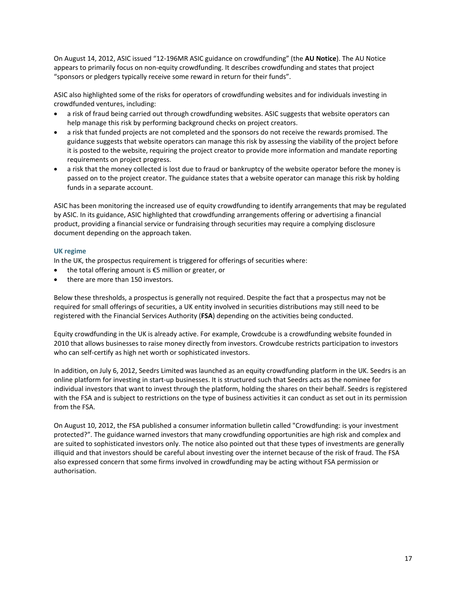On August 14, 2012, ASIC issued "12‐196MR ASIC guidance on crowdfunding" (the **AU Notice**). The AU Notice appears to primarily focus on non‐equity crowdfunding. It describes crowdfunding and states that project "sponsors or pledgers typically receive some reward in return for their funds".

ASIC also highlighted some of the risks for operators of crowdfunding websites and for individuals investing in crowdfunded ventures, including:

- a risk of fraud being carried out through crowdfunding websites. ASIC suggests that website operators can help manage this risk by performing background checks on project creators.
- a risk that funded projects are not completed and the sponsors do not receive the rewards promised. The guidance suggests that website operators can manage this risk by assessing the viability of the project before it is posted to the website, requiring the project creator to provide more information and mandate reporting requirements on project progress.
- a risk that the money collected is lost due to fraud or bankruptcy of the website operator before the money is passed on to the project creator. The guidance states that a website operator can manage this risk by holding funds in a separate account.

ASIC has been monitoring the increased use of equity crowdfunding to identify arrangements that may be regulated by ASIC. In its guidance, ASIC highlighted that crowdfunding arrangements offering or advertising a financial product, providing a financial service or fundraising through securities may require a complying disclosure document depending on the approach taken.

# **UK regime**

In the UK, the prospectus requirement is triggered for offerings of securities where:

- the total offering amount is €5 million or greater, or
- there are more than 150 investors.

Below these thresholds, a prospectus is generally not required. Despite the fact that a prospectus may not be required for small offerings of securities, a UK entity involved in securities distributions may still need to be registered with the Financial Services Authority (**FSA**) depending on the activities being conducted.

Equity crowdfunding in the UK is already active. For example, Crowdcube is a crowdfunding website founded in 2010 that allows businesses to raise money directly from investors. Crowdcube restricts participation to investors who can self-certify as high net worth or sophisticated investors.

In addition, on July 6, 2012, Seedrs Limited was launched as an equity crowdfunding platform in the UK. Seedrs is an online platform for investing in start‐up businesses. It is structured such that Seedrs acts as the nominee for individual investors that want to invest through the platform, holding the shares on their behalf. Seedrs is registered with the FSA and is subject to restrictions on the type of business activities it can conduct as set out in its permission from the FSA.

On August 10, 2012, the FSA published a consumer information bulletin called "Crowdfunding: is your investment protected?". The guidance warned investors that many crowdfunding opportunities are high risk and complex and are suited to sophisticated investors only. The notice also pointed out that these types of investments are generally illiquid and that investors should be careful about investing over the internet because of the risk of fraud. The FSA also expressed concern that some firms involved in crowdfunding may be acting without FSA permission or authorisation.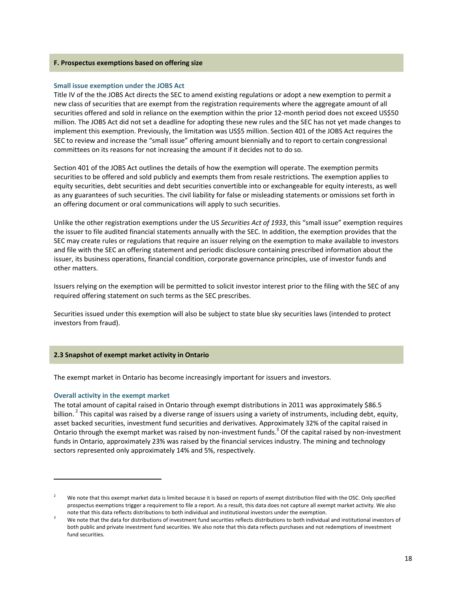### **F. Prospectus exemptions based on offering size**

## **Small issue exemption under the JOBS Act**

Title IV of the the JOBS Act directs the SEC to amend existing regulations or adopt a new exemption to permit a new class of securities that are exempt from the registration requirements where the aggregate amount of all securities offered and sold in reliance on the exemption within the prior 12-month period does not exceed US\$50 million. The JOBS Act did not set a deadline for adopting these new rules and the SEC has not yet made changes to implement this exemption. Previously, the limitation was US\$5 million. Section 401 of the JOBS Act requires the SEC to review and increase the "small issue" offering amount biennially and to report to certain congressional committees on its reasons for not increasing the amount if it decides not to do so.

Section 401 of the JOBS Act outlines the details of how the exemption will operate. The exemption permits securities to be offered and sold publicly and exempts them from resale restrictions. The exemption applies to equity securities, debt securities and debt securities convertible into or exchangeable for equity interests, as well as any guarantees of such securities. The civil liability for false or misleading statements or omissions set forth in an offering document or oral communications will apply to such securities.

Unlike the other registration exemptions under the US *Securities Act of 1933*, this "small issue" exemption requires the issuer to file audited financial statements annually with the SEC. In addition, the exemption provides that the SEC may create rules or regulations that require an issuer relying on the exemption to make available to investors and file with the SEC an offering statement and periodic disclosure containing prescribed information about the issuer, its business operations, financial condition, corporate governance principles, use of investor funds and other matters.

Issuers relying on the exemption will be permitted to solicit investor interest prior to the filing with the SEC of any required offering statement on such terms as the SEC prescribes.

Securities issued under this exemption will also be subject to state blue sky securities laws (intended to protect investors from fraud).

## **2.3 Snapshot of exempt market activity in Ontario**

The exempt market in Ontario has become increasingly important for issuers and investors.

#### **Overall activity in the exempt market**

The total amount of capital raised in Ontario through exempt distributions in 2011 was approximately \$86.5 billion. <sup>2</sup> This capital was raised by a diverse range of issuers using a variety of instruments, including debt, equity, asset backed securities, investment fund securities and derivatives. Approximately 32% of the capital raised in Ontario through the exempt market was raised by non-investment funds.<sup>3</sup> Of the capital raised by non-investment funds in Ontario, approximately 23% was raised by the financial services industry. The mining and technology sectors represented only approximately 14% and 5%, respectively.

<sup>2</sup> We note that this exempt market data is limited because it is based on reports of exempt distribution filed with the OSC. Only specified prospectus exemptions trigger a requirement to file a report. As a result, this data does not capture all exempt market activity. We also note that this data reflects distributions to both individual and institutional investors under the exemption.

<sup>3</sup> We note that the data for distributions of investment fund securities reflects distributions to both individual and institutional investors of both public and private investment fund securities. We also note that this data reflects purchases and not redemptions of investment fund securities.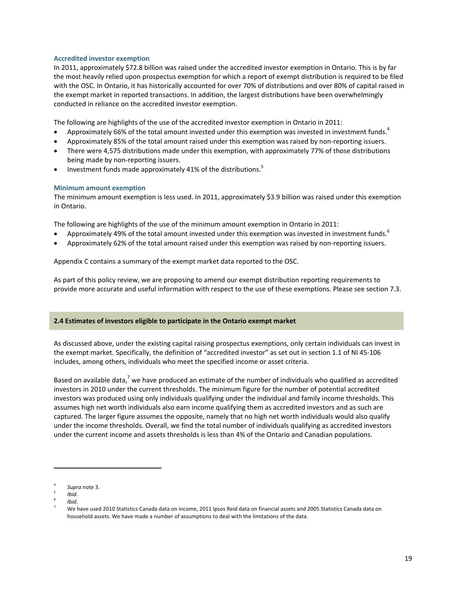## **Accredited investor exemption**

In 2011, approximately \$72.8 billion was raised under the accredited investor exemption in Ontario. This is by far the most heavily relied upon prospectus exemption for which a report of exempt distribution is required to be filed with the OSC. In Ontario, it has historically accounted for over 70% of distributions and over 80% of capital raised in the exempt market in reported transactions. In addition, the largest distributions have been overwhelmingly conducted in reliance on the accredited investor exemption.

The following are highlights of the use of the accredited investor exemption in Ontario in 2011:

- Approximately 66% of the total amount invested under this exemption was invested in investment funds.<sup>4</sup>
- Approximately 85% of the total amount raised under this exemption was raised by non‐reporting issuers.
- There were 4,575 distributions made under this exemption, with approximately 77% of those distributions being made by non‐reporting issuers.
- Investment funds made approximately 41% of the distributions.<sup>5</sup>

## **Minimum amount exemption**

The minimum amount exemption is less used. In 2011, approximately \$3.9 billion was raised under this exemption in Ontario.

The following are highlights of the use of the minimum amount exemption in Ontario in 2011:

- Approximately 49% of the total amount invested under this exemption was invested in investment funds.<sup>6</sup>
- Approximately 62% of the total amount raised under this exemption was raised by non‐reporting issuers.

Appendix C contains a summary of the exempt market data reported to the OSC.

As part of this policy review, we are proposing to amend our exempt distribution reporting requirements to provide more accurate and useful information with respect to the use of these exemptions. Please see section 7.3.

## **2.4 Estimates of investors eligible to participate in the Ontario exempt market**

As discussed above, under the existing capital raising prospectus exemptions, only certain individuals can invest in the exempt market. Specifically, the definition of "accredited investor" as set out in section 1.1 of NI 45‐106 includes, among others, individuals who meet the specified income or asset criteria.

Based on available data,<sup>7</sup> we have produced an estimate of the number of individuals who qualified as accredited investors in 2010 under the current thresholds. The minimum figure for the number of potential accredited investors was produced using only individuals qualifying under the individual and family income thresholds. This assumes high net worth individuals also earn income qualifying them as accredited investors and as such are captured. The larger figure assumes the opposite, namely that no high net worth individuals would also qualify under the income thresholds. Overall, we find the total number of individuals qualifying as accredited investors under the current income and assets thresholds is less than 4% of the Ontario and Canadian populations.

- 5 *Ibid*.
- 6 *Ibid*. 7

<sup>4</sup> *Supra* note 3.

 We have used 2010 Statistics Canada data on income, 2011 Ipsos Reid data on financial assets and 2005 Statistics Canada data on household assets. We have made a number of assumptions to deal with the limitations of the data.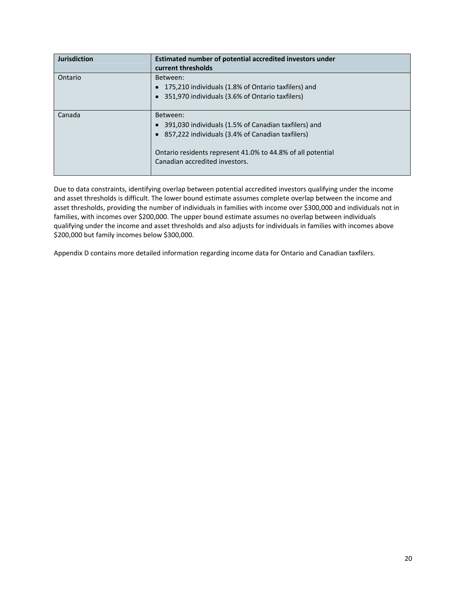| <b>Jurisdiction</b> | Estimated number of potential accredited investors under<br>current thresholds                                                                                                                                          |
|---------------------|-------------------------------------------------------------------------------------------------------------------------------------------------------------------------------------------------------------------------|
| Ontario             | Between:<br>175,210 individuals (1.8% of Ontario taxfilers) and<br>351,970 individuals (3.6% of Ontario taxfilers)                                                                                                      |
| Canada              | Between:<br>391,030 individuals (1.5% of Canadian taxfilers) and<br>• 857,222 individuals (3.4% of Canadian taxfilers)<br>Ontario residents represent 41.0% to 44.8% of all potential<br>Canadian accredited investors. |

Due to data constraints, identifying overlap between potential accredited investors qualifying under the income and asset thresholds is difficult. The lower bound estimate assumes complete overlap between the income and asset thresholds, providing the number of individuals in families with income over \$300,000 and individuals not in families, with incomes over \$200,000. The upper bound estimate assumes no overlap between individuals qualifying under the income and asset thresholds and also adjusts for individuals in families with incomes above \$200,000 but family incomes below \$300,000.

Appendix D contains more detailed information regarding income data for Ontario and Canadian taxfilers.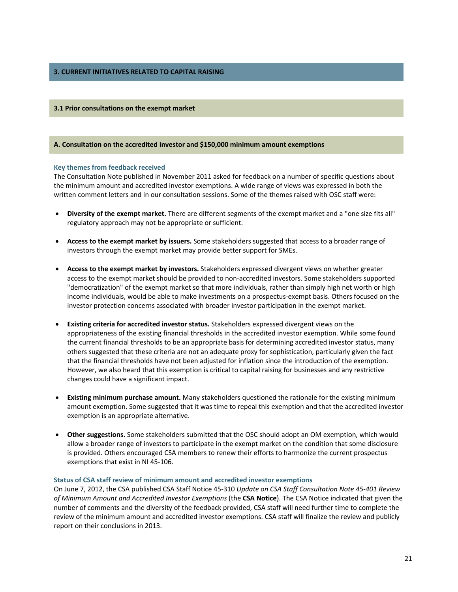# **3. CURRENT INITIATIVES RELATED TO CAPITAL RAISING**

### **3.1 Prior consultations on the exempt market**

### **A. Consultation on the accredited investor and \$150,000 minimum amount exemptions**

#### **Key themes from feedback received**

The Consultation Note published in November 2011 asked for feedback on a number of specific questions about the minimum amount and accredited investor exemptions. A wide range of views was expressed in both the written comment letters and in our consultation sessions. Some of the themes raised with OSC staff were:

- **Diversity of the exempt market.** There are different segments of the exempt market and a "one size fits all" regulatory approach may not be appropriate or sufficient.
- **Access to the exempt market by issuers.** Some stakeholders suggested that access to a broader range of investors through the exempt market may provide better support for SMEs.
- **Access to the exempt market by investors.** Stakeholders expressed divergent views on whether greater access to the exempt market should be provided to non‐accredited investors. Some stakeholders supported "democratization" of the exempt market so that more individuals, rather than simply high net worth or high income individuals, would be able to make investments on a prospectus‐exempt basis. Others focused on the investor protection concerns associated with broader investor participation in the exempt market.
- **Existing criteria for accredited investor status.** Stakeholders expressed divergent views on the appropriateness of the existing financial thresholds in the accredited investor exemption. While some found the current financial thresholds to be an appropriate basis for determining accredited investor status, many others suggested that these criteria are not an adequate proxy for sophistication, particularly given the fact that the financial thresholds have not been adjusted for inflation since the introduction of the exemption. However, we also heard that this exemption is critical to capital raising for businesses and any restrictive changes could have a significant impact.
- **Existing minimum purchase amount.** Many stakeholders questioned the rationale for the existing minimum amount exemption. Some suggested that it was time to repeal this exemption and that the accredited investor exemption is an appropriate alternative.
- **Other suggestions.** Some stakeholders submitted that the OSC should adopt an OM exemption, which would allow a broader range of investors to participate in the exempt market on the condition that some disclosure is provided. Others encouraged CSA members to renew their efforts to harmonize the current prospectus exemptions that exist in NI 45‐106*.*

## **Status of CSA staff review of minimum amount and accredited investor exemptions**

On June 7, 2012, the CSA published CSA Staff Notice 45‐310 *Update on CSA Staff Consultation Note 45‐401 Review of Minimum Amount and Accredited Investor Exemptions* (the **CSA Notice**). The CSA Notice indicated that given the number of comments and the diversity of the feedback provided, CSA staff will need further time to complete the review of the minimum amount and accredited investor exemptions. CSA staff will finalize the review and publicly report on their conclusions in 2013.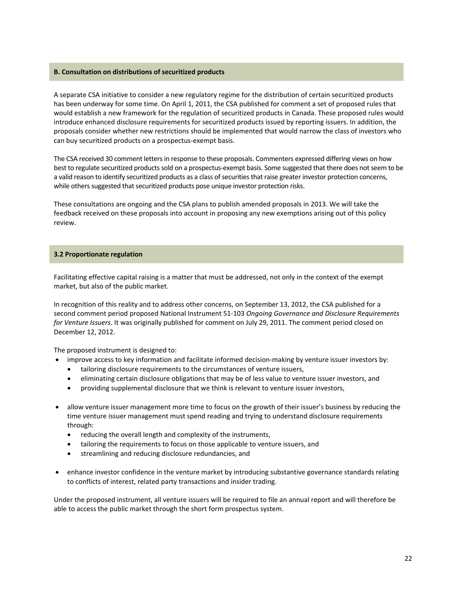## **B. Consultation on distributions of securitized products**

A separate CSA initiative to consider a new regulatory regime for the distribution of certain securitized products has been underway for some time. On April 1, 2011, the CSA published for comment a set of proposed rules that would establish a new framework for the regulation of securitized products in Canada. These proposed rules would introduce enhanced disclosure requirements for securitized products issued by reporting issuers. In addition, the proposals consider whether new restrictions should be implemented that would narrow the class of investors who can buy securitized products on a prospectus‐exempt basis.

The CSA received 30 comment letters in response to these proposals. Commenters expressed differing views on how best to regulate securitized products sold on a prospectus-exempt basis. Some suggested that there does not seem to be a valid reason to identify securitized products as a class of securities that raise greater investor protection concerns, while others suggested that securitized products pose unique investor protection risks.

These consultations are ongoing and the CSA plans to publish amended proposals in 2013. We will take the feedback received on these proposals into account in proposing any new exemptions arising out of this policy review.

## **3.2 Proportionate regulation**

Facilitating effective capital raising is a matter that must be addressed, not only in the context of the exempt market, but also of the public market.

In recognition of this reality and to address other concerns, on September 13, 2012, the CSA published for a second comment period proposed National Instrument 51‐103 *Ongoing Governance and Disclosure Requirements for Venture Issuers*. It was originally published for comment on July 29, 2011. The comment period closed on December 12, 2012.

The proposed instrument is designed to:

- improve access to key information and facilitate informed decision-making by venture issuer investors by:
	- tailoring disclosure requirements to the circumstances of venture issuers,
	- eliminating certain disclosure obligations that may be of less value to venture issuer investors, and
	- providing supplemental disclosure that we think is relevant to venture issuer investors,
- allow venture issuer management more time to focus on the growth of their issuer's business by reducing the time venture issuer management must spend reading and trying to understand disclosure requirements through:
	- reducing the overall length and complexity of the instruments,
	- tailoring the requirements to focus on those applicable to venture issuers, and
	- streamlining and reducing disclosure redundancies, and
- enhance investor confidence in the venture market by introducing substantive governance standards relating to conflicts of interest, related party transactions and insider trading.

Under the proposed instrument, all venture issuers will be required to file an annual report and will therefore be able to access the public market through the short form prospectus system.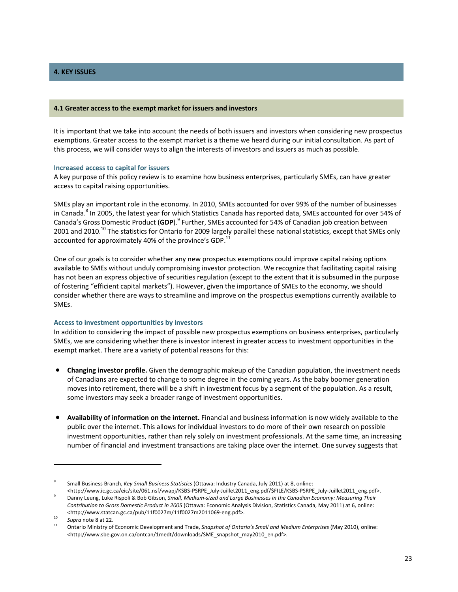# **4. KEY ISSUES**

#### **4.1 Greater access to the exempt market for issuers and investors**

It is important that we take into account the needs of both issuers and investors when considering new prospectus exemptions. Greater access to the exempt market is a theme we heard during our initial consultation. As part of this process, we will consider ways to align the interests of investors and issuers as much as possible.

### **Increased access to capital for issuers**

A key purpose of this policy review is to examine how business enterprises, particularly SMEs, can have greater access to capital raising opportunities.

SMEs play an important role in the economy. In 2010, SMEs accounted for over 99% of the number of businesses in Canada.<sup>8</sup> In 2005, the latest year for which Statistics Canada has reported data, SMEs accounted for over 54% of Canada's Gross Domestic Product (**GDP**).9 Further, SMEs accounted for 54% of Canadian job creation between 2001 and 2010.<sup>10</sup> The statistics for Ontario for 2009 largely parallel these national statistics, except that SMEs only accounted for approximately 40% of the province's GDP.<sup>11</sup>

One of our goals is to consider whether any new prospectus exemptions could improve capital raising options available to SMEs without unduly compromising investor protection. We recognize that facilitating capital raising has not been an express objective of securities regulation (except to the extent that it is subsumed in the purpose of fostering "efficient capital markets"). However, given the importance of SMEs to the economy, we should consider whether there are ways to streamline and improve on the prospectus exemptions currently available to SMEs.

## **Access to investment opportunities by investors**

In addition to considering the impact of possible new prospectus exemptions on business enterprises, particularly SMEs, we are considering whether there is investor interest in greater access to investment opportunities in the exempt market. There are a variety of potential reasons for this:

- **Changing investor profile.** Given the demographic makeup of the Canadian population, the investment needs of Canadians are expected to change to some degree in the coming years. As the baby boomer generation moves into retirement, there will be a shift in investment focus by a segment of the population. As a result, some investors may seek a broader range of investment opportunities.
- **Availability of information on the internet.** Financial and business information is now widely available to the public over the internet. This allows for individual investors to do more of their own research on possible investment opportunities, rather than rely solely on investment professionals. At the same time, an increasing number of financial and investment transactions are taking place over the internet. One survey suggests that

<sup>8</sup> Small Business Branch, *Key Small Business Statistics* (Ottawa: Industry Canada, July 2011) at 8, online:

<sup>&</sup>lt;http://www.ic.gc.ca/eic/site/061.nsf/vwapj/KSBS‐PSRPE\_July‐Juillet2011\_eng.pdf/\$FILE/KSBS‐PSRPE\_July‐Juillet2011\_eng.pdf>. <sup>9</sup> Danny Leung, Luke Rispoli & Bob Gibson, *Small, Medium‐sized and Large Businesses in the Canadian Economy: Measuring Their Contribution to Gross Domestic Product in 2005* (Ottawa: Economic Analysis Division, Statistics Canada, May 2011) at 6, online: <http://www.statcan.gc.ca/pub/11f0027m/11f0027m2011069‐eng.pdf>.

<sup>10</sup> *Supra* note <sup>8</sup> at 22. <sup>11</sup> Ontario Ministry of Economic Development and Trade, *Snapshot of Ontario's Small and Medium Enterprises* (May 2010), online: <http://www.sbe.gov.on.ca/ontcan/1medt/downloads/SME\_snapshot\_may2010\_en.pdf>.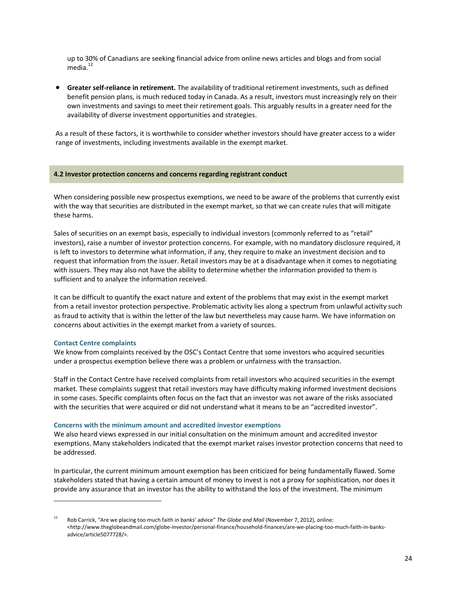up to 30% of Canadians are seeking financial advice from online news articles and blogs and from social media. $12$ 

 **Greater self‐reliance in retirement.** The availability of traditional retirement investments, such as defined benefit pension plans, is much reduced today in Canada. As a result, investors must increasingly rely on their own investments and savings to meet their retirement goals. This arguably results in a greater need for the availability of diverse investment opportunities and strategies.

As a result of these factors, it is worthwhile to consider whether investors should have greater access to a wider range of investments, including investments available in the exempt market.

### **4.2 Investor protection concerns and concerns regarding registrant conduct**

When considering possible new prospectus exemptions, we need to be aware of the problems that currently exist with the way that securities are distributed in the exempt market, so that we can create rules that will mitigate these harms.

Sales of securities on an exempt basis, especially to individual investors (commonly referred to as "retail" investors), raise a number of investor protection concerns. For example, with no mandatory disclosure required, it is left to investors to determine what information, if any, they require to make an investment decision and to request that information from the issuer. Retail investors may be at a disadvantage when it comes to negotiating with issuers. They may also not have the ability to determine whether the information provided to them is sufficient and to analyze the information received.

It can be difficult to quantify the exact nature and extent of the problems that may exist in the exempt market from a retail investor protection perspective. Problematic activity lies along a spectrum from unlawful activity such as fraud to activity that is within the letter of the law but nevertheless may cause harm. We have information on concerns about activities in the exempt market from a variety of sources.

## **Contact Centre complaints**

We know from complaints received by the OSC's Contact Centre that some investors who acquired securities under a prospectus exemption believe there was a problem or unfairness with the transaction.

Staff in the Contact Centre have received complaints from retail investors who acquired securities in the exempt market. These complaints suggest that retail investors may have difficulty making informed investment decisions in some cases. Specific complaints often focus on the fact that an investor was not aware of the risks associated with the securities that were acquired or did not understand what it means to be an "accredited investor".

#### **Concerns with the minimum amount and accredited investor exemptions**

We also heard views expressed in our initial consultation on the minimum amount and accredited investor exemptions. Many stakeholders indicated that the exempt market raises investor protection concerns that need to be addressed.

In particular, the current minimum amount exemption has been criticized for being fundamentally flawed. Some stakeholders stated that having a certain amount of money to invest is not a proxy for sophistication, nor does it provide any assurance that an investor has the ability to withstand the loss of the investment. The minimum

<sup>12</sup> Rob Carrick, "Are we placing too much faith in banks' advice" *The Globe and Mail* (November 7, 2012), online: <http://www.theglobeandmail.com/globe‐investor/personal‐finance/household‐finances/are‐we‐placing‐too‐much‐faith‐in‐banks‐ advice/article5077728/>.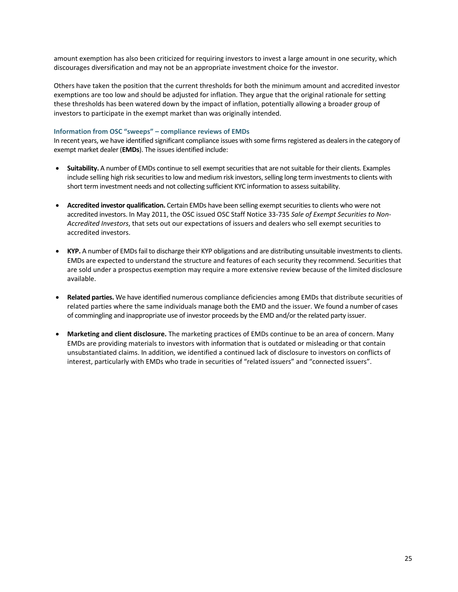amount exemption has also been criticized for requiring investors to invest a large amount in one security, which discourages diversification and may not be an appropriate investment choice for the investor.

Others have taken the position that the current thresholds for both the minimum amount and accredited investor exemptions are too low and should be adjusted for inflation. They argue that the original rationale for setting these thresholds has been watered down by the impact of inflation, potentially allowing a broader group of investors to participate in the exempt market than was originally intended.

# **Information from OSC "sweeps" – compliance reviews of EMDs**

In recent years, we have identified significant compliance issues with some firms registered as dealers in the category of exempt market dealer (**EMDs**). The issues identified include:

- **Suitability.** A number of EMDs continue to sell exempt securities that are not suitable for their clients. Examples include selling high risk securities to low and medium risk investors, selling long term investments to clients with short term investment needs and not collecting sufficient KYC information to assess suitability.
- **Accredited investor qualification.** Certain EMDs have been selling exempt securities to clients who were not accredited investors. In May 2011, the OSC issued OSC Staff Notice 33‐735 *Sale of Exempt Securities to Non‐ Accredited Investors*, that sets out our expectations of issuers and dealers who sell exempt securities to accredited investors.
- **KYP.** A number of EMDs fail to discharge their KYP obligations and are distributing unsuitable investments to clients. EMDs are expected to understand the structure and features of each security they recommend. Securities that are sold under a prospectus exemption may require a more extensive review because of the limited disclosure available.
- **Related parties.** We have identified numerous compliance deficiencies among EMDs that distribute securities of related parties where the same individuals manage both the EMD and the issuer. We found a number of cases of commingling and inappropriate use of investor proceeds by the EMD and/or the related party issuer.
- **Marketing and client disclosure.** The marketing practices of EMDs continue to be an area of concern. Many EMDs are providing materials to investors with information that is outdated or misleading or that contain unsubstantiated claims. In addition, we identified a continued lack of disclosure to investors on conflicts of interest, particularly with EMDs who trade in securities of "related issuers" and "connected issuers".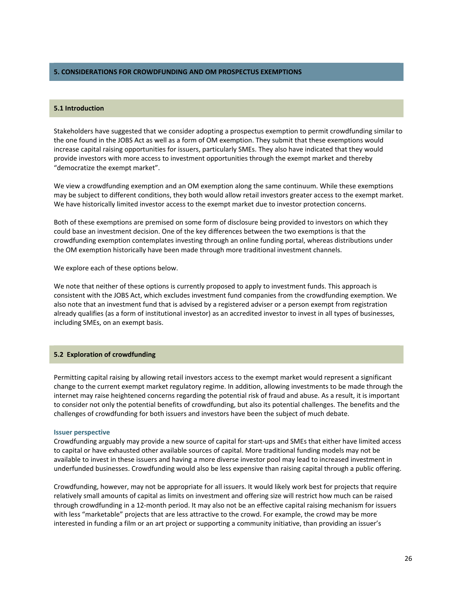### **5. CONSIDERATIONS FOR CROWDFUNDING AND OM PROSPECTUS EXEMPTIONS**

## **5.1 Introduction**

Stakeholders have suggested that we consider adopting a prospectus exemption to permit crowdfunding similar to the one found in the JOBS Act as well as a form of OM exemption. They submit that these exemptions would increase capital raising opportunities for issuers, particularly SMEs. They also have indicated that they would provide investors with more access to investment opportunities through the exempt market and thereby "democratize the exempt market".

We view a crowdfunding exemption and an OM exemption along the same continuum. While these exemptions may be subject to different conditions, they both would allow retail investors greater access to the exempt market. We have historically limited investor access to the exempt market due to investor protection concerns.

Both of these exemptions are premised on some form of disclosure being provided to investors on which they could base an investment decision. One of the key differences between the two exemptions is that the crowdfunding exemption contemplates investing through an online funding portal, whereas distributions under the OM exemption historically have been made through more traditional investment channels.

We explore each of these options below.

We note that neither of these options is currently proposed to apply to investment funds. This approach is consistent with the JOBS Act, which excludes investment fund companies from the crowdfunding exemption. We also note that an investment fund that is advised by a registered adviser or a person exempt from registration already qualifies (as a form of institutional investor) as an accredited investor to invest in all types of businesses, including SMEs, on an exempt basis.

### **5.2 Exploration of crowdfunding**

Permitting capital raising by allowing retail investors access to the exempt market would represent a significant change to the current exempt market regulatory regime. In addition, allowing investments to be made through the internet may raise heightened concerns regarding the potential risk of fraud and abuse. As a result, it is important to consider not only the potential benefits of crowdfunding, but also its potential challenges. The benefits and the challenges of crowdfunding for both issuers and investors have been the subject of much debate.

#### **Issuer perspective**

Crowdfunding arguably may provide a new source of capital for start‐ups and SMEs that either have limited access to capital or have exhausted other available sources of capital. More traditional funding models may not be available to invest in these issuers and having a more diverse investor pool may lead to increased investment in underfunded businesses. Crowdfunding would also be less expensive than raising capital through a public offering.

Crowdfunding, however, may not be appropriate for all issuers. It would likely work best for projects that require relatively small amounts of capital as limits on investment and offering size will restrict how much can be raised through crowdfunding in a 12‐month period. It may also not be an effective capital raising mechanism for issuers with less "marketable" projects that are less attractive to the crowd. For example, the crowd may be more interested in funding a film or an art project or supporting a community initiative, than providing an issuer's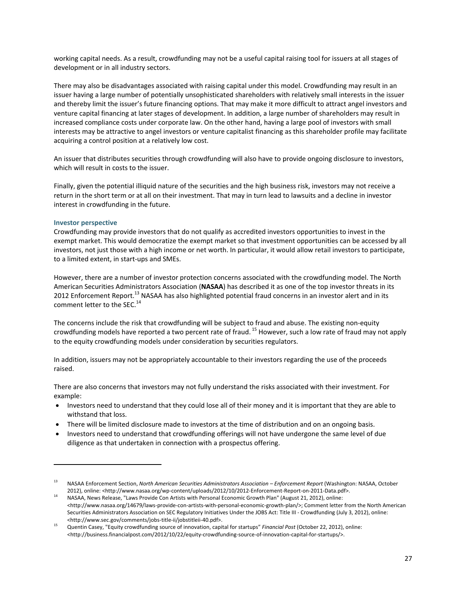working capital needs. As a result, crowdfunding may not be a useful capital raising tool for issuers at all stages of development or in all industry sectors.

There may also be disadvantages associated with raising capital under this model. Crowdfunding may result in an issuer having a large number of potentially unsophisticated shareholders with relatively small interests in the issuer and thereby limit the issuer's future financing options. That may make it more difficult to attract angel investors and venture capital financing at later stages of development. In addition, a large number of shareholders may result in increased compliance costs under corporate law. On the other hand, having a large pool of investors with small interests may be attractive to angel investors or venture capitalist financing as this shareholder profile may facilitate acquiring a control position at a relatively low cost.

An issuer that distributes securities through crowdfunding will also have to provide ongoing disclosure to investors, which will result in costs to the issuer.

Finally, given the potential illiquid nature of the securities and the high business risk, investors may not receive a return in the short term or at all on their investment. That may in turn lead to lawsuits and a decline in investor interest in crowdfunding in the future.

## **Investor perspective**

Crowdfunding may provide investors that do not qualify as accredited investors opportunities to invest in the exempt market. This would democratize the exempt market so that investment opportunities can be accessed by all investors, not just those with a high income or net worth. In particular, it would allow retail investors to participate, to a limited extent, in start‐ups and SMEs.

However, there are a number of investor protection concerns associated with the crowdfunding model. The North American Securities Administrators Association (**NASAA**) has described it as one of the top investor threats in its 2012 Enforcement Report.<sup>13</sup> NASAA has also highlighted potential fraud concerns in an investor alert and in its comment letter to the SEC.<sup>14</sup>

The concerns include the risk that crowdfunding will be subject to fraud and abuse. The existing non‐equity crowdfunding models have reported a two percent rate of fraud.<sup>15</sup> However, such a low rate of fraud may not apply to the equity crowdfunding models under consideration by securities regulators.

In addition, issuers may not be appropriately accountable to their investors regarding the use of the proceeds raised.

There are also concerns that investors may not fully understand the risks associated with their investment. For example:

- Investors need to understand that they could lose all of their money and it is important that they are able to withstand that loss.
- There will be limited disclosure made to investors at the time of distribution and on an ongoing basis.
- Investors need to understand that crowdfunding offerings will not have undergone the same level of due diligence as that undertaken in connection with a prospectus offering.

<sup>13</sup> NASAA Enforcement Section, *North American Securities Administrators Association – Enforcement Report* (Washington: NASAA, October 2012), online: <http://www.nasaa.org/wp‐content/uploads/2012/10/2012‐Enforcement‐Report‐on‐2011‐Data.pdf>. <sup>14</sup> NASAA, News Release, "Laws Provide Con Artists with Personal Economic Growth Plan" (August 21, 2012), online:

<sup>&</sup>lt;http://www.nasaa.org/14679/laws‐provide‐con‐artists‐with‐personal‐economic‐growth‐plan/>; Comment letter from the North American Securities Administrators Association on SEC Regulatory Initiatives Under the JOBS Act: Title III ‐ Crowdfunding (July 3, 2012), online: <http://www.sec.gov/comments/jobs‐title‐ii/jobstitleii‐40.pdf>. <sup>15</sup> Quentin Casey, "Equity crowdfunding source of innovation, capital for startups" *Financial Post* (October 22, 2012), online:

<sup>&</sup>lt;http://business.financialpost.com/2012/10/22/equity‐crowdfunding‐source‐of‐innovation‐capital‐for‐startups/>.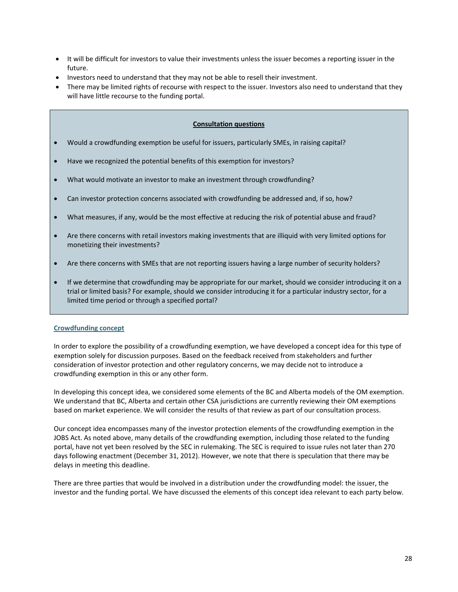- It will be difficult for investors to value their investments unless the issuer becomes a reporting issuer in the future.
- Investors need to understand that they may not be able to resell their investment.
- There may be limited rights of recourse with respect to the issuer. Investors also need to understand that they will have little recourse to the funding portal.

# **Consultation questions**

- Would a crowdfunding exemption be useful for issuers, particularly SMEs, in raising capital?
- Have we recognized the potential benefits of this exemption for investors?
- What would motivate an investor to make an investment through crowdfunding?
- Can investor protection concerns associated with crowdfunding be addressed and, if so, how?
- What measures, if any, would be the most effective at reducing the risk of potential abuse and fraud?
- Are there concerns with retail investors making investments that are illiquid with very limited options for monetizing their investments?
- Are there concerns with SMEs that are not reporting issuers having a large number of security holders?
- If we determine that crowdfunding may be appropriate for our market, should we consider introducing it on a trial or limited basis? For example, should we consider introducing it for a particular industry sector, for a limited time period or through a specified portal?

# **Crowdfunding concept**

In order to explore the possibility of a crowdfunding exemption, we have developed a concept idea for this type of exemption solely for discussion purposes. Based on the feedback received from stakeholders and further consideration of investor protection and other regulatory concerns, we may decide not to introduce a crowdfunding exemption in this or any other form.

In developing this concept idea, we considered some elements of the BC and Alberta models of the OM exemption. We understand that BC, Alberta and certain other CSA jurisdictions are currently reviewing their OM exemptions based on market experience. We will consider the results of that review as part of our consultation process.

Our concept idea encompasses many of the investor protection elements of the crowdfunding exemption in the JOBS Act. As noted above, many details of the crowdfunding exemption, including those related to the funding portal, have not yet been resolved by the SEC in rulemaking. The SEC is required to issue rules not later than 270 days following enactment (December 31, 2012). However, we note that there is speculation that there may be delays in meeting this deadline.

There are three parties that would be involved in a distribution under the crowdfunding model: the issuer, the investor and the funding portal. We have discussed the elements of this concept idea relevant to each party below.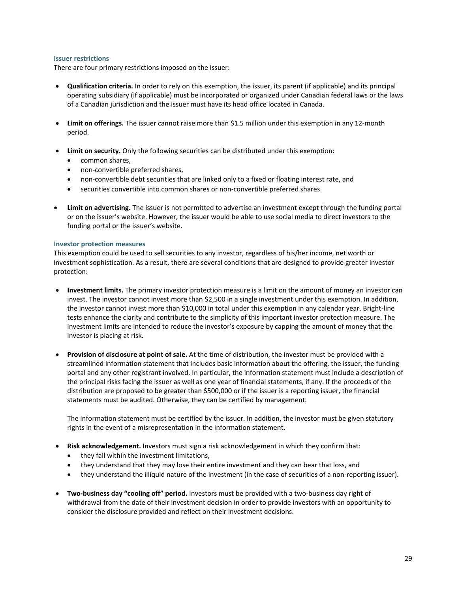## **Issuer restrictions**

There are four primary restrictions imposed on the issuer:

- **Qualification criteria.** In order to rely on this exemption, the issuer, its parent (if applicable) and its principal operating subsidiary (if applicable) must be incorporated or organized under Canadian federal laws or the laws of a Canadian jurisdiction and the issuer must have its head office located in Canada.
- **Limit on offerings.** The issuer cannot raise more than \$1.5 million under this exemption in any 12‐month period.
- **Limit on security.** Only the following securities can be distributed under this exemption:
	- common shares,
	- non‐convertible preferred shares,
	- non-convertible debt securities that are linked only to a fixed or floating interest rate, and
	- securities convertible into common shares or non-convertible preferred shares.
- **Limit on advertising.** The issuer is not permitted to advertise an investment except through the funding portal or on the issuer's website. However, the issuer would be able to use social media to direct investors to the funding portal or the issuer's website.

### **Investor protection measures**

This exemption could be used to sell securities to any investor, regardless of his/her income, net worth or investment sophistication. As a result, there are several conditions that are designed to provide greater investor protection:

- **Investment limits.** The primary investor protection measure is a limit on the amount of money an investor can invest. The investor cannot invest more than \$2,500 in a single investment under this exemption. In addition, the investor cannot invest more than \$10,000 in total under this exemption in any calendar year. Bright-line tests enhance the clarity and contribute to the simplicity of this important investor protection measure. The investment limits are intended to reduce the investor's exposure by capping the amount of money that the investor is placing at risk.
- **Provision of disclosure at point of sale.** At the time of distribution, the investor must be provided with a streamlined information statement that includes basic information about the offering, the issuer, the funding portal and any other registrant involved. In particular, the information statement must include a description of the principal risks facing the issuer as well as one year of financial statements, if any. If the proceeds of the distribution are proposed to be greater than \$500,000 or if the issuer is a reporting issuer, the financial statements must be audited. Otherwise, they can be certified by management.

The information statement must be certified by the issuer. In addition, the investor must be given statutory rights in the event of a misrepresentation in the information statement.

- **Risk acknowledgement.** Investors must sign a risk acknowledgement in which they confirm that:
	- they fall within the investment limitations,
	- they understand that they may lose their entire investment and they can bear that loss, and
	- they understand the illiquid nature of the investment (in the case of securities of a non-reporting issuer).
- **Two‐business day "cooling off" period.** Investors must be provided with a two‐business day right of withdrawal from the date of their investment decision in order to provide investors with an opportunity to consider the disclosure provided and reflect on their investment decisions.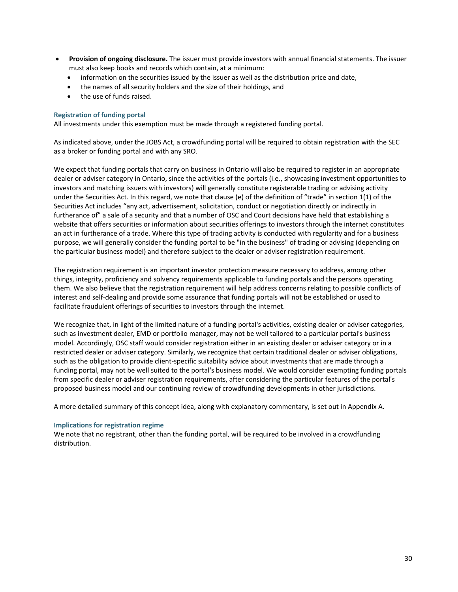- **Provision of ongoing disclosure.** The issuer must provide investors with annual financial statements. The issuer must also keep books and records which contain, at a minimum:
	- information on the securities issued by the issuer as well as the distribution price and date,
	- the names of all security holders and the size of their holdings, and
	- the use of funds raised.

## **Registration of funding portal**

All investments under this exemption must be made through a registered funding portal.

As indicated above, under the JOBS Act, a crowdfunding portal will be required to obtain registration with the SEC as a broker or funding portal and with any SRO.

We expect that funding portals that carry on business in Ontario will also be required to register in an appropriate dealer or adviser category in Ontario, since the activities of the portals (i.e., showcasing investment opportunities to investors and matching issuers with investors) will generally constitute registerable trading or advising activity under the Securities Act. In this regard, we note that clause (e) of the definition of "trade" in section 1(1) of the Securities Act includes "any act, advertisement, solicitation, conduct or negotiation directly or indirectly in furtherance of" a sale of a security and that a number of OSC and Court decisions have held that establishing a website that offers securities or information about securities offerings to investors through the internet constitutes an act in furtherance of a trade. Where this type of trading activity is conducted with regularity and for a business purpose, we will generally consider the funding portal to be "in the business" of trading or advising (depending on the particular business model) and therefore subject to the dealer or adviser registration requirement.

The registration requirement is an important investor protection measure necessary to address, among other things, integrity, proficiency and solvency requirements applicable to funding portals and the persons operating them. We also believe that the registration requirement will help address concerns relating to possible conflicts of interest and self‐dealing and provide some assurance that funding portals will not be established or used to facilitate fraudulent offerings of securities to investors through the internet.

We recognize that, in light of the limited nature of a funding portal's activities, existing dealer or adviser categories, such as investment dealer, EMD or portfolio manager, may not be well tailored to a particular portal's business model. Accordingly, OSC staff would consider registration either in an existing dealer or adviser category or in a restricted dealer or adviser category. Similarly, we recognize that certain traditional dealer or adviser obligations, such as the obligation to provide client‐specific suitability advice about investments that are made through a funding portal, may not be well suited to the portal's business model. We would consider exempting funding portals from specific dealer or adviser registration requirements, after considering the particular features of the portal's proposed business model and our continuing review of crowdfunding developments in other jurisdictions.

A more detailed summary of this concept idea, along with explanatory commentary, is set out in Appendix A.

## **Implications for registration regime**

We note that no registrant, other than the funding portal, will be required to be involved in a crowdfunding distribution.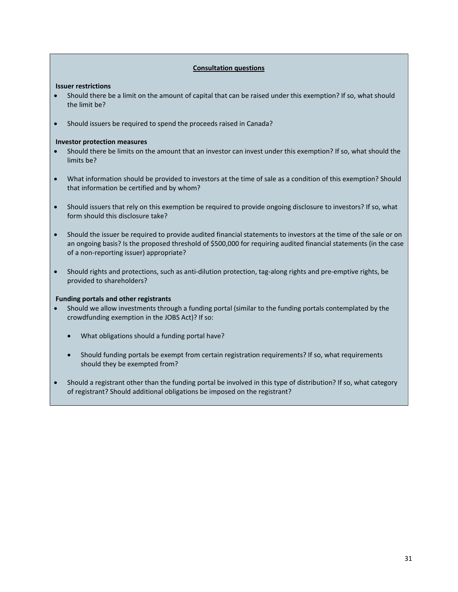## **Consultation questions**

### **Issuer restrictions**

- Should there be a limit on the amount of capital that can be raised under this exemption? If so, what should the limit be?
- Should issuers be required to spend the proceeds raised in Canada?

## **Investor protection measures**

- Should there be limits on the amount that an investor can invest under this exemption? If so, what should the limits be?
- What information should be provided to investors at the time of sale as a condition of this exemption? Should that information be certified and by whom?
- Should issuers that rely on this exemption be required to provide ongoing disclosure to investors? If so, what form should this disclosure take?
- Should the issuer be required to provide audited financial statements to investors at the time of the sale or on an ongoing basis? Is the proposed threshold of \$500,000 for requiring audited financial statements (in the case of a non‐reporting issuer) appropriate?
- Should rights and protections, such as anti‐dilution protection, tag‐along rights and pre‐emptive rights, be provided to shareholders?

## **Funding portals and other registrants**

- Should we allow investments through a funding portal (similar to the funding portals contemplated by the crowdfunding exemption in the JOBS Act)? If so:
	- What obligations should a funding portal have?
	- Should funding portals be exempt from certain registration requirements? If so, what requirements should they be exempted from?
- Should a registrant other than the funding portal be involved in this type of distribution? If so, what category of registrant? Should additional obligations be imposed on the registrant?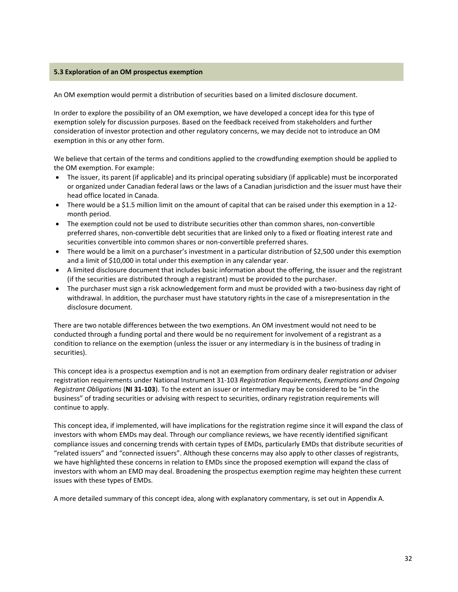# **5.3 Exploration of an OM prospectus exemption**

An OM exemption would permit a distribution of securities based on a limited disclosure document.

In order to explore the possibility of an OM exemption, we have developed a concept idea for this type of exemption solely for discussion purposes. Based on the feedback received from stakeholders and further consideration of investor protection and other regulatory concerns, we may decide not to introduce an OM exemption in this or any other form.

We believe that certain of the terms and conditions applied to the crowdfunding exemption should be applied to the OM exemption. For example:

- The issuer, its parent (if applicable) and its principal operating subsidiary (if applicable) must be incorporated or organized under Canadian federal laws or the laws of a Canadian jurisdiction and the issuer must have their head office located in Canada.
- There would be a \$1.5 million limit on the amount of capital that can be raised under this exemption in a 12‐ month period.
- The exemption could not be used to distribute securities other than common shares, non-convertible preferred shares, non‐convertible debt securities that are linked only to a fixed or floating interest rate and securities convertible into common shares or non-convertible preferred shares.
- There would be a limit on a purchaser's investment in a particular distribution of \$2,500 under this exemption and a limit of \$10,000 in total under this exemption in any calendar year.
- A limited disclosure document that includes basic information about the offering, the issuer and the registrant (if the securities are distributed through a registrant) must be provided to the purchaser.
- The purchaser must sign a risk acknowledgement form and must be provided with a two-business day right of withdrawal. In addition, the purchaser must have statutory rights in the case of a misrepresentation in the disclosure document.

There are two notable differences between the two exemptions. An OM investment would not need to be conducted through a funding portal and there would be no requirement for involvement of a registrant as a condition to reliance on the exemption (unless the issuer or any intermediary is in the business of trading in securities).

This concept idea is a prospectus exemption and is not an exemption from ordinary dealer registration or adviser registration requirements under National Instrument 31‐103 *Registration Requirements, Exemptions and Ongoing Registrant Obligations* (**NI 31‐103**). To the extent an issuer or intermediary may be considered to be "in the business" of trading securities or advising with respect to securities, ordinary registration requirements will continue to apply.

This concept idea, if implemented, will have implications for the registration regime since it will expand the class of investors with whom EMDs may deal. Through our compliance reviews, we have recently identified significant compliance issues and concerning trends with certain types of EMDs, particularly EMDs that distribute securities of "related issuers" and "connected issuers". Although these concerns may also apply to other classes of registrants, we have highlighted these concerns in relation to EMDs since the proposed exemption will expand the class of investors with whom an EMD may deal. Broadening the prospectus exemption regime may heighten these current issues with these types of EMDs.

A more detailed summary of this concept idea, along with explanatory commentary, is set out in Appendix A.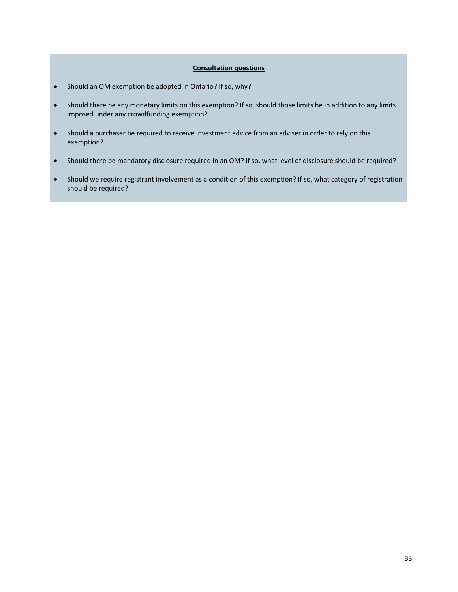# **Consultation questions**

- Should an OM exemption be adopted in Ontario? If so, why?
- Should there be any monetary limits on this exemption? If so, should those limits be in addition to any limits imposed under any crowdfunding exemption?
- Should a purchaser be required to receive investment advice from an adviser in order to rely on this exemption?
- Should there be mandatory disclosure required in an OM? If so, what level of disclosure should be required?
- Should we require registrant involvement as a condition of this exemption? If so, what category of registration should be required?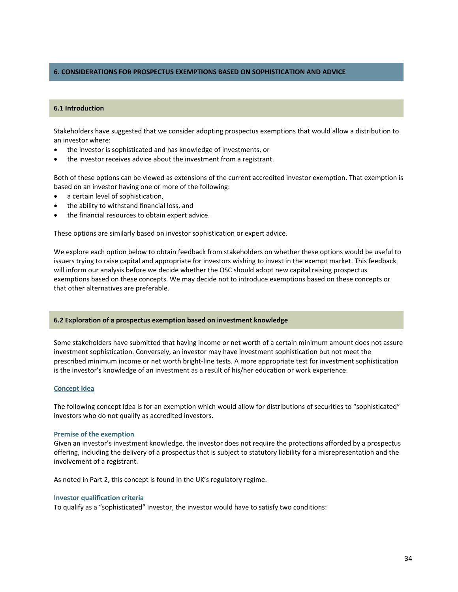# **6. CONSIDERATIONS FOR PROSPECTUS EXEMPTIONS BASED ON SOPHISTICATION AND ADVICE**

## **6.1 Introduction**

Stakeholders have suggested that we consider adopting prospectus exemptions that would allow a distribution to an investor where:

- the investor is sophisticated and has knowledge of investments, or
- the investor receives advice about the investment from a registrant.

Both of these options can be viewed as extensions of the current accredited investor exemption. That exemption is based on an investor having one or more of the following:

- a certain level of sophistication,
- the ability to withstand financial loss, and
- the financial resources to obtain expert advice.

These options are similarly based on investor sophistication or expert advice.

We explore each option below to obtain feedback from stakeholders on whether these options would be useful to issuers trying to raise capital and appropriate for investors wishing to invest in the exempt market. This feedback will inform our analysis before we decide whether the OSC should adopt new capital raising prospectus exemptions based on these concepts. We may decide not to introduce exemptions based on these concepts or that other alternatives are preferable.

## **6.2 Exploration of a prospectus exemption based on investment knowledge**

Some stakeholders have submitted that having income or net worth of a certain minimum amount does not assure investment sophistication. Conversely, an investor may have investment sophistication but not meet the prescribed minimum income or net worth bright‐line tests. A more appropriate test for investment sophistication is the investor's knowledge of an investment as a result of his/her education or work experience.

#### **Concept idea**

The following concept idea is for an exemption which would allow for distributions of securities to "sophisticated" investors who do not qualify as accredited investors.

#### **Premise of the exemption**

Given an investor's investment knowledge, the investor does not require the protections afforded by a prospectus offering, including the delivery of a prospectus that is subject to statutory liability for a misrepresentation and the involvement of a registrant.

As noted in Part 2, this concept is found in the UK's regulatory regime.

#### **Investor qualification criteria**

To qualify as a "sophisticated" investor, the investor would have to satisfy two conditions: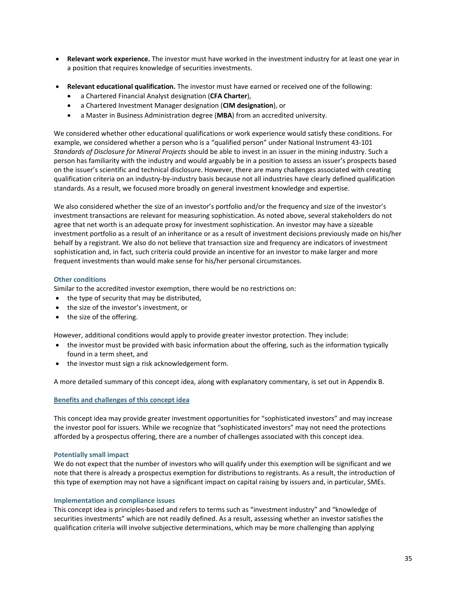- **Relevant work experience.** The investor must have worked in the investment industry for at least one year in a position that requires knowledge of securities investments.
- **Relevant educational qualification.** The investor must have earned or received one of the following:
	- a Chartered Financial Analyst designation (**CFA Charter**),
	- a Chartered Investment Manager designation (**CIM designation**), or
	- a Master in Business Administration degree (**MBA**) from an accredited university.

We considered whether other educational qualifications or work experience would satisfy these conditions. For example, we considered whether a person who is a "qualified person" under National Instrument 43‐101 *Standards of Disclosure for Mineral Projects* should be able to invest in an issuer in the mining industry. Such a person has familiarity with the industry and would arguably be in a position to assess an issuer's prospects based on the issuer's scientific and technical disclosure. However, there are many challenges associated with creating qualification criteria on an industry‐by‐industry basis because not all industries have clearly defined qualification standards. As a result, we focused more broadly on general investment knowledge and expertise.

We also considered whether the size of an investor's portfolio and/or the frequency and size of the investor's investment transactions are relevant for measuring sophistication. As noted above, several stakeholders do not agree that net worth is an adequate proxy for investment sophistication. An investor may have a sizeable investment portfolio as a result of an inheritance or as a result of investment decisions previously made on his/her behalf by a registrant. We also do not believe that transaction size and frequency are indicators of investment sophistication and, in fact, such criteria could provide an incentive for an investor to make larger and more frequent investments than would make sense for his/her personal circumstances.

# **Other conditions**

Similar to the accredited investor exemption, there would be no restrictions on:

- $\bullet$  the type of security that may be distributed,
- the size of the investor's investment, or
- the size of the offering.

However, additional conditions would apply to provide greater investor protection. They include:

- the investor must be provided with basic information about the offering, such as the information typically found in a term sheet, and
- the investor must sign a risk acknowledgement form.

A more detailed summary of this concept idea, along with explanatory commentary, is set out in Appendix B.

# **Benefits and challenges of this concept idea**

This concept idea may provide greater investment opportunities for "sophisticated investors" and may increase the investor pool for issuers. While we recognize that "sophisticated investors" may not need the protections afforded by a prospectus offering, there are a number of challenges associated with this concept idea.

# **Potentially small impact**

We do not expect that the number of investors who will qualify under this exemption will be significant and we note that there is already a prospectus exemption for distributions to registrants. As a result, the introduction of this type of exemption may not have a significant impact on capital raising by issuers and, in particular, SMEs.

# **Implementation and compliance issues**

This concept idea is principles‐based and refers to terms such as "investment industry" and "knowledge of securities investments" which are not readily defined. As a result, assessing whether an investor satisfies the qualification criteria will involve subjective determinations, which may be more challenging than applying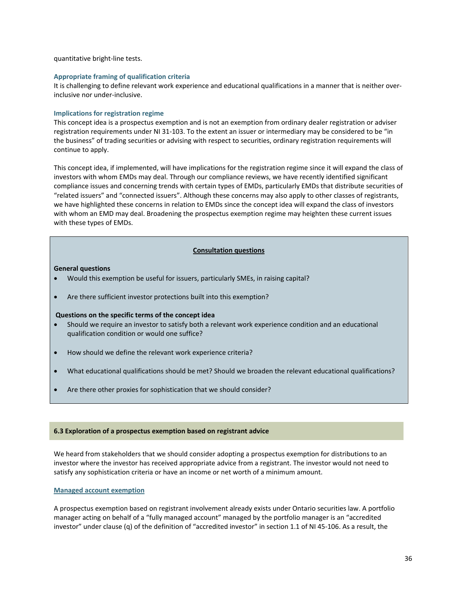quantitative bright‐line tests.

### **Appropriate framing of qualification criteria**

It is challenging to define relevant work experience and educational qualifications in a manner that is neither overinclusive nor under‐inclusive.

## **Implications for registration regime**

This concept idea is a prospectus exemption and is not an exemption from ordinary dealer registration or adviser registration requirements under NI 31‐103. To the extent an issuer or intermediary may be considered to be "in the business" of trading securities or advising with respect to securities, ordinary registration requirements will continue to apply.

This concept idea, if implemented, will have implications for the registration regime since it will expand the class of investors with whom EMDs may deal. Through our compliance reviews, we have recently identified significant compliance issues and concerning trends with certain types of EMDs, particularly EMDs that distribute securities of "related issuers" and "connected issuers". Although these concerns may also apply to other classes of registrants, we have highlighted these concerns in relation to EMDs since the concept idea will expand the class of investors with whom an EMD may deal. Broadening the prospectus exemption regime may heighten these current issues with these types of EMDs.

# **Consultation questions**

## **General questions**

- Would this exemption be useful for issuers, particularly SMEs, in raising capital?
- Are there sufficient investor protections built into this exemption?

## **Questions on the specific terms of the concept idea**

- Should we require an investor to satisfy both a relevant work experience condition and an educational qualification condition or would one suffice?
- How should we define the relevant work experience criteria?
- What educational qualifications should be met? Should we broaden the relevant educational qualifications?
- Are there other proxies for sophistication that we should consider?

## **6.3 Exploration of a prospectus exemption based on registrant advice**

We heard from stakeholders that we should consider adopting a prospectus exemption for distributions to an investor where the investor has received appropriate advice from a registrant. The investor would not need to satisfy any sophistication criteria or have an income or net worth of a minimum amount.

## **Managed account exemption**

A prospectus exemption based on registrant involvement already exists under Ontario securities law. A portfolio manager acting on behalf of a "fully managed account" managed by the portfolio manager is an "accredited investor" under clause (q) of the definition of "accredited investor" in section 1.1 of NI 45-106. As a result, the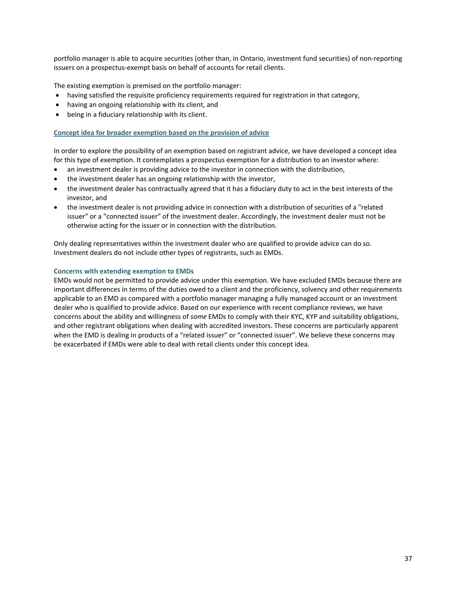portfolio manager is able to acquire securities (other than, in Ontario, investment fund securities) of non-reporting issuers on a prospectus‐exempt basis on behalf of accounts for retail clients.

The existing exemption is premised on the portfolio manager:

- having satisfied the requisite proficiency requirements required for registration in that category,
- having an ongoing relationship with its client, and
- being in a fiduciary relationship with its client.

#### **Concept idea for broader exemption based on the provision of advice**

In order to explore the possibility of an exemption based on registrant advice, we have developed a concept idea for this type of exemption. It contemplates a prospectus exemption for a distribution to an investor where:

- an investment dealer is providing advice to the investor in connection with the distribution,
- the investment dealer has an ongoing relationship with the investor,
- the investment dealer has contractually agreed that it has a fiduciary duty to act in the best interests of the investor, and
- the investment dealer is not providing advice in connection with a distribution of securities of a "related issuer" or a "connected issuer" of the investment dealer. Accordingly, the investment dealer must not be otherwise acting for the issuer or in connection with the distribution.

Only dealing representatives within the investment dealer who are qualified to provide advice can do so. Investment dealers do not include other types of registrants, such as EMDs.

### **Concerns with extending exemption to EMDs**

EMDs would not be permitted to provide advice under this exemption. We have excluded EMDs because there are important differences in terms of the duties owed to a client and the proficiency, solvency and other requirements applicable to an EMD as compared with a portfolio manager managing a fully managed account or an investment dealer who is qualified to provide advice. Based on our experience with recent compliance reviews, we have concerns about the ability and willingness of *some* EMDs to comply with their KYC, KYP and suitability obligations, and other registrant obligations when dealing with accredited investors. These concerns are particularly apparent when the EMD is dealing in products of a "related issuer" or "connected issuer". We believe these concerns may be exacerbated if EMDs were able to deal with retail clients under this concept idea.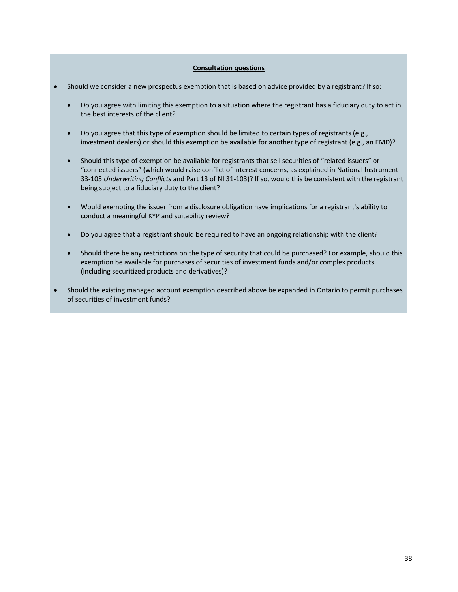# **Consultation questions**

- Should we consider a new prospectus exemption that is based on advice provided by a registrant? If so:
	- Do you agree with limiting this exemption to a situation where the registrant has a fiduciary duty to act in the best interests of the client?
	- Do you agree that this type of exemption should be limited to certain types of registrants (e.g., investment dealers) or should this exemption be available for another type of registrant (e.g., an EMD)?
	- Should this type of exemption be available for registrants that sell securities of "related issuers" or "connected issuers" (which would raise conflict of interest concerns, as explained in National Instrument 33‐105 *Underwriting Conflicts* and Part 13 of NI 31‐103)? If so, would this be consistent with the registrant being subject to a fiduciary duty to the client?
	- Would exempting the issuer from a disclosure obligation have implications for a registrant's ability to conduct a meaningful KYP and suitability review?
	- Do you agree that a registrant should be required to have an ongoing relationship with the client?
	- Should there be any restrictions on the type of security that could be purchased? For example, should this exemption be available for purchases of securities of investment funds and/or complex products (including securitized products and derivatives)?
- Should the existing managed account exemption described above be expanded in Ontario to permit purchases of securities of investment funds?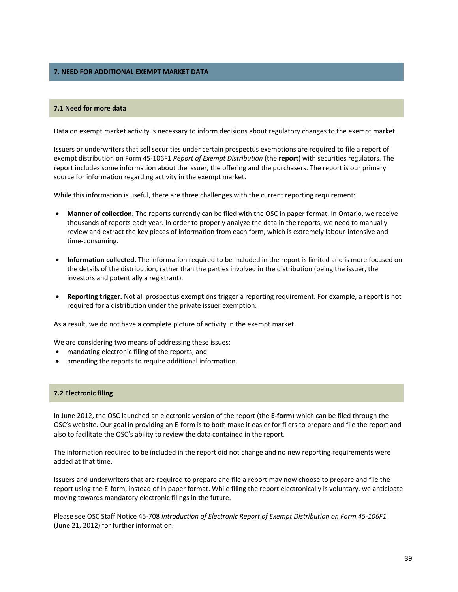# **7. NEED FOR ADDITIONAL EXEMPT MARKET DATA**

#### **7.1 Need for more data**

Data on exempt market activity is necessary to inform decisions about regulatory changes to the exempt market.

Issuers or underwriters that sell securities under certain prospectus exemptions are required to file a report of exempt distribution on Form 45‐106F1 *Report of Exempt Distribution* (the **report**) with securities regulators. The report includes some information about the issuer, the offering and the purchasers. The report is our primary source for information regarding activity in the exempt market.

While this information is useful, there are three challenges with the current reporting requirement:

- **Manner of collection.** The reports currently can be filed with the OSC in paper format. In Ontario, we receive thousands of reports each year. In order to properly analyze the data in the reports, we need to manually review and extract the key pieces of information from each form, which is extremely labour‐intensive and time‐consuming.
- **Information collected.** The information required to be included in the report is limited and is more focused on the details of the distribution, rather than the parties involved in the distribution (being the issuer, the investors and potentially a registrant).
- **Reporting trigger.** Not all prospectus exemptions trigger a reporting requirement. For example, a report is not required for a distribution under the private issuer exemption.

As a result, we do not have a complete picture of activity in the exempt market.

We are considering two means of addressing these issues:

- mandating electronic filing of the reports, and
- amending the reports to require additional information.

#### **7.2 Electronic filing**

In June 2012, the OSC launched an electronic version of the report (the **E‐form**) which can be filed through the OSC's website. Our goal in providing an E‐form is to both make it easier for filers to prepare and file the report and also to facilitate the OSC's ability to review the data contained in the report.

The information required to be included in the report did not change and no new reporting requirements were added at that time.

Issuers and underwriters that are required to prepare and file a report may now choose to prepare and file the report using the E‐form, instead of in paper format. While filing the report electronically is voluntary, we anticipate moving towards mandatory electronic filings in the future.

Please see OSC Staff Notice 45‐708 *Introduction of Electronic Report of Exempt Distribution on Form 45‐106F1* (June 21, 2012) for further information.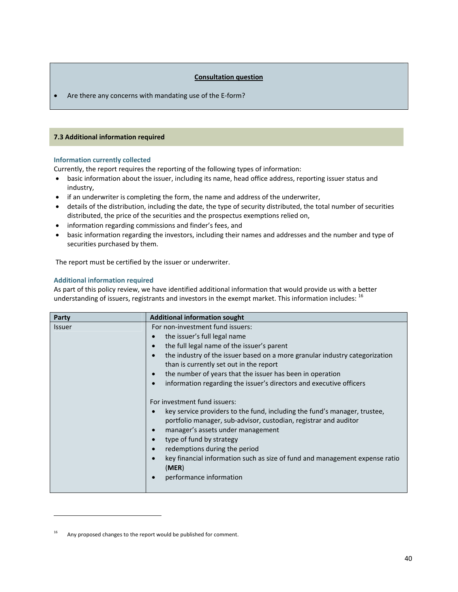# **Consultation question**

■ Are there any concerns with mandating use of the E-form?

#### **7.3 Additional information required**

# **Information currently collected**

Currently, the report requires the reporting of the following types of information:

- basic information about the issuer, including its name, head office address, reporting issuer status and industry,
- if an underwriter is completing the form, the name and address of the underwriter,
- details of the distribution, including the date, the type of security distributed, the total number of securities distributed, the price of the securities and the prospectus exemptions relied on,
- information regarding commissions and finder's fees, and
- basic information regarding the investors, including their names and addresses and the number and type of securities purchased by them.

The report must be certified by the issuer or underwriter.

### **Additional information required**

As part of this policy review, we have identified additional information that would provide us with a better understanding of issuers, registrants and investors in the exempt market. This information includes: <sup>16</sup>

| Party         | <b>Additional information sought</b>                                                                                                                                                                                                                                                                                                                                                                                                      |  |
|---------------|-------------------------------------------------------------------------------------------------------------------------------------------------------------------------------------------------------------------------------------------------------------------------------------------------------------------------------------------------------------------------------------------------------------------------------------------|--|
| <b>Issuer</b> | For non-investment fund issuers:                                                                                                                                                                                                                                                                                                                                                                                                          |  |
|               | the issuer's full legal name                                                                                                                                                                                                                                                                                                                                                                                                              |  |
|               | the full legal name of the issuer's parent<br>$\bullet$                                                                                                                                                                                                                                                                                                                                                                                   |  |
|               | the industry of the issuer based on a more granular industry categorization<br>$\bullet$                                                                                                                                                                                                                                                                                                                                                  |  |
|               | than is currently set out in the report                                                                                                                                                                                                                                                                                                                                                                                                   |  |
|               | the number of years that the issuer has been in operation<br>$\bullet$                                                                                                                                                                                                                                                                                                                                                                    |  |
|               | information regarding the issuer's directors and executive officers                                                                                                                                                                                                                                                                                                                                                                       |  |
|               | For investment fund issuers:<br>key service providers to the fund, including the fund's manager, trustee,<br>portfolio manager, sub-advisor, custodian, registrar and auditor<br>manager's assets under management<br>$\bullet$<br>type of fund by strategy<br>$\bullet$<br>redemptions during the period<br>$\bullet$<br>key financial information such as size of fund and management expense ratio<br>(MER)<br>performance information |  |

Any proposed changes to the report would be published for comment.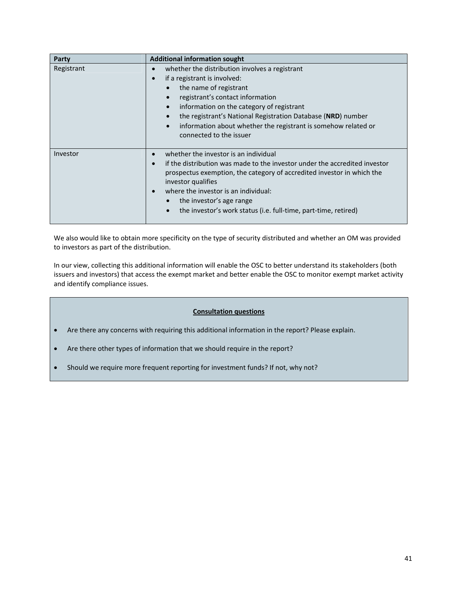| Party      | <b>Additional information sought</b>                                                                                                                                                                                                                                                                                                                                                                            |  |
|------------|-----------------------------------------------------------------------------------------------------------------------------------------------------------------------------------------------------------------------------------------------------------------------------------------------------------------------------------------------------------------------------------------------------------------|--|
| Registrant | whether the distribution involves a registrant<br>C<br>if a registrant is involved:<br>$\bullet$<br>the name of registrant<br>registrant's contact information<br>information on the category of registrant<br>$\bullet$<br>the registrant's National Registration Database (NRD) number<br>$\bullet$<br>information about whether the registrant is somehow related or<br>$\bullet$<br>connected to the issuer |  |
| Investor   | whether the investor is an individual<br>if the distribution was made to the investor under the accredited investor<br>$\bullet$<br>prospectus exemption, the category of accredited investor in which the<br>investor qualifies<br>where the investor is an individual:<br>$\bullet$<br>the investor's age range<br>the investor's work status (i.e. full-time, part-time, retired)<br>$\bullet$               |  |

We also would like to obtain more specificity on the type of security distributed and whether an OM was provided to investors as part of the distribution.

In our view, collecting this additional information will enable the OSC to better understand its stakeholders (both issuers and investors) that access the exempt market and better enable the OSC to monitor exempt market activity and identify compliance issues.

# **Consultation questions**

- Are there any concerns with requiring this additional information in the report? Please explain.
- Are there other types of information that we should require in the report?
- Should we require more frequent reporting for investment funds? If not, why not?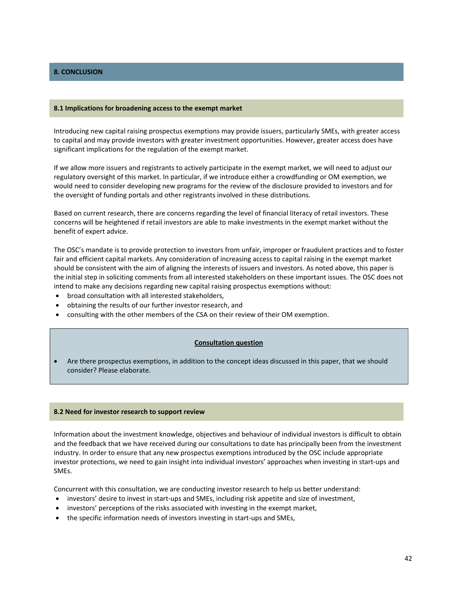# **8. CONCLUSION**

#### **8.1 Implications for broadening access to the exempt market**

Introducing new capital raising prospectus exemptions may provide issuers, particularly SMEs, with greater access to capital and may provide investors with greater investment opportunities. However, greater access does have significant implications for the regulation of the exempt market.

If we allow more issuers and registrants to actively participate in the exempt market, we will need to adjust our regulatory oversight of this market. In particular, if we introduce either a crowdfunding or OM exemption, we would need to consider developing new programs for the review of the disclosure provided to investors and for the oversight of funding portals and other registrants involved in these distributions.

Based on current research, there are concerns regarding the level of financial literacy of retail investors. These concerns will be heightened if retail investors are able to make investments in the exempt market without the benefit of expert advice.

The OSC's mandate is to provide protection to investors from unfair, improper or fraudulent practices and to foster fair and efficient capital markets. Any consideration of increasing access to capital raising in the exempt market should be consistent with the aim of aligning the interests of issuers and investors. As noted above, this paper is the initial step in soliciting comments from all interested stakeholders on these important issues. The OSC does not intend to make any decisions regarding new capital raising prospectus exemptions without:

- broad consultation with all interested stakeholders,
- obtaining the results of our further investor research, and
- consulting with the other members of the CSA on their review of their OM exemption.

#### **Consultation question**

 Are there prospectus exemptions, in addition to the concept ideas discussed in this paper, that we should consider? Please elaborate.

#### **8.2 Need for investor research to support review**

Information about the investment knowledge, objectives and behaviour of individual investors is difficult to obtain and the feedback that we have received during our consultations to date has principally been from the investment industry. In order to ensure that any new prospectus exemptions introduced by the OSC include appropriate investor protections, we need to gain insight into individual investors' approaches when investing in start‐ups and SMEs.

Concurrent with this consultation, we are conducting investor research to help us better understand:

- investors' desire to invest in start-ups and SMEs, including risk appetite and size of investment,
- investors' perceptions of the risks associated with investing in the exempt market,
- the specific information needs of investors investing in start‐ups and SMEs,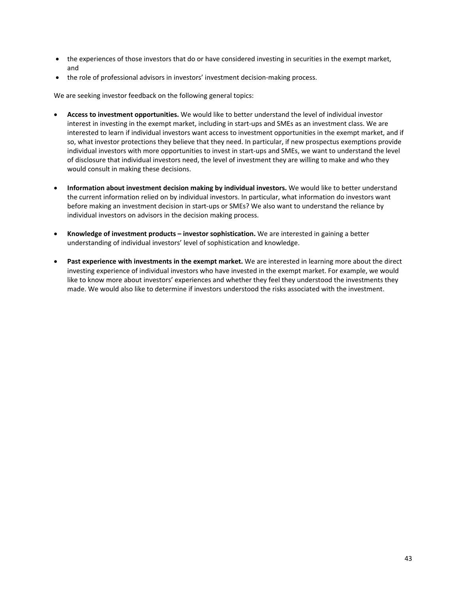- the experiences of those investors that do or have considered investing in securities in the exempt market, and
- the role of professional advisors in investors' investment decision‐making process.

We are seeking investor feedback on the following general topics:

- **Access to investment opportunities.** We would like to better understand the level of individual investor interest in investing in the exempt market, including in start‐ups and SMEs as an investment class. We are interested to learn if individual investors want access to investment opportunities in the exempt market, and if so, what investor protections they believe that they need. In particular, if new prospectus exemptions provide individual investors with more opportunities to invest in start‐ups and SMEs, we want to understand the level of disclosure that individual investors need, the level of investment they are willing to make and who they would consult in making these decisions.
- **Information about investment decision making by individual investors.** We would like to better understand the current information relied on by individual investors. In particular, what information do investors want before making an investment decision in start-ups or SMEs? We also want to understand the reliance by individual investors on advisors in the decision making process.
- **Knowledge of investment products – investor sophistication.** We are interested in gaining a better understanding of individual investors' level of sophistication and knowledge.
- **Past experience with investments in the exempt market.** We are interested in learning more about the direct investing experience of individual investors who have invested in the exempt market. For example, we would like to know more about investors' experiences and whether they feel they understood the investments they made. We would also like to determine if investors understood the risks associated with the investment.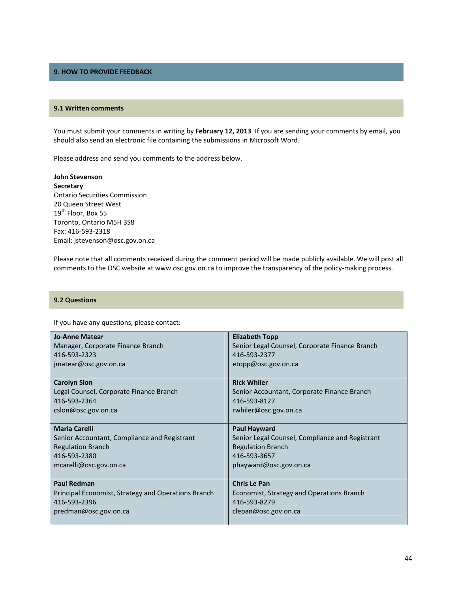# **9. HOW TO PROVIDE FEEDBACK**

#### **9.1 Written comments**

You must submit your comments in writing by **February 12, 2013**. If you are sending your comments by email, you should also send an electronic file containing the submissions in Microsoft Word.

Please address and send you comments to the address below.

**John Stevenson Secretary** Ontario Securities Commission 20 Queen Street West 19<sup>th</sup> Floor, Box 55 Toronto, Ontario M5H 3S8 Fax: 416‐593‐2318 Email: jstevenson@osc.gov.on.ca

Please note that all comments received during the comment period will be made publicly available. We will post all comments to the OSC website at www.osc.gov.on.ca to improve the transparency of the policy-making process.

#### **9.2 Questions**

If you have any questions, please contact:

| <b>Jo-Anne Matear</b>                               | <b>Elizabeth Topp</b>                           |
|-----------------------------------------------------|-------------------------------------------------|
| Manager, Corporate Finance Branch                   | Senior Legal Counsel, Corporate Finance Branch  |
| 416-593-2323                                        | 416-593-2377                                    |
| jmatear@osc.gov.on.ca                               | etopp@osc.gov.on.ca                             |
| <b>Carolyn Slon</b>                                 | <b>Rick Whiler</b>                              |
| Legal Counsel, Corporate Finance Branch             | Senior Accountant, Corporate Finance Branch     |
| 416-593-2364                                        | 416-593-8127                                    |
| cslon@osc.gov.on.ca                                 | rwhiler@osc.gov.on.ca                           |
| <b>Maria Carelli</b>                                | Paul Hayward                                    |
| Senior Accountant, Compliance and Registrant        | Senior Legal Counsel, Compliance and Registrant |
| <b>Regulation Branch</b>                            | <b>Regulation Branch</b>                        |
| 416-593-2380                                        | 416-593-3657                                    |
| mcarelli@osc.gov.on.ca                              | phayward@osc.gov.on.ca                          |
| <b>Paul Redman</b>                                  | <b>Chris Le Pan</b>                             |
| Principal Economist, Strategy and Operations Branch | Economist, Strategy and Operations Branch       |
| 416-593-2396                                        | 416-593-8279                                    |
| predman@osc.gov.on.ca                               | clepan@osc.gov.on.ca                            |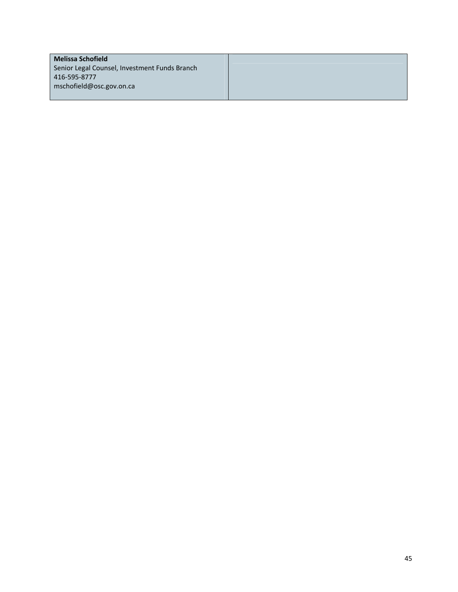# **Melissa Schofield**

Senior Legal Counsel, Investment Funds Branch 416‐595‐8777 mschofield@osc.gov.on.ca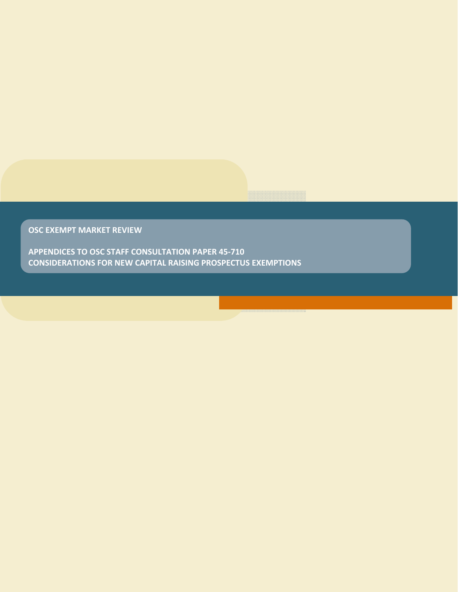**OSC EXEMPT MARKET REVIEW**

**APPENDICES TO OSC STAFF CONSULTATION PAPER 45‐710 CONSIDERATIONS FOR NEW CAPITAL RAISING PROSPECTUS EXEMPTIONS**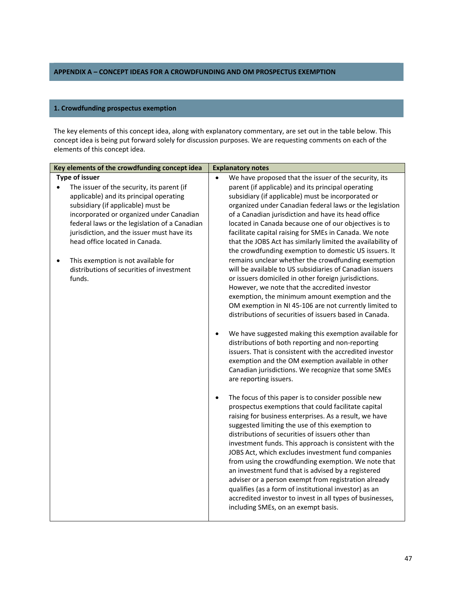# **APPENDIX A – CONCEPT IDEAS FOR A CROWDFUNDING AND OM PROSPECTUS EXEMPTION**

### **1. Crowdfunding prospectus exemption**

The key elements of this concept idea, along with explanatory commentary, are set out in the table below. This concept idea is being put forward solely for discussion purposes. We are requesting comments on each of the elements of this concept idea.

|           | Key elements of the crowdfunding concept idea |           | <b>Explanatory notes</b>                                                                         |
|-----------|-----------------------------------------------|-----------|--------------------------------------------------------------------------------------------------|
|           | <b>Type of issuer</b>                         |           | We have proposed that the issuer of the security, its                                            |
|           | The issuer of the security, its parent (if    |           | parent (if applicable) and its principal operating                                               |
|           | applicable) and its principal operating       |           | subsidiary (if applicable) must be incorporated or                                               |
|           | subsidiary (if applicable) must be            |           | organized under Canadian federal laws or the legislation                                         |
|           | incorporated or organized under Canadian      |           | of a Canadian jurisdiction and have its head office                                              |
|           | federal laws or the legislation of a Canadian |           | located in Canada because one of our objectives is to                                            |
|           | jurisdiction, and the issuer must have its    |           | facilitate capital raising for SMEs in Canada. We note                                           |
|           | head office located in Canada.                |           | that the JOBS Act has similarly limited the availability of                                      |
|           |                                               |           | the crowdfunding exemption to domestic US issuers. It                                            |
| $\bullet$ | This exemption is not available for           |           | remains unclear whether the crowdfunding exemption                                               |
|           | distributions of securities of investment     |           | will be available to US subsidiaries of Canadian issuers                                         |
|           | funds.                                        |           | or issuers domiciled in other foreign jurisdictions.                                             |
|           |                                               |           | However, we note that the accredited investor                                                    |
|           |                                               |           | exemption, the minimum amount exemption and the                                                  |
|           |                                               |           | OM exemption in NI 45-106 are not currently limited to                                           |
|           |                                               |           | distributions of securities of issuers based in Canada.                                          |
|           |                                               |           |                                                                                                  |
|           |                                               | $\bullet$ | We have suggested making this exemption available for                                            |
|           |                                               |           | distributions of both reporting and non-reporting                                                |
|           |                                               |           | issuers. That is consistent with the accredited investor                                         |
|           |                                               |           | exemption and the OM exemption available in other                                                |
|           |                                               |           | Canadian jurisdictions. We recognize that some SMEs                                              |
|           |                                               |           | are reporting issuers.                                                                           |
|           |                                               |           |                                                                                                  |
|           |                                               | $\bullet$ | The focus of this paper is to consider possible new                                              |
|           |                                               |           | prospectus exemptions that could facilitate capital                                              |
|           |                                               |           | raising for business enterprises. As a result, we have                                           |
|           |                                               |           | suggested limiting the use of this exemption to                                                  |
|           |                                               |           | distributions of securities of issuers other than                                                |
|           |                                               |           | investment funds. This approach is consistent with the                                           |
|           |                                               |           | JOBS Act, which excludes investment fund companies                                               |
|           |                                               |           | from using the crowdfunding exemption. We note that                                              |
|           |                                               |           | an investment fund that is advised by a registered                                               |
|           |                                               |           | adviser or a person exempt from registration already                                             |
|           |                                               |           | qualifies (as a form of institutional investor) as an                                            |
|           |                                               |           | accredited investor to invest in all types of businesses,<br>including SMEs, on an exempt basis. |
|           |                                               |           |                                                                                                  |
|           |                                               |           |                                                                                                  |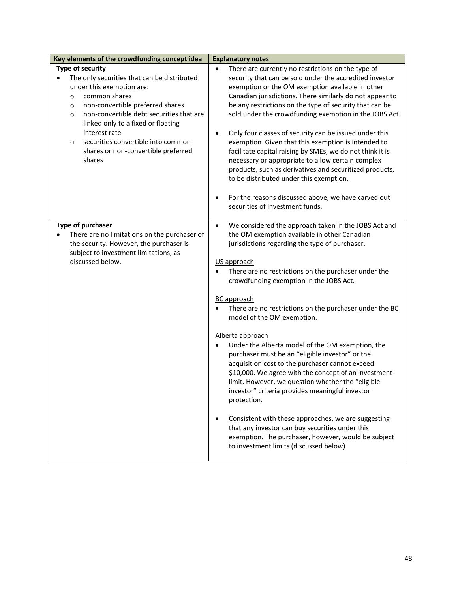| Type of security<br>$\bullet$<br>The only securities that can be distributed<br>under this exemption are:<br>common shares<br>$\circ$<br>non-convertible preferred shares<br>$\circ$<br>non-convertible debt securities that are<br>$\circ$<br>linked only to a fixed or floating<br>interest rate<br>$\bullet$<br>securities convertible into common<br>$\circ$<br>shares or non-convertible preferred<br>shares<br>to be distributed under this exemption.<br>securities of investment funds.<br>Type of purchaser<br>$\bullet$<br>There are no limitations on the purchaser of<br>the security. However, the purchaser is<br>subject to investment limitations, as<br>discussed below.<br>US approach<br>crowdfunding exemption in the JOBS Act.<br><b>BC</b> approach<br>model of the OM exemption.<br>Alberta approach |                                                                                                                                                                                                                                                                                                                                                                                                                                                                                                                                                                                                                                                                                                         |
|-----------------------------------------------------------------------------------------------------------------------------------------------------------------------------------------------------------------------------------------------------------------------------------------------------------------------------------------------------------------------------------------------------------------------------------------------------------------------------------------------------------------------------------------------------------------------------------------------------------------------------------------------------------------------------------------------------------------------------------------------------------------------------------------------------------------------------|---------------------------------------------------------------------------------------------------------------------------------------------------------------------------------------------------------------------------------------------------------------------------------------------------------------------------------------------------------------------------------------------------------------------------------------------------------------------------------------------------------------------------------------------------------------------------------------------------------------------------------------------------------------------------------------------------------|
|                                                                                                                                                                                                                                                                                                                                                                                                                                                                                                                                                                                                                                                                                                                                                                                                                             | There are currently no restrictions on the type of<br>security that can be sold under the accredited investor<br>exemption or the OM exemption available in other<br>Canadian jurisdictions. There similarly do not appear to<br>be any restrictions on the type of security that can be<br>sold under the crowdfunding exemption in the JOBS Act.<br>Only four classes of security can be issued under this<br>exemption. Given that this exemption is intended to<br>facilitate capital raising by SMEs, we do not think it is<br>necessary or appropriate to allow certain complex<br>products, such as derivatives and securitized products,<br>For the reasons discussed above, we have carved out |
|                                                                                                                                                                                                                                                                                                                                                                                                                                                                                                                                                                                                                                                                                                                                                                                                                             | We considered the approach taken in the JOBS Act and<br>the OM exemption available in other Canadian<br>jurisdictions regarding the type of purchaser.<br>There are no restrictions on the purchaser under the<br>There are no restrictions on the purchaser under the BC                                                                                                                                                                                                                                                                                                                                                                                                                               |
| protection.                                                                                                                                                                                                                                                                                                                                                                                                                                                                                                                                                                                                                                                                                                                                                                                                                 | Under the Alberta model of the OM exemption, the<br>purchaser must be an "eligible investor" or the<br>acquisition cost to the purchaser cannot exceed<br>\$10,000. We agree with the concept of an investment<br>limit. However, we question whether the "eligible<br>investor" criteria provides meaningful investor<br>Consistent with these approaches, we are suggesting<br>that any investor can buy securities under this<br>exemption. The purchaser, however, would be subject                                                                                                                                                                                                                 |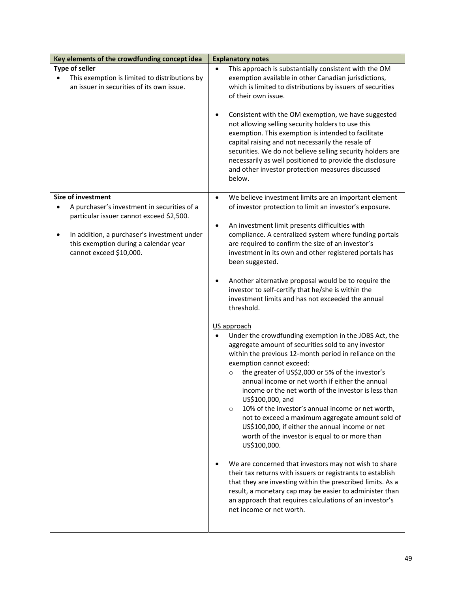| Key elements of the crowdfunding concept idea                                                                        | <b>Explanatory notes</b>                                                                                                                                                                                                                                                                                                                                                                                                                                                                                                                                                                                                                                              |
|----------------------------------------------------------------------------------------------------------------------|-----------------------------------------------------------------------------------------------------------------------------------------------------------------------------------------------------------------------------------------------------------------------------------------------------------------------------------------------------------------------------------------------------------------------------------------------------------------------------------------------------------------------------------------------------------------------------------------------------------------------------------------------------------------------|
| <b>Type of seller</b><br>This exemption is limited to distributions by<br>an issuer in securities of its own issue.  | This approach is substantially consistent with the OM<br>exemption available in other Canadian jurisdictions,<br>which is limited to distributions by issuers of securities<br>of their own issue.                                                                                                                                                                                                                                                                                                                                                                                                                                                                    |
|                                                                                                                      | Consistent with the OM exemption, we have suggested<br>٠<br>not allowing selling security holders to use this<br>exemption. This exemption is intended to facilitate<br>capital raising and not necessarily the resale of<br>securities. We do not believe selling security holders are<br>necessarily as well positioned to provide the disclosure<br>and other investor protection measures discussed<br>below.                                                                                                                                                                                                                                                     |
| <b>Size of investment</b><br>A purchaser's investment in securities of a<br>particular issuer cannot exceed \$2,500. | We believe investment limits are an important element<br>$\bullet$<br>of investor protection to limit an investor's exposure.                                                                                                                                                                                                                                                                                                                                                                                                                                                                                                                                         |
| In addition, a purchaser's investment under<br>this exemption during a calendar year<br>cannot exceed \$10,000.      | An investment limit presents difficulties with<br>٠<br>compliance. A centralized system where funding portals<br>are required to confirm the size of an investor's<br>investment in its own and other registered portals has<br>been suggested.                                                                                                                                                                                                                                                                                                                                                                                                                       |
|                                                                                                                      | Another alternative proposal would be to require the<br>$\bullet$<br>investor to self-certify that he/she is within the<br>investment limits and has not exceeded the annual<br>threshold.                                                                                                                                                                                                                                                                                                                                                                                                                                                                            |
|                                                                                                                      | US approach<br>Under the crowdfunding exemption in the JOBS Act, the<br>$\bullet$<br>aggregate amount of securities sold to any investor<br>within the previous 12-month period in reliance on the<br>exemption cannot exceed:<br>the greater of US\$2,000 or 5% of the investor's<br>$\circ$<br>annual income or net worth if either the annual<br>income or the net worth of the investor is less than<br>US\$100,000, and<br>10% of the investor's annual income or net worth,<br>$\circ$<br>not to exceed a maximum aggregate amount sold of<br>US\$100,000, if either the annual income or net<br>worth of the investor is equal to or more than<br>US\$100,000. |
|                                                                                                                      | We are concerned that investors may not wish to share<br>their tax returns with issuers or registrants to establish<br>that they are investing within the prescribed limits. As a<br>result, a monetary cap may be easier to administer than<br>an approach that requires calculations of an investor's<br>net income or net worth.                                                                                                                                                                                                                                                                                                                                   |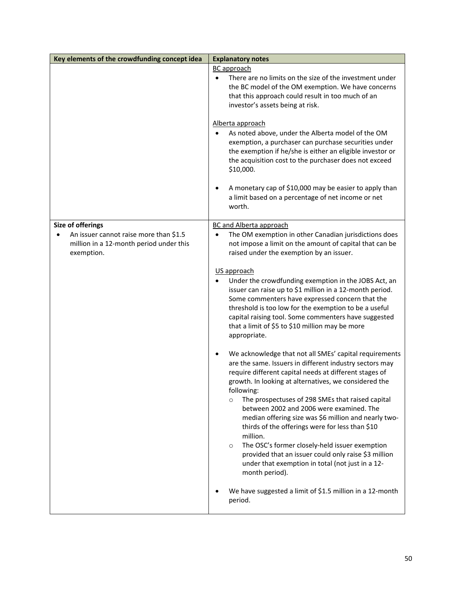| Key elements of the crowdfunding concept idea                                                   | <b>Explanatory notes</b>                                                                                                                                                                                                                                                                                                                                                                                                                                                                                                                                                                                                                                                        |
|-------------------------------------------------------------------------------------------------|---------------------------------------------------------------------------------------------------------------------------------------------------------------------------------------------------------------------------------------------------------------------------------------------------------------------------------------------------------------------------------------------------------------------------------------------------------------------------------------------------------------------------------------------------------------------------------------------------------------------------------------------------------------------------------|
|                                                                                                 | <b>BC</b> approach<br>There are no limits on the size of the investment under<br>$\bullet$<br>the BC model of the OM exemption. We have concerns<br>that this approach could result in too much of an<br>investor's assets being at risk.                                                                                                                                                                                                                                                                                                                                                                                                                                       |
|                                                                                                 | Alberta approach<br>As noted above, under the Alberta model of the OM<br>exemption, a purchaser can purchase securities under<br>the exemption if he/she is either an eligible investor or<br>the acquisition cost to the purchaser does not exceed<br>\$10,000.                                                                                                                                                                                                                                                                                                                                                                                                                |
|                                                                                                 | A monetary cap of \$10,000 may be easier to apply than<br>a limit based on a percentage of net income or net<br>worth.                                                                                                                                                                                                                                                                                                                                                                                                                                                                                                                                                          |
| Size of offerings                                                                               | <b>BC and Alberta approach</b>                                                                                                                                                                                                                                                                                                                                                                                                                                                                                                                                                                                                                                                  |
| An issuer cannot raise more than \$1.5<br>million in a 12-month period under this<br>exemption. | The OM exemption in other Canadian jurisdictions does<br>$\bullet$<br>not impose a limit on the amount of capital that can be<br>raised under the exemption by an issuer.                                                                                                                                                                                                                                                                                                                                                                                                                                                                                                       |
|                                                                                                 | US approach<br>Under the crowdfunding exemption in the JOBS Act, an<br>issuer can raise up to \$1 million in a 12-month period.<br>Some commenters have expressed concern that the<br>threshold is too low for the exemption to be a useful<br>capital raising tool. Some commenters have suggested<br>that a limit of \$5 to \$10 million may be more<br>appropriate.                                                                                                                                                                                                                                                                                                          |
|                                                                                                 | We acknowledge that not all SMEs' capital requirements<br>are the same. Issuers in different industry sectors may<br>require different capital needs at different stages of<br>growth. In looking at alternatives, we considered the<br>following:<br>The prospectuses of 298 SMEs that raised capital<br>$\circ$<br>between 2002 and 2006 were examined. The<br>median offering size was \$6 million and nearly two-<br>thirds of the offerings were for less than \$10<br>million.<br>The OSC's former closely-held issuer exemption<br>$\circ$<br>provided that an issuer could only raise \$3 million<br>under that exemption in total (not just in a 12-<br>month period). |
|                                                                                                 | We have suggested a limit of \$1.5 million in a 12-month<br>period.                                                                                                                                                                                                                                                                                                                                                                                                                                                                                                                                                                                                             |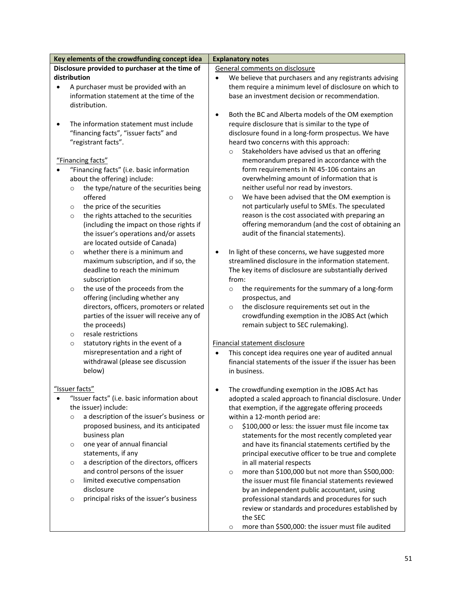| Key elements of the crowdfunding concept idea                 | <b>Explanatory notes</b>                                                                             |  |
|---------------------------------------------------------------|------------------------------------------------------------------------------------------------------|--|
| Disclosure provided to purchaser at the time of               | General comments on disclosure                                                                       |  |
| distribution                                                  | We believe that purchasers and any registrants advising                                              |  |
| A purchaser must be provided with an<br>$\bullet$             | them require a minimum level of disclosure on which to                                               |  |
| information statement at the time of the                      | base an investment decision or recommendation.                                                       |  |
| distribution.                                                 |                                                                                                      |  |
|                                                               | Both the BC and Alberta models of the OM exemption<br>$\bullet$                                      |  |
| The information statement must include<br>$\bullet$           | require disclosure that is similar to the type of                                                    |  |
| "financing facts", "issuer facts" and                         | disclosure found in a long-form prospectus. We have                                                  |  |
| "registrant facts".                                           | heard two concerns with this approach:                                                               |  |
|                                                               | Stakeholders have advised us that an offering<br>$\circ$                                             |  |
| "Financing facts"                                             | memorandum prepared in accordance with the                                                           |  |
| "Financing facts" (i.e. basic information                     | form requirements in NI 45-106 contains an                                                           |  |
| about the offering) include:                                  | overwhelming amount of information that is                                                           |  |
| the type/nature of the securities being                       | neither useful nor read by investors.                                                                |  |
| $\circ$<br>offered                                            | We have been advised that the OM exemption is<br>$\circ$                                             |  |
| the price of the securities                                   | not particularly useful to SMEs. The speculated                                                      |  |
| $\circ$                                                       |                                                                                                      |  |
| the rights attached to the securities<br>$\circ$              | reason is the cost associated with preparing an<br>offering memorandum (and the cost of obtaining an |  |
| (including the impact on those rights if                      | audit of the financial statements).                                                                  |  |
| the issuer's operations and/or assets                         |                                                                                                      |  |
| are located outside of Canada)                                |                                                                                                      |  |
| whether there is a minimum and<br>$\circ$                     | In light of these concerns, we have suggested more<br>$\bullet$                                      |  |
| maximum subscription, and if so, the                          | streamlined disclosure in the information statement.                                                 |  |
| deadline to reach the minimum                                 | The key items of disclosure are substantially derived                                                |  |
| subscription                                                  | from:                                                                                                |  |
| the use of the proceeds from the<br>$\circ$                   | the requirements for the summary of a long-form<br>$\circ$                                           |  |
| offering (including whether any                               | prospectus, and                                                                                      |  |
| directors, officers, promoters or related                     | the disclosure requirements set out in the<br>$\circ$                                                |  |
| parties of the issuer will receive any of                     | crowdfunding exemption in the JOBS Act (which                                                        |  |
| the proceeds)                                                 | remain subject to SEC rulemaking).                                                                   |  |
| resale restrictions<br>$\circ$                                |                                                                                                      |  |
| statutory rights in the event of a<br>$\circ$                 | Financial statement disclosure                                                                       |  |
| misrepresentation and a right of                              | This concept idea requires one year of audited annual<br>$\bullet$                                   |  |
| withdrawal (please see discussion                             | financial statements of the issuer if the issuer has been<br>in business.                            |  |
| below)                                                        |                                                                                                      |  |
| "Issuer facts"                                                |                                                                                                      |  |
| "Issuer facts" (i.e. basic information about                  | The crowdfunding exemption in the JOBS Act has                                                       |  |
| the issuer) include:                                          | adopted a scaled approach to financial disclosure. Under                                             |  |
| a description of the issuer's business or                     | that exemption, if the aggregate offering proceeds                                                   |  |
| $\circ$<br>proposed business, and its anticipated             | within a 12-month period are:                                                                        |  |
|                                                               | \$100,000 or less: the issuer must file income tax<br>$\circ$                                        |  |
| business plan                                                 | statements for the most recently completed year                                                      |  |
| one year of annual financial<br>$\circ$<br>statements, if any | and have its financial statements certified by the                                                   |  |
| a description of the directors, officers                      | principal executive officer to be true and complete                                                  |  |
| $\circ$<br>and control persons of the issuer                  | in all material respects<br>more than \$100,000 but not more than \$500,000:                         |  |
| limited executive compensation                                | $\circ$<br>the issuer must file financial statements reviewed                                        |  |
| $\circ$<br>disclosure                                         |                                                                                                      |  |
| principal risks of the issuer's business                      | by an independent public accountant, using                                                           |  |
| $\circ$                                                       | professional standards and procedures for such                                                       |  |
|                                                               | review or standards and procedures established by                                                    |  |
|                                                               | the SEC                                                                                              |  |
|                                                               | more than \$500,000: the issuer must file audited<br>$\circ$                                         |  |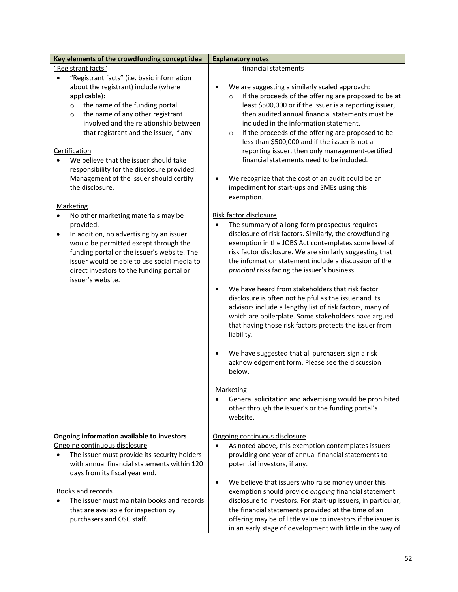| Key elements of the crowdfunding concept idea                                                                                                                                                                                                                                                                                                                                                                                                                                                                                                                                                                                                                                                                                                                                               | <b>Explanatory notes</b>                                                                                                                                                                                                                                                                                                                                                                                                                                                                                                                                                                                                                                                                                                                                                                                                                                                                                                                                                                                                                                                                                                                                                                                                                                                                                                                                                                                                                                                                                                                                                               |
|---------------------------------------------------------------------------------------------------------------------------------------------------------------------------------------------------------------------------------------------------------------------------------------------------------------------------------------------------------------------------------------------------------------------------------------------------------------------------------------------------------------------------------------------------------------------------------------------------------------------------------------------------------------------------------------------------------------------------------------------------------------------------------------------|----------------------------------------------------------------------------------------------------------------------------------------------------------------------------------------------------------------------------------------------------------------------------------------------------------------------------------------------------------------------------------------------------------------------------------------------------------------------------------------------------------------------------------------------------------------------------------------------------------------------------------------------------------------------------------------------------------------------------------------------------------------------------------------------------------------------------------------------------------------------------------------------------------------------------------------------------------------------------------------------------------------------------------------------------------------------------------------------------------------------------------------------------------------------------------------------------------------------------------------------------------------------------------------------------------------------------------------------------------------------------------------------------------------------------------------------------------------------------------------------------------------------------------------------------------------------------------------|
| "Registrant facts"                                                                                                                                                                                                                                                                                                                                                                                                                                                                                                                                                                                                                                                                                                                                                                          | financial statements                                                                                                                                                                                                                                                                                                                                                                                                                                                                                                                                                                                                                                                                                                                                                                                                                                                                                                                                                                                                                                                                                                                                                                                                                                                                                                                                                                                                                                                                                                                                                                   |
| "Registrant facts" (i.e. basic information<br>about the registrant) include (where<br>applicable):<br>the name of the funding portal<br>$\circ$<br>the name of any other registrant<br>$\circ$<br>involved and the relationship between<br>that registrant and the issuer, if any<br>Certification<br>We believe that the issuer should take<br>responsibility for the disclosure provided.<br>Management of the issuer should certify<br>the disclosure.<br><b>Marketing</b><br>No other marketing materials may be<br>provided.<br>In addition, no advertising by an issuer<br>٠<br>would be permitted except through the<br>funding portal or the issuer's website. The<br>issuer would be able to use social media to<br>direct investors to the funding portal or<br>issuer's website. | We are suggesting a similarly scaled approach:<br>If the proceeds of the offering are proposed to be at<br>$\circ$<br>least \$500,000 or if the issuer is a reporting issuer,<br>then audited annual financial statements must be<br>included in the information statement.<br>If the proceeds of the offering are proposed to be<br>$\circ$<br>less than \$500,000 and if the issuer is not a<br>reporting issuer, then only management-certified<br>financial statements need to be included.<br>We recognize that the cost of an audit could be an<br>٠<br>impediment for start-ups and SMEs using this<br>exemption.<br>Risk factor disclosure<br>The summary of a long-form prospectus requires<br>disclosure of risk factors. Similarly, the crowdfunding<br>exemption in the JOBS Act contemplates some level of<br>risk factor disclosure. We are similarly suggesting that<br>the information statement include a discussion of the<br>principal risks facing the issuer's business.<br>We have heard from stakeholders that risk factor<br>$\bullet$<br>disclosure is often not helpful as the issuer and its<br>advisors include a lengthy list of risk factors, many of<br>which are boilerplate. Some stakeholders have argued<br>that having those risk factors protects the issuer from<br>liability.<br>We have suggested that all purchasers sign a risk<br>٠<br>acknowledgement form. Please see the discussion<br>below.<br>Marketing<br>General solicitation and advertising would be prohibited<br>other through the issuer's or the funding portal's<br>website. |
|                                                                                                                                                                                                                                                                                                                                                                                                                                                                                                                                                                                                                                                                                                                                                                                             |                                                                                                                                                                                                                                                                                                                                                                                                                                                                                                                                                                                                                                                                                                                                                                                                                                                                                                                                                                                                                                                                                                                                                                                                                                                                                                                                                                                                                                                                                                                                                                                        |
| Ongoing information available to investors<br>Ongoing continuous disclosure<br>The issuer must provide its security holders<br>$\bullet$<br>with annual financial statements within 120<br>days from its fiscal year end.                                                                                                                                                                                                                                                                                                                                                                                                                                                                                                                                                                   | Ongoing continuous disclosure<br>As noted above, this exemption contemplates issuers<br>$\bullet$<br>providing one year of annual financial statements to<br>potential investors, if any.<br>We believe that issuers who raise money under this<br>$\bullet$                                                                                                                                                                                                                                                                                                                                                                                                                                                                                                                                                                                                                                                                                                                                                                                                                                                                                                                                                                                                                                                                                                                                                                                                                                                                                                                           |
| <b>Books and records</b><br>The issuer must maintain books and records<br>that are available for inspection by<br>purchasers and OSC staff.                                                                                                                                                                                                                                                                                                                                                                                                                                                                                                                                                                                                                                                 | exemption should provide ongoing financial statement<br>disclosure to investors. For start-up issuers, in particular,<br>the financial statements provided at the time of an<br>offering may be of little value to investors if the issuer is<br>in an early stage of development with little in the way of                                                                                                                                                                                                                                                                                                                                                                                                                                                                                                                                                                                                                                                                                                                                                                                                                                                                                                                                                                                                                                                                                                                                                                                                                                                                            |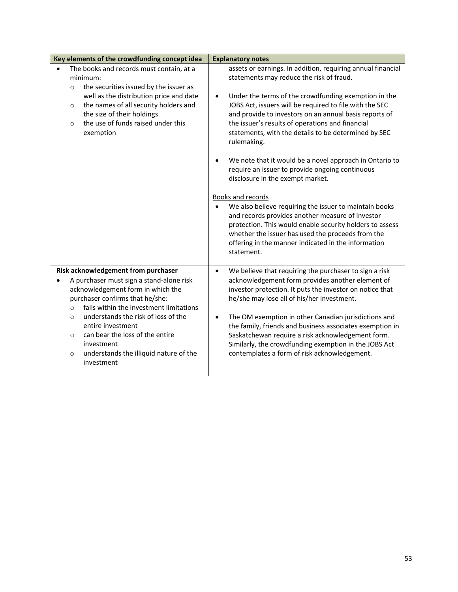| Key elements of the crowdfunding concept idea                                                                                                                                                                                                                                                                                                                                                                       | <b>Explanatory notes</b>                                                                                                                                                                                                                                                                                                                                                                                                                                                                                                                                                                                                                                                                                                                                                                                                                                                                                                    |
|---------------------------------------------------------------------------------------------------------------------------------------------------------------------------------------------------------------------------------------------------------------------------------------------------------------------------------------------------------------------------------------------------------------------|-----------------------------------------------------------------------------------------------------------------------------------------------------------------------------------------------------------------------------------------------------------------------------------------------------------------------------------------------------------------------------------------------------------------------------------------------------------------------------------------------------------------------------------------------------------------------------------------------------------------------------------------------------------------------------------------------------------------------------------------------------------------------------------------------------------------------------------------------------------------------------------------------------------------------------|
| The books and records must contain, at a<br>minimum:<br>the securities issued by the issuer as<br>$\circ$<br>well as the distribution price and date<br>the names of all security holders and<br>$\circ$<br>the size of their holdings<br>the use of funds raised under this<br>$\Omega$<br>exemption                                                                                                               | assets or earnings. In addition, requiring annual financial<br>statements may reduce the risk of fraud.<br>Under the terms of the crowdfunding exemption in the<br>$\bullet$<br>JOBS Act, issuers will be required to file with the SEC<br>and provide to investors on an annual basis reports of<br>the issuer's results of operations and financial<br>statements, with the details to be determined by SEC<br>rulemaking.<br>We note that it would be a novel approach in Ontario to<br>require an issuer to provide ongoing continuous<br>disclosure in the exempt market.<br><b>Books and records</b><br>We also believe requiring the issuer to maintain books<br>$\bullet$<br>and records provides another measure of investor<br>protection. This would enable security holders to assess<br>whether the issuer has used the proceeds from the<br>offering in the manner indicated in the information<br>statement. |
| Risk acknowledgement from purchaser<br>A purchaser must sign a stand-alone risk<br>acknowledgement form in which the<br>purchaser confirms that he/she:<br>falls within the investment limitations<br>$\circ$<br>understands the risk of loss of the<br>$\circ$<br>entire investment<br>can bear the loss of the entire<br>$\circ$<br>investment<br>understands the illiquid nature of the<br>$\circ$<br>investment | We believe that requiring the purchaser to sign a risk<br>$\bullet$<br>acknowledgement form provides another element of<br>investor protection. It puts the investor on notice that<br>he/she may lose all of his/her investment.<br>The OM exemption in other Canadian jurisdictions and<br>$\bullet$<br>the family, friends and business associates exemption in<br>Saskatchewan require a risk acknowledgement form.<br>Similarly, the crowdfunding exemption in the JOBS Act<br>contemplates a form of risk acknowledgement.                                                                                                                                                                                                                                                                                                                                                                                            |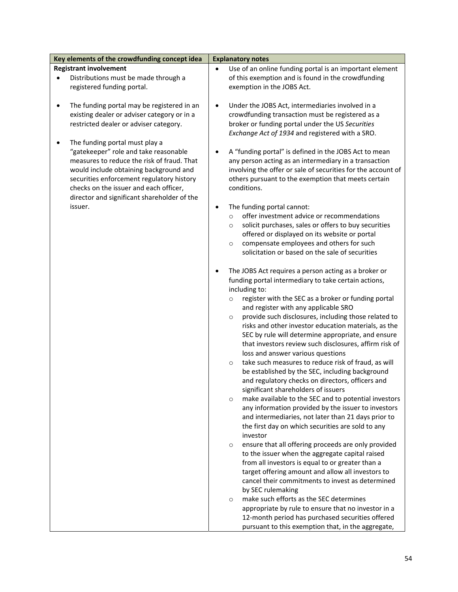| Key elements of the crowdfunding concept idea   | <b>Explanatory notes</b>                                             |
|-------------------------------------------------|----------------------------------------------------------------------|
| <b>Registrant involvement</b>                   | Use of an online funding portal is an important element<br>$\bullet$ |
| Distributions must be made through a            | of this exemption and is found in the crowdfunding                   |
| registered funding portal.                      | exemption in the JOBS Act.                                           |
|                                                 |                                                                      |
| The funding portal may be registered in an<br>٠ | Under the JOBS Act, intermediaries involved in a<br>$\bullet$        |
| existing dealer or adviser category or in a     | crowdfunding transaction must be registered as a                     |
| restricted dealer or adviser category.          | broker or funding portal under the US Securities                     |
|                                                 | Exchange Act of 1934 and registered with a SRO.                      |
|                                                 |                                                                      |
| The funding portal must play a                  |                                                                      |
| "gatekeeper" role and take reasonable           | A "funding portal" is defined in the JOBS Act to mean                |
| measures to reduce the risk of fraud. That      | any person acting as an intermediary in a transaction                |
| would include obtaining background and          | involving the offer or sale of securities for the account of         |
| securities enforcement regulatory history       | others pursuant to the exemption that meets certain                  |
| checks on the issuer and each officer,          | conditions.                                                          |
| director and significant shareholder of the     |                                                                      |
| issuer.                                         | The funding portal cannot:<br>٠                                      |
|                                                 | offer investment advice or recommendations<br>$\circ$                |
|                                                 | solicit purchases, sales or offers to buy securities<br>$\circ$      |
|                                                 | offered or displayed on its website or portal                        |
|                                                 | compensate employees and others for such<br>$\circ$                  |
|                                                 | solicitation or based on the sale of securities                      |
|                                                 |                                                                      |
|                                                 | The JOBS Act requires a person acting as a broker or<br>٠            |
|                                                 | funding portal intermediary to take certain actions,                 |
|                                                 | including to:                                                        |
|                                                 | register with the SEC as a broker or funding portal<br>$\circ$       |
|                                                 | and register with any applicable SRO                                 |
|                                                 | provide such disclosures, including those related to<br>$\circ$      |
|                                                 | risks and other investor education materials, as the                 |
|                                                 | SEC by rule will determine appropriate, and ensure                   |
|                                                 | that investors review such disclosures, affirm risk of               |
|                                                 | loss and answer various questions                                    |
|                                                 | take such measures to reduce risk of fraud, as will<br>$\circ$       |
|                                                 | be established by the SEC, including background                      |
|                                                 | and regulatory checks on directors, officers and                     |
|                                                 | significant shareholders of issuers                                  |
|                                                 | make available to the SEC and to potential investors<br>$\circ$      |
|                                                 | any information provided by the issuer to investors                  |
|                                                 | and intermediaries, not later than 21 days prior to                  |
|                                                 | the first day on which securities are sold to any                    |
|                                                 | investor                                                             |
|                                                 | ensure that all offering proceeds are only provided                  |
|                                                 | $\circ$                                                              |
|                                                 | to the issuer when the aggregate capital raised                      |
|                                                 | from all investors is equal to or greater than a                     |
|                                                 | target offering amount and allow all investors to                    |
|                                                 | cancel their commitments to invest as determined                     |
|                                                 | by SEC rulemaking                                                    |
|                                                 | make such efforts as the SEC determines<br>$\circ$                   |
|                                                 | appropriate by rule to ensure that no investor in a                  |
|                                                 | 12-month period has purchased securities offered                     |
|                                                 | pursuant to this exemption that, in the aggregate,                   |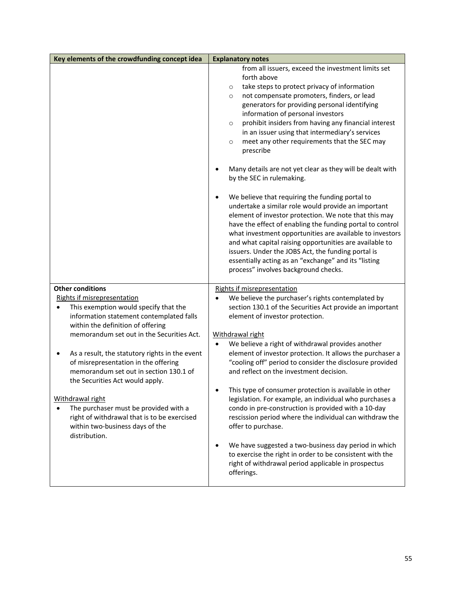| Key elements of the crowdfunding concept idea                                                                                                                                           | <b>Explanatory notes</b>                                                                                                                                                                                                                                                                                                                                                                                                                                                                                                                                                                                                                                                                                                                                                                                                                                                                                                                                                                                                                                                         |
|-----------------------------------------------------------------------------------------------------------------------------------------------------------------------------------------|----------------------------------------------------------------------------------------------------------------------------------------------------------------------------------------------------------------------------------------------------------------------------------------------------------------------------------------------------------------------------------------------------------------------------------------------------------------------------------------------------------------------------------------------------------------------------------------------------------------------------------------------------------------------------------------------------------------------------------------------------------------------------------------------------------------------------------------------------------------------------------------------------------------------------------------------------------------------------------------------------------------------------------------------------------------------------------|
|                                                                                                                                                                                         | from all issuers, exceed the investment limits set<br>forth above<br>take steps to protect privacy of information<br>$\circ$<br>not compensate promoters, finders, or lead<br>$\circ$<br>generators for providing personal identifying<br>information of personal investors<br>prohibit insiders from having any financial interest<br>$\circ$<br>in an issuer using that intermediary's services<br>meet any other requirements that the SEC may<br>$\circ$<br>prescribe<br>Many details are not yet clear as they will be dealt with<br>by the SEC in rulemaking.<br>We believe that requiring the funding portal to<br>undertake a similar role would provide an important<br>element of investor protection. We note that this may<br>have the effect of enabling the funding portal to control<br>what investment opportunities are available to investors<br>and what capital raising opportunities are available to<br>issuers. Under the JOBS Act, the funding portal is<br>essentially acting as an "exchange" and its "listing<br>process" involves background checks. |
| <b>Other conditions</b><br><b>Rights if misrepresentation</b><br>This exemption would specify that the<br>information statement contemplated falls<br>within the definition of offering | <b>Rights if misrepresentation</b><br>We believe the purchaser's rights contemplated by<br>$\bullet$<br>section 130.1 of the Securities Act provide an important<br>element of investor protection.                                                                                                                                                                                                                                                                                                                                                                                                                                                                                                                                                                                                                                                                                                                                                                                                                                                                              |
| memorandum set out in the Securities Act.                                                                                                                                               | Withdrawal right                                                                                                                                                                                                                                                                                                                                                                                                                                                                                                                                                                                                                                                                                                                                                                                                                                                                                                                                                                                                                                                                 |
| As a result, the statutory rights in the event<br>of misrepresentation in the offering<br>memorandum set out in section 130.1 of<br>the Securities Act would apply.                     | We believe a right of withdrawal provides another<br>$\bullet$<br>element of investor protection. It allows the purchaser a<br>"cooling off" period to consider the disclosure provided<br>and reflect on the investment decision.                                                                                                                                                                                                                                                                                                                                                                                                                                                                                                                                                                                                                                                                                                                                                                                                                                               |
| Withdrawal right<br>The purchaser must be provided with a<br>right of withdrawal that is to be exercised<br>within two-business days of the<br>distribution.                            | This type of consumer protection is available in other<br>legislation. For example, an individual who purchases a<br>condo in pre-construction is provided with a 10-day<br>rescission period where the individual can withdraw the<br>offer to purchase.                                                                                                                                                                                                                                                                                                                                                                                                                                                                                                                                                                                                                                                                                                                                                                                                                        |
|                                                                                                                                                                                         | We have suggested a two-business day period in which<br>to exercise the right in order to be consistent with the<br>right of withdrawal period applicable in prospectus<br>offerings.                                                                                                                                                                                                                                                                                                                                                                                                                                                                                                                                                                                                                                                                                                                                                                                                                                                                                            |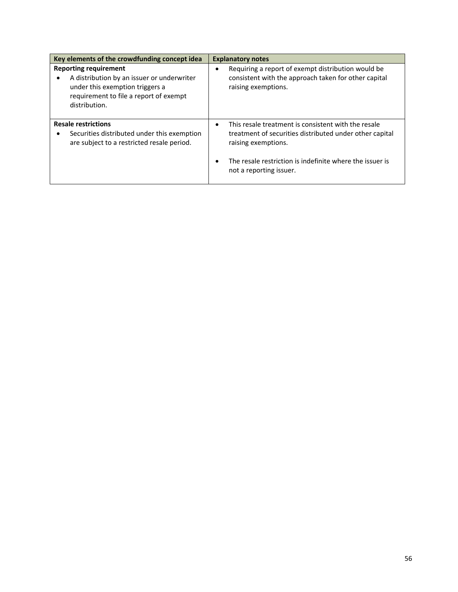| Key elements of the crowdfunding concept idea                                                                                                                            | <b>Explanatory notes</b>                                                                                                                                                                                                                  |
|--------------------------------------------------------------------------------------------------------------------------------------------------------------------------|-------------------------------------------------------------------------------------------------------------------------------------------------------------------------------------------------------------------------------------------|
| <b>Reporting requirement</b><br>A distribution by an issuer or underwriter<br>under this exemption triggers a<br>requirement to file a report of exempt<br>distribution. | Requiring a report of exempt distribution would be<br>consistent with the approach taken for other capital<br>raising exemptions.                                                                                                         |
| <b>Resale restrictions</b><br>Securities distributed under this exemption<br>are subject to a restricted resale period.                                                  | This resale treatment is consistent with the resale<br>$\bullet$<br>treatment of securities distributed under other capital<br>raising exemptions.<br>The resale restriction is indefinite where the issuer is<br>not a reporting issuer. |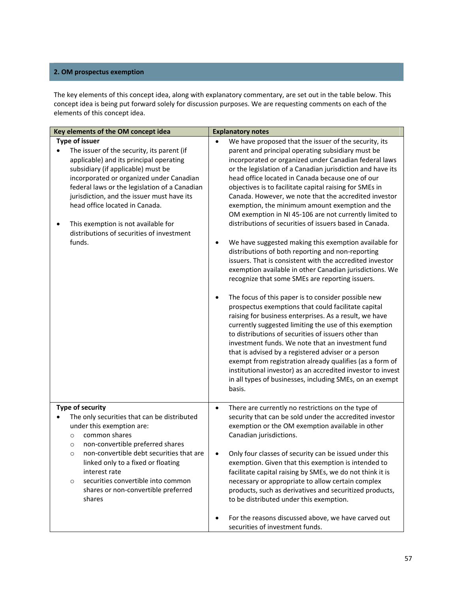# **2. OM prospectus exemption**

The key elements of this concept idea, along with explanatory commentary, are set out in the table below. This concept idea is being put forward solely for discussion purposes. We are requesting comments on each of the elements of this concept idea.

| Key elements of the OM concept idea                                                                                                                                                                                                                                                                                                                                                                                             | <b>Explanatory notes</b>                                                                                                                                                                                                                                                                                                                                                                                                                                                                                                                                                                                                                                                                                                                                                                                                                                                                                                                                                                                                                                                                                                                                                                                                                                                                                                                                                                                                                                                                                |
|---------------------------------------------------------------------------------------------------------------------------------------------------------------------------------------------------------------------------------------------------------------------------------------------------------------------------------------------------------------------------------------------------------------------------------|---------------------------------------------------------------------------------------------------------------------------------------------------------------------------------------------------------------------------------------------------------------------------------------------------------------------------------------------------------------------------------------------------------------------------------------------------------------------------------------------------------------------------------------------------------------------------------------------------------------------------------------------------------------------------------------------------------------------------------------------------------------------------------------------------------------------------------------------------------------------------------------------------------------------------------------------------------------------------------------------------------------------------------------------------------------------------------------------------------------------------------------------------------------------------------------------------------------------------------------------------------------------------------------------------------------------------------------------------------------------------------------------------------------------------------------------------------------------------------------------------------|
| <b>Type of issuer</b><br>The issuer of the security, its parent (if<br>applicable) and its principal operating<br>subsidiary (if applicable) must be<br>incorporated or organized under Canadian<br>federal laws or the legislation of a Canadian<br>jurisdiction, and the issuer must have its<br>head office located in Canada.<br>This exemption is not available for<br>distributions of securities of investment<br>funds. | We have proposed that the issuer of the security, its<br>$\bullet$<br>parent and principal operating subsidiary must be<br>incorporated or organized under Canadian federal laws<br>or the legislation of a Canadian jurisdiction and have its<br>head office located in Canada because one of our<br>objectives is to facilitate capital raising for SMEs in<br>Canada. However, we note that the accredited investor<br>exemption, the minimum amount exemption and the<br>OM exemption in NI 45-106 are not currently limited to<br>distributions of securities of issuers based in Canada.<br>We have suggested making this exemption available for<br>٠<br>distributions of both reporting and non-reporting<br>issuers. That is consistent with the accredited investor<br>exemption available in other Canadian jurisdictions. We<br>recognize that some SMEs are reporting issuers.<br>The focus of this paper is to consider possible new<br>٠<br>prospectus exemptions that could facilitate capital<br>raising for business enterprises. As a result, we have<br>currently suggested limiting the use of this exemption<br>to distributions of securities of issuers other than<br>investment funds. We note that an investment fund<br>that is advised by a registered adviser or a person<br>exempt from registration already qualifies (as a form of<br>institutional investor) as an accredited investor to invest<br>in all types of businesses, including SMEs, on an exempt<br>basis. |
| <b>Type of security</b><br>The only securities that can be distributed<br>under this exemption are:<br>common shares<br>$\circ$<br>non-convertible preferred shares<br>$\circ$<br>non-convertible debt securities that are<br>$\circ$<br>linked only to a fixed or floating<br>interest rate<br>securities convertible into common<br>$\circ$<br>shares or non-convertible preferred<br>shares                                  | There are currently no restrictions on the type of<br>$\bullet$<br>security that can be sold under the accredited investor<br>exemption or the OM exemption available in other<br>Canadian jurisdictions.<br>Only four classes of security can be issued under this<br>$\bullet$<br>exemption. Given that this exemption is intended to<br>facilitate capital raising by SMEs, we do not think it is<br>necessary or appropriate to allow certain complex<br>products, such as derivatives and securitized products,<br>to be distributed under this exemption.<br>For the reasons discussed above, we have carved out<br>٠<br>securities of investment funds.                                                                                                                                                                                                                                                                                                                                                                                                                                                                                                                                                                                                                                                                                                                                                                                                                                          |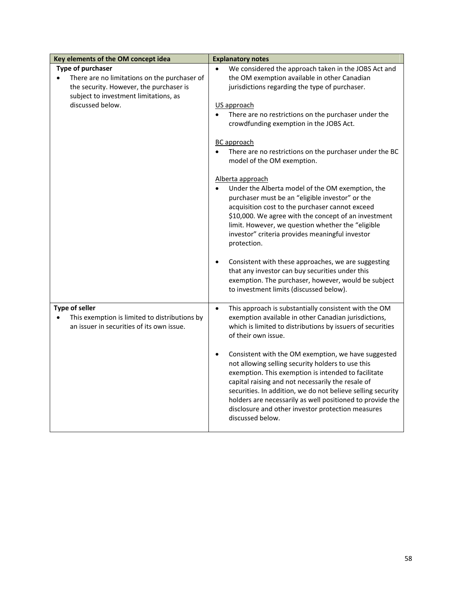| Key elements of the OM concept idea                                                                                                                                                    | <b>Explanatory notes</b>                                                                                                                                                                                                                                                                                                                                                                                                                                                                                                                                                                                                                                                                                                                                                                                                                                                                                                                                                                   |
|----------------------------------------------------------------------------------------------------------------------------------------------------------------------------------------|--------------------------------------------------------------------------------------------------------------------------------------------------------------------------------------------------------------------------------------------------------------------------------------------------------------------------------------------------------------------------------------------------------------------------------------------------------------------------------------------------------------------------------------------------------------------------------------------------------------------------------------------------------------------------------------------------------------------------------------------------------------------------------------------------------------------------------------------------------------------------------------------------------------------------------------------------------------------------------------------|
| Type of purchaser<br>There are no limitations on the purchaser of<br>$\bullet$<br>the security. However, the purchaser is<br>subject to investment limitations, as<br>discussed below. | We considered the approach taken in the JOBS Act and<br>the OM exemption available in other Canadian<br>jurisdictions regarding the type of purchaser.<br>US approach<br>There are no restrictions on the purchaser under the<br>crowdfunding exemption in the JOBS Act.<br><b>BC</b> approach<br>There are no restrictions on the purchaser under the BC<br>model of the OM exemption.<br>Alberta approach<br>Under the Alberta model of the OM exemption, the<br>$\bullet$<br>purchaser must be an "eligible investor" or the<br>acquisition cost to the purchaser cannot exceed<br>\$10,000. We agree with the concept of an investment<br>limit. However, we question whether the "eligible<br>investor" criteria provides meaningful investor<br>protection.<br>Consistent with these approaches, we are suggesting<br>$\bullet$<br>that any investor can buy securities under this<br>exemption. The purchaser, however, would be subject<br>to investment limits (discussed below). |
| <b>Type of seller</b><br>This exemption is limited to distributions by<br>an issuer in securities of its own issue.                                                                    | This approach is substantially consistent with the OM<br>$\bullet$<br>exemption available in other Canadian jurisdictions,<br>which is limited to distributions by issuers of securities<br>of their own issue.<br>Consistent with the OM exemption, we have suggested<br>$\bullet$<br>not allowing selling security holders to use this<br>exemption. This exemption is intended to facilitate<br>capital raising and not necessarily the resale of<br>securities. In addition, we do not believe selling security<br>holders are necessarily as well positioned to provide the<br>disclosure and other investor protection measures<br>discussed below.                                                                                                                                                                                                                                                                                                                                  |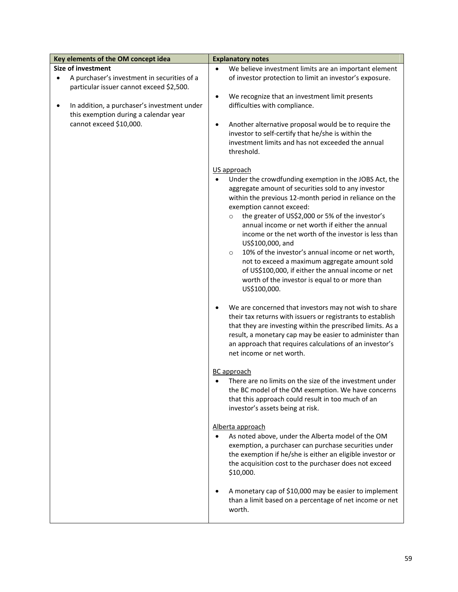| Key elements of the OM concept idea         | <b>Explanatory notes</b>                                          |
|---------------------------------------------|-------------------------------------------------------------------|
| <b>Size of investment</b>                   | We believe investment limits are an important element             |
| A purchaser's investment in securities of a | of investor protection to limit an investor's exposure.           |
| particular issuer cannot exceed \$2,500.    |                                                                   |
|                                             | We recognize that an investment limit presents<br>$\bullet$       |
| In addition, a purchaser's investment under | difficulties with compliance.                                     |
| this exemption during a calendar year       |                                                                   |
| cannot exceed \$10,000.                     | Another alternative proposal would be to require the<br>$\bullet$ |
|                                             | investor to self-certify that he/she is within the                |
|                                             | investment limits and has not exceeded the annual                 |
|                                             | threshold.                                                        |
|                                             |                                                                   |
|                                             | US approach                                                       |
|                                             | Under the crowdfunding exemption in the JOBS Act, the             |
|                                             | aggregate amount of securities sold to any investor               |
|                                             | within the previous 12-month period in reliance on the            |
|                                             | exemption cannot exceed:                                          |
|                                             | the greater of US\$2,000 or 5% of the investor's<br>$\circ$       |
|                                             | annual income or net worth if either the annual                   |
|                                             | income or the net worth of the investor is less than              |
|                                             | US\$100,000, and                                                  |
|                                             | 10% of the investor's annual income or net worth,<br>$\circ$      |
|                                             | not to exceed a maximum aggregate amount sold                     |
|                                             | of US\$100,000, if either the annual income or net                |
|                                             | worth of the investor is equal to or more than                    |
|                                             | US\$100,000.                                                      |
|                                             |                                                                   |
|                                             | We are concerned that investors may not wish to share             |
|                                             | their tax returns with issuers or registrants to establish        |
|                                             | that they are investing within the prescribed limits. As a        |
|                                             | result, a monetary cap may be easier to administer than           |
|                                             | an approach that requires calculations of an investor's           |
|                                             | net income or net worth.                                          |
|                                             |                                                                   |
|                                             | BC approach                                                       |
|                                             | There are no limits on the size of the investment under           |
|                                             | the BC model of the OM exemption. We have concerns                |
|                                             | that this approach could result in too much of an                 |
|                                             | investor's assets being at risk.                                  |
|                                             |                                                                   |
|                                             | Alberta approach                                                  |
|                                             | As noted above, under the Alberta model of the OM                 |
|                                             | exemption, a purchaser can purchase securities under              |
|                                             | the exemption if he/she is either an eligible investor or         |
|                                             | the acquisition cost to the purchaser does not exceed             |
|                                             | \$10,000.                                                         |
|                                             |                                                                   |
|                                             | A monetary cap of \$10,000 may be easier to implement             |
|                                             | than a limit based on a percentage of net income or net<br>worth. |
|                                             |                                                                   |
|                                             |                                                                   |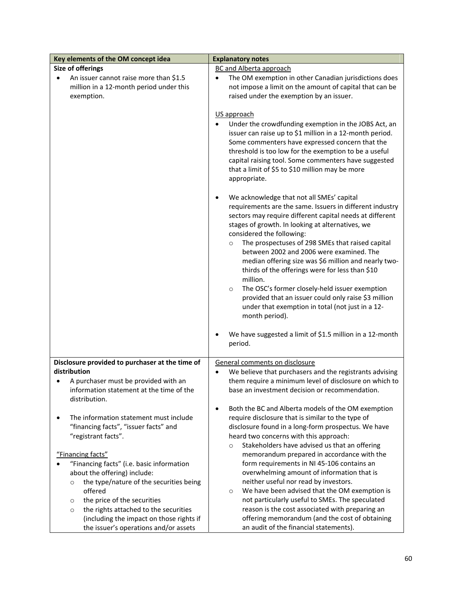| Key elements of the OM concept idea                                              | <b>Explanatory notes</b>                                                                               |
|----------------------------------------------------------------------------------|--------------------------------------------------------------------------------------------------------|
| Size of offerings                                                                | <b>BC and Alberta approach</b>                                                                         |
| An issuer cannot raise more than \$1.5                                           | The OM exemption in other Canadian jurisdictions does                                                  |
| million in a 12-month period under this                                          | not impose a limit on the amount of capital that can be                                                |
| exemption.                                                                       | raised under the exemption by an issuer.                                                               |
|                                                                                  |                                                                                                        |
|                                                                                  | US approach                                                                                            |
|                                                                                  | Under the crowdfunding exemption in the JOBS Act, an                                                   |
|                                                                                  | issuer can raise up to \$1 million in a 12-month period.                                               |
|                                                                                  | Some commenters have expressed concern that the                                                        |
|                                                                                  | threshold is too low for the exemption to be a useful                                                  |
|                                                                                  | capital raising tool. Some commenters have suggested                                                   |
|                                                                                  | that a limit of \$5 to \$10 million may be more                                                        |
|                                                                                  | appropriate.                                                                                           |
|                                                                                  |                                                                                                        |
|                                                                                  | We acknowledge that not all SMEs' capital                                                              |
|                                                                                  | requirements are the same. Issuers in different industry                                               |
|                                                                                  | sectors may require different capital needs at different                                               |
|                                                                                  | stages of growth. In looking at alternatives, we                                                       |
|                                                                                  | considered the following:                                                                              |
|                                                                                  | The prospectuses of 298 SMEs that raised capital<br>$\circ$                                            |
|                                                                                  | between 2002 and 2006 were examined. The                                                               |
|                                                                                  | median offering size was \$6 million and nearly two-                                                   |
|                                                                                  | thirds of the offerings were for less than \$10                                                        |
|                                                                                  | million.                                                                                               |
|                                                                                  | The OSC's former closely-held issuer exemption<br>$\circ$                                              |
|                                                                                  | provided that an issuer could only raise \$3 million                                                   |
|                                                                                  | under that exemption in total (not just in a 12-                                                       |
|                                                                                  | month period).                                                                                         |
|                                                                                  |                                                                                                        |
|                                                                                  | We have suggested a limit of \$1.5 million in a 12-month                                               |
|                                                                                  | period.                                                                                                |
|                                                                                  |                                                                                                        |
| Disclosure provided to purchaser at the time of<br>distribution                  | General comments on disclosure<br>We believe that purchasers and the registrants advising<br>$\bullet$ |
|                                                                                  | them require a minimum level of disclosure on which to                                                 |
| A purchaser must be provided with an<br>information statement at the time of the | base an investment decision or recommendation.                                                         |
| distribution.                                                                    |                                                                                                        |
|                                                                                  | Both the BC and Alberta models of the OM exemption                                                     |
| The information statement must include                                           | require disclosure that is similar to the type of                                                      |
| "financing facts", "issuer facts" and                                            | disclosure found in a long-form prospectus. We have                                                    |
| "registrant facts".                                                              | heard two concerns with this approach:                                                                 |
|                                                                                  | Stakeholders have advised us that an offering<br>$\circ$                                               |
| "Financing facts"                                                                | memorandum prepared in accordance with the                                                             |
| "Financing facts" (i.e. basic information                                        | form requirements in NI 45-106 contains an                                                             |
| about the offering) include:                                                     | overwhelming amount of information that is                                                             |
| the type/nature of the securities being<br>$\circ$                               | neither useful nor read by investors.                                                                  |
| offered                                                                          | We have been advised that the OM exemption is<br>$\circ$                                               |
| the price of the securities<br>O                                                 | not particularly useful to SMEs. The speculated                                                        |
| the rights attached to the securities<br>$\circ$                                 | reason is the cost associated with preparing an                                                        |
| (including the impact on those rights if                                         | offering memorandum (and the cost of obtaining                                                         |
| the issuer's operations and/or assets                                            | an audit of the financial statements).                                                                 |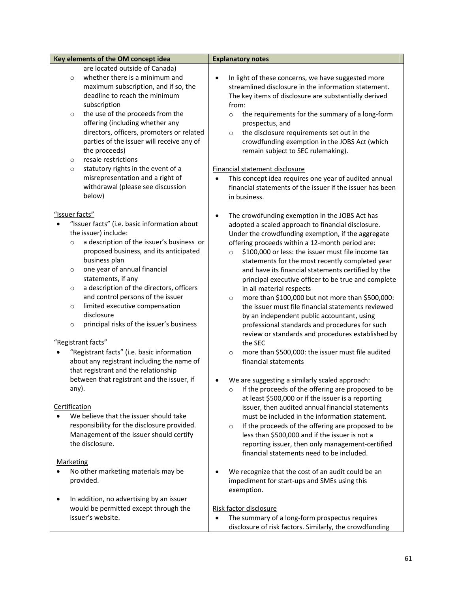| Key elements of the OM concept idea                  | <b>Explanatory notes</b>                                        |
|------------------------------------------------------|-----------------------------------------------------------------|
| are located outside of Canada)                       |                                                                 |
| whether there is a minimum and<br>$\circ$            | In light of these concerns, we have suggested more<br>$\bullet$ |
| maximum subscription, and if so, the                 | streamlined disclosure in the information statement.            |
| deadline to reach the minimum                        | The key items of disclosure are substantially derived           |
| subscription                                         | from:                                                           |
| the use of the proceeds from the<br>$\circ$          | the requirements for the summary of a long-form<br>$\circ$      |
| offering (including whether any                      | prospectus, and                                                 |
| directors, officers, promoters or related            | the disclosure requirements set out in the<br>$\circ$           |
| parties of the issuer will receive any of            | crowdfunding exemption in the JOBS Act (which                   |
| the proceeds)                                        | remain subject to SEC rulemaking).                              |
| resale restrictions<br>$\circ$                       |                                                                 |
| statutory rights in the event of a<br>$\circ$        | Financial statement disclosure                                  |
| misrepresentation and a right of                     |                                                                 |
| withdrawal (please see discussion                    | This concept idea requires one year of audited annual           |
|                                                      | financial statements of the issuer if the issuer has been       |
| below)                                               | in business.                                                    |
|                                                      |                                                                 |
| "Issuer facts"                                       | The crowdfunding exemption in the JOBS Act has<br>$\bullet$     |
| "Issuer facts" (i.e. basic information about         | adopted a scaled approach to financial disclosure.              |
| the issuer) include:                                 | Under the crowdfunding exemption, if the aggregate              |
| a description of the issuer's business or<br>$\circ$ | offering proceeds within a 12-month period are:                 |
| proposed business, and its anticipated               | \$100,000 or less: the issuer must file income tax<br>$\circ$   |
| business plan                                        | statements for the most recently completed year                 |
| one year of annual financial<br>$\circ$              | and have its financial statements certified by the              |
| statements, if any                                   | principal executive officer to be true and complete             |
| a description of the directors, officers<br>$\circ$  | in all material respects                                        |
| and control persons of the issuer                    | more than \$100,000 but not more than \$500,000:<br>$\circ$     |
| limited executive compensation<br>$\circ$            | the issuer must file financial statements reviewed              |
| disclosure                                           | by an independent public accountant, using                      |
| principal risks of the issuer's business<br>$\circ$  | professional standards and procedures for such                  |
|                                                      | review or standards and procedures established by               |
| "Registrant facts"                                   | the SEC                                                         |
| "Registrant facts" (i.e. basic information           | more than \$500,000: the issuer must file audited<br>$\circ$    |
| about any registrant including the name of           | financial statements                                            |
| that registrant and the relationship                 |                                                                 |
| between that registrant and the issuer, if           | We are suggesting a similarly scaled approach:                  |
| any).                                                | If the proceeds of the offering are proposed to be              |
|                                                      | at least \$500,000 or if the issuer is a reporting              |
| Certification                                        | issuer, then audited annual financial statements                |
| We believe that the issuer should take               | must be included in the information statement.                  |
| responsibility for the disclosure provided.          | If the proceeds of the offering are proposed to be<br>$\circ$   |
| Management of the issuer should certify              | less than \$500,000 and if the issuer is not a                  |
| the disclosure.                                      | reporting issuer, then only management-certified                |
|                                                      | financial statements need to be included.                       |
| <b>Marketing</b>                                     |                                                                 |
| No other marketing materials may be                  | We recognize that the cost of an audit could be an              |
| provided.                                            | impediment for start-ups and SMEs using this                    |
|                                                      | exemption.                                                      |
| In addition, no advertising by an issuer             |                                                                 |
| would be permitted except through the                | Risk factor disclosure                                          |
| issuer's website.                                    | The summary of a long-form prospectus requires<br>$\bullet$     |
|                                                      | disclosure of risk factors. Similarly, the crowdfunding         |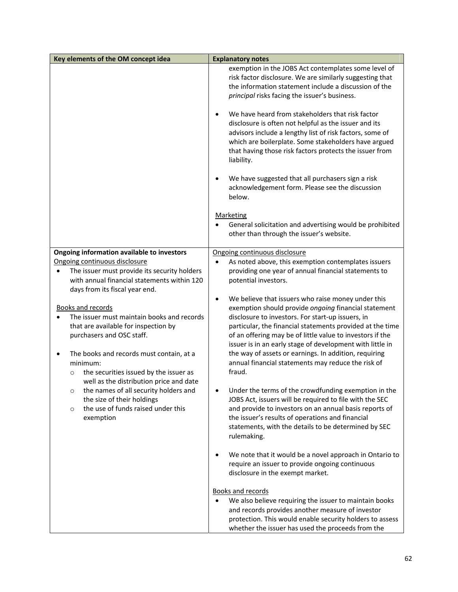| Key elements of the OM concept idea                                                                                                                                                                                                                                                                 | <b>Explanatory notes</b>                                                                                                                                                                                                                                                                                                                                                                                                                                                                     |
|-----------------------------------------------------------------------------------------------------------------------------------------------------------------------------------------------------------------------------------------------------------------------------------------------------|----------------------------------------------------------------------------------------------------------------------------------------------------------------------------------------------------------------------------------------------------------------------------------------------------------------------------------------------------------------------------------------------------------------------------------------------------------------------------------------------|
|                                                                                                                                                                                                                                                                                                     | exemption in the JOBS Act contemplates some level of<br>risk factor disclosure. We are similarly suggesting that<br>the information statement include a discussion of the<br>principal risks facing the issuer's business.                                                                                                                                                                                                                                                                   |
|                                                                                                                                                                                                                                                                                                     | We have heard from stakeholders that risk factor<br>٠<br>disclosure is often not helpful as the issuer and its<br>advisors include a lengthy list of risk factors, some of<br>which are boilerplate. Some stakeholders have argued<br>that having those risk factors protects the issuer from<br>liability.                                                                                                                                                                                  |
|                                                                                                                                                                                                                                                                                                     | We have suggested that all purchasers sign a risk<br>acknowledgement form. Please see the discussion<br>below.                                                                                                                                                                                                                                                                                                                                                                               |
|                                                                                                                                                                                                                                                                                                     | <b>Marketing</b><br>General solicitation and advertising would be prohibited<br>other than through the issuer's website.                                                                                                                                                                                                                                                                                                                                                                     |
| Ongoing information available to investors                                                                                                                                                                                                                                                          | Ongoing continuous disclosure                                                                                                                                                                                                                                                                                                                                                                                                                                                                |
| Ongoing continuous disclosure<br>The issuer must provide its security holders<br>٠<br>with annual financial statements within 120<br>days from its fiscal year end.                                                                                                                                 | As noted above, this exemption contemplates issuers<br>$\bullet$<br>providing one year of annual financial statements to<br>potential investors.                                                                                                                                                                                                                                                                                                                                             |
| <b>Books and records</b><br>The issuer must maintain books and records<br>that are available for inspection by<br>purchasers and OSC staff.<br>The books and records must contain, at a<br>minimum:<br>the securities issued by the issuer as<br>$\circ$<br>well as the distribution price and date | We believe that issuers who raise money under this<br>$\bullet$<br>exemption should provide ongoing financial statement<br>disclosure to investors. For start-up issuers, in<br>particular, the financial statements provided at the time<br>of an offering may be of little value to investors if the<br>issuer is in an early stage of development with little in<br>the way of assets or earnings. In addition, requiring<br>annual financial statements may reduce the risk of<br>fraud. |
| the names of all security holders and<br>$\circ$<br>the size of their holdings<br>the use of funds raised under this<br>$\circ$<br>exemption                                                                                                                                                        | Under the terms of the crowdfunding exemption in the<br>JOBS Act, issuers will be required to file with the SEC<br>and provide to investors on an annual basis reports of<br>the issuer's results of operations and financial<br>statements, with the details to be determined by SEC<br>rulemaking.                                                                                                                                                                                         |
|                                                                                                                                                                                                                                                                                                     | We note that it would be a novel approach in Ontario to<br>$\bullet$<br>require an issuer to provide ongoing continuous<br>disclosure in the exempt market.                                                                                                                                                                                                                                                                                                                                  |
|                                                                                                                                                                                                                                                                                                     | <b>Books and records</b><br>We also believe requiring the issuer to maintain books<br>$\bullet$<br>and records provides another measure of investor<br>protection. This would enable security holders to assess<br>whether the issuer has used the proceeds from the                                                                                                                                                                                                                         |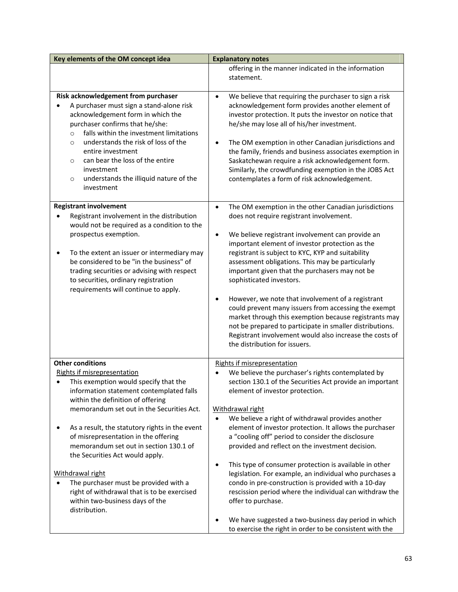| Key elements of the OM concept idea                                                                                                                                                                                                                                                                                                                                                                                                                                                                                                                                         | <b>Explanatory notes</b>                                                                                                                                                                                                                                                                                                                                                                                                                                                                                                                                                                                                                                                                                                                            |
|-----------------------------------------------------------------------------------------------------------------------------------------------------------------------------------------------------------------------------------------------------------------------------------------------------------------------------------------------------------------------------------------------------------------------------------------------------------------------------------------------------------------------------------------------------------------------------|-----------------------------------------------------------------------------------------------------------------------------------------------------------------------------------------------------------------------------------------------------------------------------------------------------------------------------------------------------------------------------------------------------------------------------------------------------------------------------------------------------------------------------------------------------------------------------------------------------------------------------------------------------------------------------------------------------------------------------------------------------|
|                                                                                                                                                                                                                                                                                                                                                                                                                                                                                                                                                                             | offering in the manner indicated in the information<br>statement.                                                                                                                                                                                                                                                                                                                                                                                                                                                                                                                                                                                                                                                                                   |
| Risk acknowledgement from purchaser<br>A purchaser must sign a stand-alone risk<br>acknowledgement form in which the<br>purchaser confirms that he/she:<br>falls within the investment limitations<br>$\circ$<br>understands the risk of loss of the<br>$\circ$<br>entire investment<br>can bear the loss of the entire<br>O<br>investment<br>understands the illiquid nature of the<br>$\circ$<br>investment                                                                                                                                                               | We believe that requiring the purchaser to sign a risk<br>$\bullet$<br>acknowledgement form provides another element of<br>investor protection. It puts the investor on notice that<br>he/she may lose all of his/her investment.<br>The OM exemption in other Canadian jurisdictions and<br>٠<br>the family, friends and business associates exemption in<br>Saskatchewan require a risk acknowledgement form.<br>Similarly, the crowdfunding exemption in the JOBS Act<br>contemplates a form of risk acknowledgement.                                                                                                                                                                                                                            |
| <b>Registrant involvement</b><br>Registrant involvement in the distribution<br>would not be required as a condition to the<br>prospectus exemption.<br>To the extent an issuer or intermediary may<br>be considered to be "in the business" of<br>trading securities or advising with respect<br>to securities, ordinary registration<br>requirements will continue to apply.                                                                                                                                                                                               | The OM exemption in the other Canadian jurisdictions<br>$\bullet$<br>does not require registrant involvement.<br>We believe registrant involvement can provide an<br>٠<br>important element of investor protection as the<br>registrant is subject to KYC, KYP and suitability<br>assessment obligations. This may be particularly<br>important given that the purchasers may not be<br>sophisticated investors.<br>However, we note that involvement of a registrant<br>٠<br>could prevent many issuers from accessing the exempt<br>market through this exemption because registrants may<br>not be prepared to participate in smaller distributions.<br>Registrant involvement would also increase the costs of<br>the distribution for issuers. |
| <b>Other conditions</b><br><b>Rights if misrepresentation</b><br>This exemption would specify that the<br>information statement contemplated falls<br>within the definition of offering<br>memorandum set out in the Securities Act.<br>As a result, the statutory rights in the event<br>of misrepresentation in the offering<br>memorandum set out in section 130.1 of<br>the Securities Act would apply.<br>Withdrawal right<br>The purchaser must be provided with a<br>right of withdrawal that is to be exercised<br>within two-business days of the<br>distribution. | <b>Rights if misrepresentation</b><br>We believe the purchaser's rights contemplated by<br>section 130.1 of the Securities Act provide an important<br>element of investor protection.<br>Withdrawal right<br>We believe a right of withdrawal provides another<br>$\bullet$<br>element of investor protection. It allows the purchaser<br>a "cooling off" period to consider the disclosure<br>provided and reflect on the investment decision.<br>This type of consumer protection is available in other<br>$\bullet$<br>legislation. For example, an individual who purchases a<br>condo in pre-construction is provided with a 10-day<br>rescission period where the individual can withdraw the<br>offer to purchase.                          |
|                                                                                                                                                                                                                                                                                                                                                                                                                                                                                                                                                                             | We have suggested a two-business day period in which<br>to exercise the right in order to be consistent with the                                                                                                                                                                                                                                                                                                                                                                                                                                                                                                                                                                                                                                    |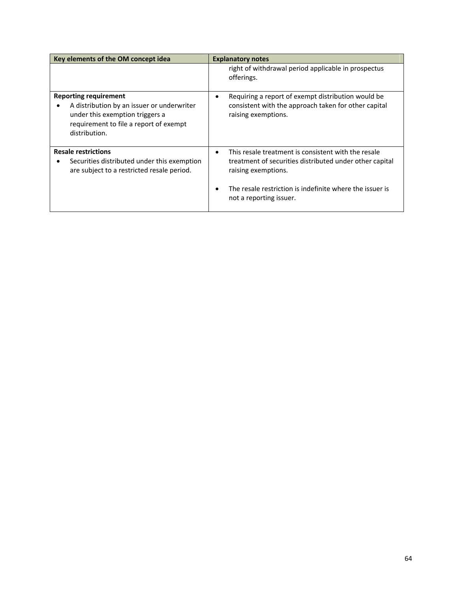| Key elements of the OM concept idea                                                                                                                                      | <b>Explanatory notes</b>                                                                                                                                                                                                                  |
|--------------------------------------------------------------------------------------------------------------------------------------------------------------------------|-------------------------------------------------------------------------------------------------------------------------------------------------------------------------------------------------------------------------------------------|
|                                                                                                                                                                          | right of withdrawal period applicable in prospectus<br>offerings.                                                                                                                                                                         |
| <b>Reporting requirement</b><br>A distribution by an issuer or underwriter<br>under this exemption triggers a<br>requirement to file a report of exempt<br>distribution. | Requiring a report of exempt distribution would be<br>consistent with the approach taken for other capital<br>raising exemptions.                                                                                                         |
| <b>Resale restrictions</b><br>Securities distributed under this exemption<br>are subject to a restricted resale period.                                                  | This resale treatment is consistent with the resale<br>$\bullet$<br>treatment of securities distributed under other capital<br>raising exemptions.<br>The resale restriction is indefinite where the issuer is<br>not a reporting issuer. |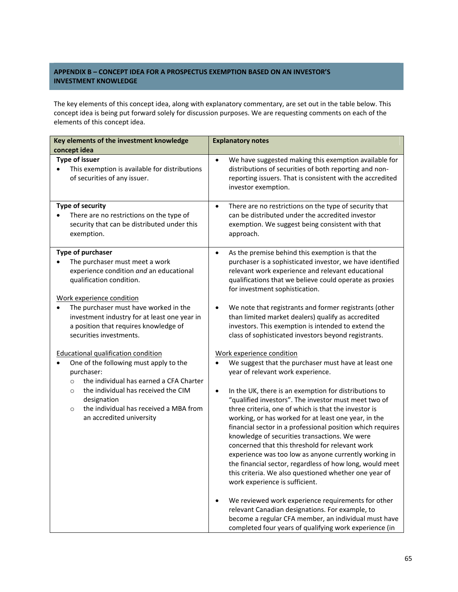# **APPENDIX B – CONCEPT IDEA FOR A PROSPECTUS EXEMPTION BASED ON AN INVESTOR'S INVESTMENT KNOWLEDGE**

The key elements of this concept idea, along with explanatory commentary, are set out in the table below. This concept idea is being put forward solely for discussion purposes. We are requesting comments on each of the elements of this concept idea.

| Key elements of the investment knowledge                                                                                                                                                                                                                                                                   | <b>Explanatory notes</b>                                                                                                                                                                                                                                                                                                                                                                                                                                                                                                                                                                                                                                                                                                                               |
|------------------------------------------------------------------------------------------------------------------------------------------------------------------------------------------------------------------------------------------------------------------------------------------------------------|--------------------------------------------------------------------------------------------------------------------------------------------------------------------------------------------------------------------------------------------------------------------------------------------------------------------------------------------------------------------------------------------------------------------------------------------------------------------------------------------------------------------------------------------------------------------------------------------------------------------------------------------------------------------------------------------------------------------------------------------------------|
| concept idea                                                                                                                                                                                                                                                                                               |                                                                                                                                                                                                                                                                                                                                                                                                                                                                                                                                                                                                                                                                                                                                                        |
| Type of issuer<br>This exemption is available for distributions<br>$\bullet$<br>of securities of any issuer.                                                                                                                                                                                               | We have suggested making this exemption available for<br>$\bullet$<br>distributions of securities of both reporting and non-<br>reporting issuers. That is consistent with the accredited<br>investor exemption.                                                                                                                                                                                                                                                                                                                                                                                                                                                                                                                                       |
| <b>Type of security</b><br>There are no restrictions on the type of<br>$\bullet$<br>security that can be distributed under this<br>exemption.                                                                                                                                                              | There are no restrictions on the type of security that<br>$\bullet$<br>can be distributed under the accredited investor<br>exemption. We suggest being consistent with that<br>approach.                                                                                                                                                                                                                                                                                                                                                                                                                                                                                                                                                               |
| Type of purchaser<br>The purchaser must meet a work<br>experience condition and an educational<br>qualification condition.                                                                                                                                                                                 | As the premise behind this exemption is that the<br>$\bullet$<br>purchaser is a sophisticated investor, we have identified<br>relevant work experience and relevant educational<br>qualifications that we believe could operate as proxies<br>for investment sophistication.                                                                                                                                                                                                                                                                                                                                                                                                                                                                           |
| Work experience condition<br>The purchaser must have worked in the<br>investment industry for at least one year in<br>a position that requires knowledge of<br>securities investments.                                                                                                                     | We note that registrants and former registrants (other<br>than limited market dealers) qualify as accredited<br>investors. This exemption is intended to extend the<br>class of sophisticated investors beyond registrants.                                                                                                                                                                                                                                                                                                                                                                                                                                                                                                                            |
| <b>Educational qualification condition</b><br>One of the following must apply to the<br>purchaser:<br>the individual has earned a CFA Charter<br>$\circ$<br>the individual has received the CIM<br>$\circ$<br>designation<br>the individual has received a MBA from<br>$\circ$<br>an accredited university | Work experience condition<br>We suggest that the purchaser must have at least one<br>year of relevant work experience.<br>In the UK, there is an exemption for distributions to<br>$\bullet$<br>"qualified investors". The investor must meet two of<br>three criteria, one of which is that the investor is<br>working, or has worked for at least one year, in the<br>financial sector in a professional position which requires<br>knowledge of securities transactions. We were<br>concerned that this threshold for relevant work<br>experience was too low as anyone currently working in<br>the financial sector, regardless of how long, would meet<br>this criteria. We also questioned whether one year of<br>work experience is sufficient. |
|                                                                                                                                                                                                                                                                                                            | We reviewed work experience requirements for other<br>relevant Canadian designations. For example, to<br>become a regular CFA member, an individual must have<br>completed four years of qualifying work experience (in                                                                                                                                                                                                                                                                                                                                                                                                                                                                                                                                |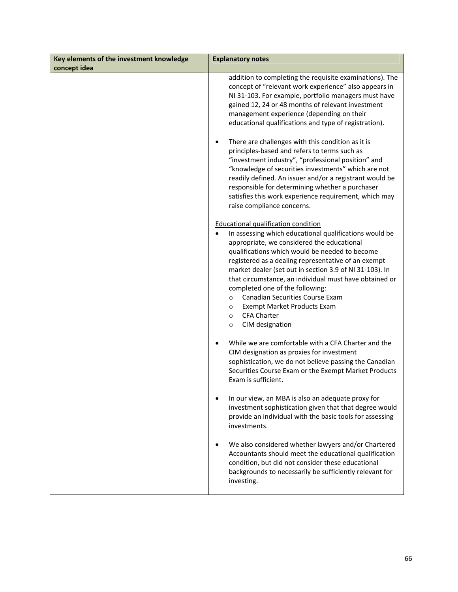| Key elements of the investment knowledge | <b>Explanatory notes</b>                                                                                                                                                                                                                                                                                                                                                                                                                                                                                                                                                                                                                                                                                                                                                |
|------------------------------------------|-------------------------------------------------------------------------------------------------------------------------------------------------------------------------------------------------------------------------------------------------------------------------------------------------------------------------------------------------------------------------------------------------------------------------------------------------------------------------------------------------------------------------------------------------------------------------------------------------------------------------------------------------------------------------------------------------------------------------------------------------------------------------|
| concept idea                             |                                                                                                                                                                                                                                                                                                                                                                                                                                                                                                                                                                                                                                                                                                                                                                         |
|                                          | addition to completing the requisite examinations). The<br>concept of "relevant work experience" also appears in<br>NI 31-103. For example, portfolio managers must have<br>gained 12, 24 or 48 months of relevant investment<br>management experience (depending on their<br>educational qualifications and type of registration).<br>There are challenges with this condition as it is<br>$\bullet$<br>principles-based and refers to terms such as<br>"investment industry", "professional position" and<br>"knowledge of securities investments" which are not<br>readily defined. An issuer and/or a registrant would be<br>responsible for determining whether a purchaser<br>satisfies this work experience requirement, which may<br>raise compliance concerns. |
|                                          | <b>Educational qualification condition</b><br>In assessing which educational qualifications would be<br>$\bullet$<br>appropriate, we considered the educational<br>qualifications which would be needed to become<br>registered as a dealing representative of an exempt<br>market dealer (set out in section 3.9 of NI 31-103). In<br>that circumstance, an individual must have obtained or<br>completed one of the following:<br>Canadian Securities Course Exam<br>$\circ$<br>Exempt Market Products Exam<br>$\circ$<br><b>CFA Charter</b><br>$\circ$<br>CIM designation<br>$\circ$                                                                                                                                                                                 |
|                                          | While we are comfortable with a CFA Charter and the<br>CIM designation as proxies for investment<br>sophistication, we do not believe passing the Canadian<br>Securities Course Exam or the Exempt Market Products<br>Exam is sufficient.                                                                                                                                                                                                                                                                                                                                                                                                                                                                                                                               |
|                                          | In our view, an MBA is also an adequate proxy for<br>$\bullet$<br>investment sophistication given that that degree would<br>provide an individual with the basic tools for assessing<br>investments.                                                                                                                                                                                                                                                                                                                                                                                                                                                                                                                                                                    |
|                                          | We also considered whether lawyers and/or Chartered<br>Accountants should meet the educational qualification<br>condition, but did not consider these educational<br>backgrounds to necessarily be sufficiently relevant for<br>investing.                                                                                                                                                                                                                                                                                                                                                                                                                                                                                                                              |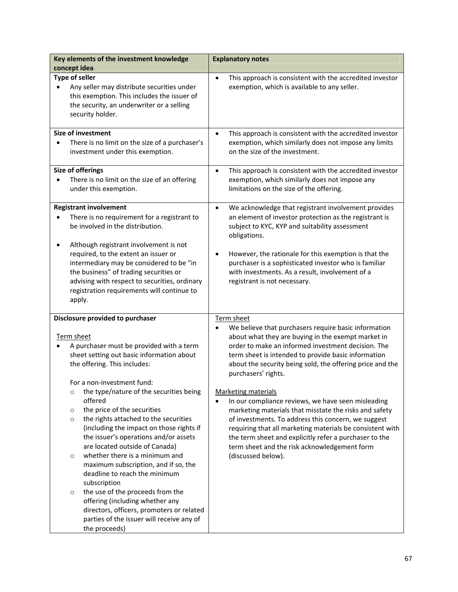| Key elements of the investment knowledge<br>concept idea                                                                                                                                                                                                                                                                                                                                                                                                                                                                                                | <b>Explanatory notes</b>                                                                                                                                                                                                                                                                                                                                                                                    |
|---------------------------------------------------------------------------------------------------------------------------------------------------------------------------------------------------------------------------------------------------------------------------------------------------------------------------------------------------------------------------------------------------------------------------------------------------------------------------------------------------------------------------------------------------------|-------------------------------------------------------------------------------------------------------------------------------------------------------------------------------------------------------------------------------------------------------------------------------------------------------------------------------------------------------------------------------------------------------------|
| Type of seller<br>Any seller may distribute securities under<br>this exemption. This includes the issuer of<br>the security, an underwriter or a selling<br>security holder.                                                                                                                                                                                                                                                                                                                                                                            | This approach is consistent with the accredited investor<br>$\bullet$<br>exemption, which is available to any seller.                                                                                                                                                                                                                                                                                       |
| <b>Size of investment</b><br>There is no limit on the size of a purchaser's<br>investment under this exemption.                                                                                                                                                                                                                                                                                                                                                                                                                                         | This approach is consistent with the accredited investor<br>$\bullet$<br>exemption, which similarly does not impose any limits<br>on the size of the investment.                                                                                                                                                                                                                                            |
| <b>Size of offerings</b><br>There is no limit on the size of an offering<br>under this exemption.                                                                                                                                                                                                                                                                                                                                                                                                                                                       | This approach is consistent with the accredited investor<br>$\bullet$<br>exemption, which similarly does not impose any<br>limitations on the size of the offering.                                                                                                                                                                                                                                         |
| <b>Registrant involvement</b><br>There is no requirement for a registrant to<br>be involved in the distribution.                                                                                                                                                                                                                                                                                                                                                                                                                                        | We acknowledge that registrant involvement provides<br>$\bullet$<br>an element of investor protection as the registrant is<br>subject to KYC, KYP and suitability assessment<br>obligations.                                                                                                                                                                                                                |
| Although registrant involvement is not<br>required, to the extent an issuer or<br>intermediary may be considered to be "in<br>the business" of trading securities or<br>advising with respect to securities, ordinary<br>registration requirements will continue to<br>apply.                                                                                                                                                                                                                                                                           | However, the rationale for this exemption is that the<br>٠<br>purchaser is a sophisticated investor who is familiar<br>with investments. As a result, involvement of a<br>registrant is not necessary.                                                                                                                                                                                                      |
| Disclosure provided to purchaser<br>Term sheet<br>A purchaser must be provided with a term<br>sheet setting out basic information about<br>the offering. This includes:<br>For a non-investment fund:                                                                                                                                                                                                                                                                                                                                                   | Term sheet<br>We believe that purchasers require basic information<br>$\bullet$<br>about what they are buying in the exempt market in<br>order to make an informed investment decision. The<br>term sheet is intended to provide basic information<br>about the security being sold, the offering price and the<br>purchasers' rights.                                                                      |
| the type/nature of the securities being<br>$\circ$<br>offered<br>the price of the securities<br>$\circ$<br>the rights attached to the securities<br>$\circ$<br>(including the impact on those rights if<br>the issuer's operations and/or assets<br>are located outside of Canada)<br>whether there is a minimum and<br>$\circ$<br>maximum subscription, and if so, the<br>deadline to reach the minimum<br>subscription<br>the use of the proceeds from the<br>$\circ$<br>offering (including whether any<br>directors, officers, promoters or related | <b>Marketing materials</b><br>In our compliance reviews, we have seen misleading<br>$\bullet$<br>marketing materials that misstate the risks and safety<br>of investments. To address this concern, we suggest<br>requiring that all marketing materials be consistent with<br>the term sheet and explicitly refer a purchaser to the<br>term sheet and the risk acknowledgement form<br>(discussed below). |
| parties of the issuer will receive any of<br>the proceeds)                                                                                                                                                                                                                                                                                                                                                                                                                                                                                              |                                                                                                                                                                                                                                                                                                                                                                                                             |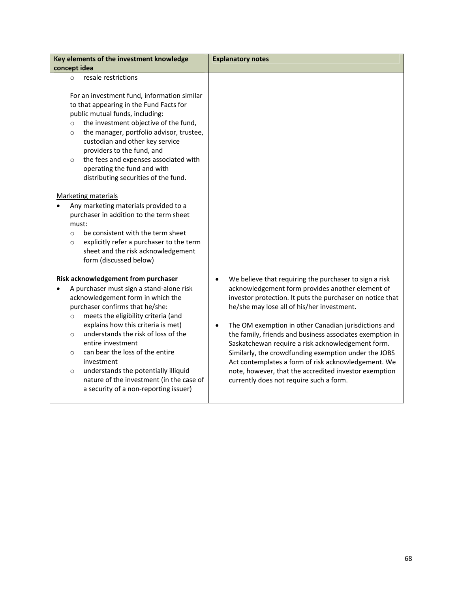| Key elements of the investment knowledge                                                                                                                                                                                                                                                                                                                                                                                                                                                                                    | <b>Explanatory notes</b>                                                                                                                                                                                                                                                                                                                                                                                                                                                                                                                                                                                                                    |
|-----------------------------------------------------------------------------------------------------------------------------------------------------------------------------------------------------------------------------------------------------------------------------------------------------------------------------------------------------------------------------------------------------------------------------------------------------------------------------------------------------------------------------|---------------------------------------------------------------------------------------------------------------------------------------------------------------------------------------------------------------------------------------------------------------------------------------------------------------------------------------------------------------------------------------------------------------------------------------------------------------------------------------------------------------------------------------------------------------------------------------------------------------------------------------------|
| concept idea                                                                                                                                                                                                                                                                                                                                                                                                                                                                                                                |                                                                                                                                                                                                                                                                                                                                                                                                                                                                                                                                                                                                                                             |
| resale restrictions<br>$\Omega$                                                                                                                                                                                                                                                                                                                                                                                                                                                                                             |                                                                                                                                                                                                                                                                                                                                                                                                                                                                                                                                                                                                                                             |
| For an investment fund, information similar<br>to that appearing in the Fund Facts for<br>public mutual funds, including:<br>the investment objective of the fund,<br>$\circ$<br>the manager, portfolio advisor, trustee,<br>$\circ$<br>custodian and other key service<br>providers to the fund, and<br>the fees and expenses associated with<br>$\circ$<br>operating the fund and with<br>distributing securities of the fund.                                                                                            |                                                                                                                                                                                                                                                                                                                                                                                                                                                                                                                                                                                                                                             |
| <b>Marketing materials</b><br>Any marketing materials provided to a<br>purchaser in addition to the term sheet<br>must:<br>be consistent with the term sheet<br>$\circ$<br>explicitly refer a purchaser to the term<br>$\circ$<br>sheet and the risk acknowledgement<br>form (discussed below)                                                                                                                                                                                                                              |                                                                                                                                                                                                                                                                                                                                                                                                                                                                                                                                                                                                                                             |
| Risk acknowledgement from purchaser<br>A purchaser must sign a stand-alone risk<br>acknowledgement form in which the<br>purchaser confirms that he/she:<br>meets the eligibility criteria (and<br>$\circ$<br>explains how this criteria is met)<br>understands the risk of loss of the<br>$\Omega$<br>entire investment<br>can bear the loss of the entire<br>$\circ$<br>investment<br>understands the potentially illiquid<br>$\circ$<br>nature of the investment (in the case of<br>a security of a non-reporting issuer) | We believe that requiring the purchaser to sign a risk<br>$\bullet$<br>acknowledgement form provides another element of<br>investor protection. It puts the purchaser on notice that<br>he/she may lose all of his/her investment.<br>The OM exemption in other Canadian jurisdictions and<br>$\bullet$<br>the family, friends and business associates exemption in<br>Saskatchewan require a risk acknowledgement form.<br>Similarly, the crowdfunding exemption under the JOBS<br>Act contemplates a form of risk acknowledgement. We<br>note, however, that the accredited investor exemption<br>currently does not require such a form. |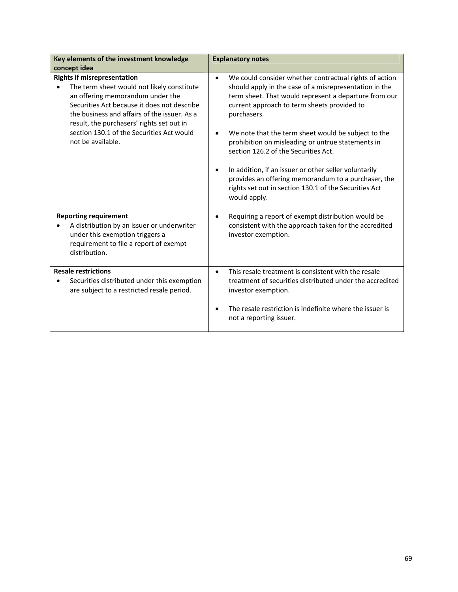| Key elements of the investment knowledge<br>concept idea                                                                                                                                                                                                                                                                                        | <b>Explanatory notes</b>                                                                                                                                                                                                                                                                                                                                                                                                                                                                                                                                                                                                    |
|-------------------------------------------------------------------------------------------------------------------------------------------------------------------------------------------------------------------------------------------------------------------------------------------------------------------------------------------------|-----------------------------------------------------------------------------------------------------------------------------------------------------------------------------------------------------------------------------------------------------------------------------------------------------------------------------------------------------------------------------------------------------------------------------------------------------------------------------------------------------------------------------------------------------------------------------------------------------------------------------|
| <b>Rights if misrepresentation</b><br>The term sheet would not likely constitute<br>$\bullet$<br>an offering memorandum under the<br>Securities Act because it does not describe<br>the business and affairs of the issuer. As a<br>result, the purchasers' rights set out in<br>section 130.1 of the Securities Act would<br>not be available. | We could consider whether contractual rights of action<br>$\bullet$<br>should apply in the case of a misrepresentation in the<br>term sheet. That would represent a departure from our<br>current approach to term sheets provided to<br>purchasers.<br>We note that the term sheet would be subject to the<br>$\bullet$<br>prohibition on misleading or untrue statements in<br>section 126.2 of the Securities Act.<br>In addition, if an issuer or other seller voluntarily<br>$\bullet$<br>provides an offering memorandum to a purchaser, the<br>rights set out in section 130.1 of the Securities Act<br>would apply. |
| <b>Reporting requirement</b><br>A distribution by an issuer or underwriter<br>under this exemption triggers a<br>requirement to file a report of exempt<br>distribution.                                                                                                                                                                        | Requiring a report of exempt distribution would be<br>$\bullet$<br>consistent with the approach taken for the accredited<br>investor exemption.                                                                                                                                                                                                                                                                                                                                                                                                                                                                             |
| <b>Resale restrictions</b><br>Securities distributed under this exemption<br>are subject to a restricted resale period.                                                                                                                                                                                                                         | This resale treatment is consistent with the resale<br>$\bullet$<br>treatment of securities distributed under the accredited<br>investor exemption.<br>The resale restriction is indefinite where the issuer is<br>not a reporting issuer.                                                                                                                                                                                                                                                                                                                                                                                  |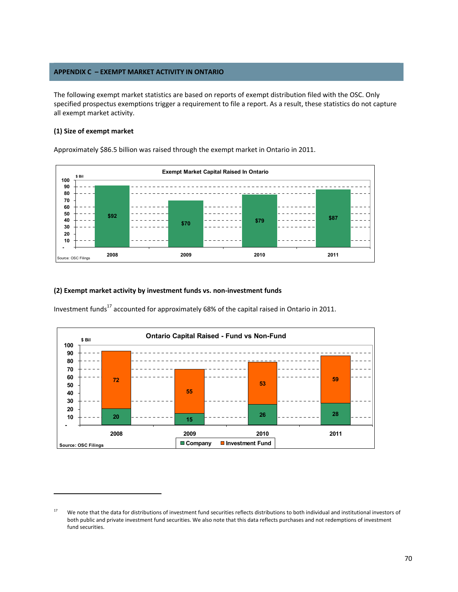# **APPENDIX C – EXEMPT MARKET ACTIVITY IN ONTARIO**

The following exempt market statistics are based on reports of exempt distribution filed with the OSC. Only specified prospectus exemptions trigger a requirement to file a report. As a result, these statistics do not capture all exempt market activity.

# **(1) Size of exempt market**

Approximately \$86.5 billion was raised through the exempt market in Ontario in 2011.



#### **(2) Exempt market activity by investment funds vs. non‐investment funds**

Investment funds<sup>17</sup> accounted for approximately 68% of the capital raised in Ontario in 2011.



<sup>&</sup>lt;sup>17</sup> We note that the data for distributions of investment fund securities reflects distributions to both individual and institutional investors of both public and private investment fund securities. We also note that this data reflects purchases and not redemptions of investment fund securities.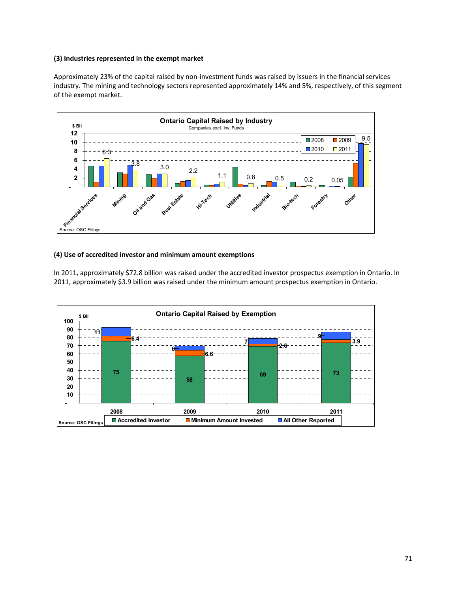### **(3) Industries represented in the exempt market**

Approximately 23% of the capital raised by non‐investment funds was raised by issuers in the financial services industry. The mining and technology sectors represented approximately 14% and 5%, respectively, of this segment of the exempt market.



### **(4) Use of accredited investor and minimum amount exemptions**

In 2011, approximately \$72.8 billion was raised under the accredited investor prospectus exemption in Ontario. In 2011, approximately \$3.9 billion was raised under the minimum amount prospectus exemption in Ontario.

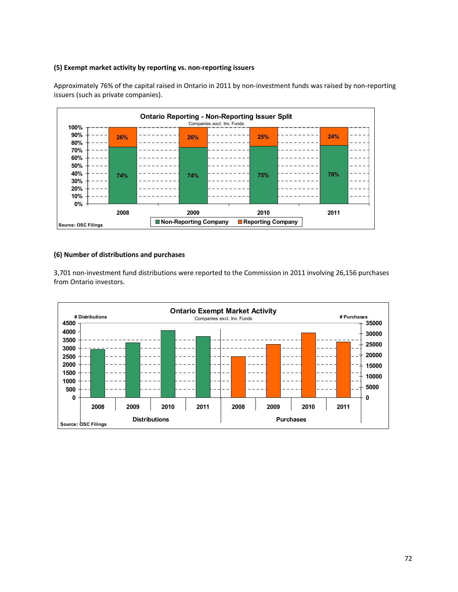# **(5) Exempt market activity by reporting vs. non‐reporting issuers**



Approximately 76% of the capital raised in Ontario in 2011 by non‐investment funds was raised by non‐reporting issuers (such as private companies).

# **(6) Number of distributions and purchases**

3,701 non-investment fund distributions were reported to the Commission in 2011 involving 26,156 purchases from Ontario investors.

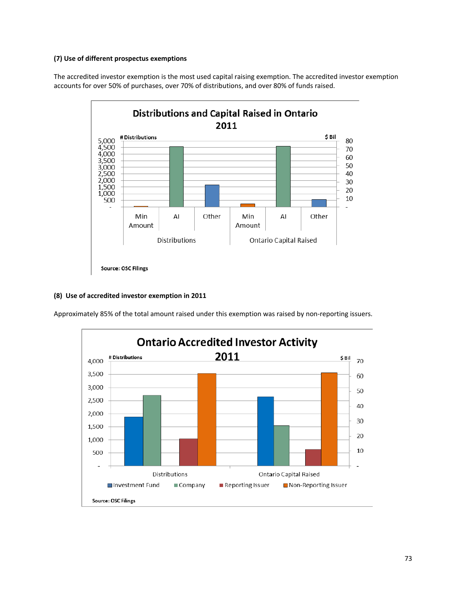## **(7) Use of different prospectus exemptions**

The accredited investor exemption is the most used capital raising exemption. The accredited investor exemption accounts for over 50% of purchases, over 70% of distributions, and over 80% of funds raised.



## **(8) Use of accredited investor exemption in 2011**

Approximately 85% of the total amount raised under this exemption was raised by non‐reporting issuers.

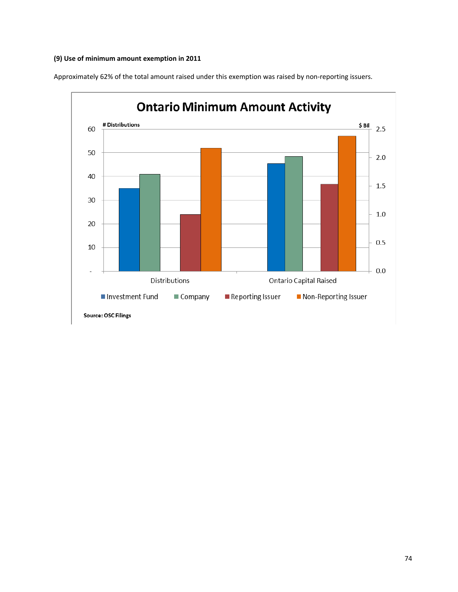## **(9) Use of minimum amount exemption in 2011**

Approximately 62% of the total amount raised under this exemption was raised by non‐reporting issuers.

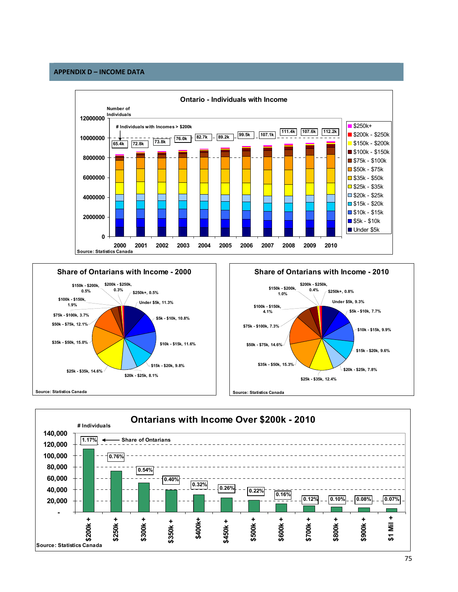## **APPENDIX D – INCOME DATA**